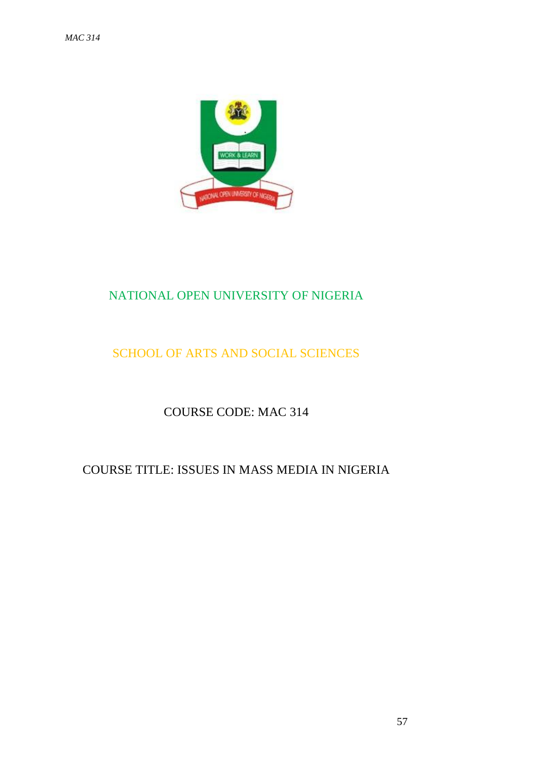

# NATIONAL OPEN UNIVERSITY OF NIGERIA

# SCHOOL OF ARTS AND SOCIAL SCIENCES

# COURSE CODE: MAC 314

# COURSE TITLE: ISSUES IN MASS MEDIA IN NIGERIA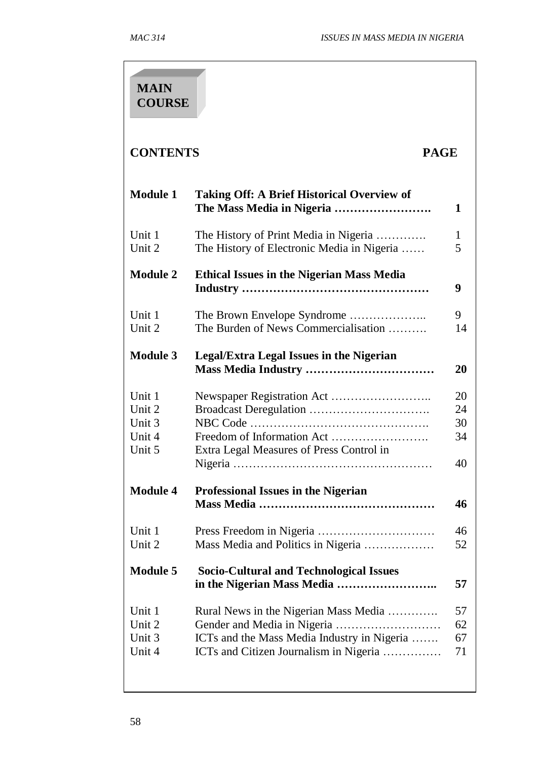| <b>MAIN</b><br><b>COURSE</b>                   |                                                                                                                                |                            |
|------------------------------------------------|--------------------------------------------------------------------------------------------------------------------------------|----------------------------|
| <b>CONTENTS</b><br><b>PAGE</b>                 |                                                                                                                                |                            |
| <b>Module 1</b>                                | <b>Taking Off: A Brief Historical Overview of</b><br>The Mass Media in Nigeria                                                 | 1                          |
| Unit 1<br>Unit 2                               | The History of Print Media in Nigeria<br>The History of Electronic Media in Nigeria                                            | 1<br>5                     |
| <b>Module 2</b>                                | <b>Ethical Issues in the Nigerian Mass Media</b>                                                                               | 9                          |
| Unit 1<br>Unit 2                               | The Brown Envelope Syndrome<br>The Burden of News Commercialisation                                                            | 9<br>14                    |
| <b>Module 3</b>                                | <b>Legal/Extra Legal Issues in the Nigerian</b>                                                                                | 20                         |
| Unit 1<br>Unit 2<br>Unit 3<br>Unit 4<br>Unit 5 | Extra Legal Measures of Press Control in                                                                                       | 20<br>24<br>30<br>34<br>40 |
| <b>Module 4</b>                                | <b>Professional Issues in the Nigerian</b>                                                                                     | 46                         |
| Unit 1<br>Unit 2                               | Mass Media and Politics in Nigeria                                                                                             | 46<br>52                   |
| <b>Module 5</b>                                | <b>Socio-Cultural and Technological Issues</b>                                                                                 | 57                         |
| Unit 1<br>Unit 2<br>Unit 3<br>Unit 4           | Rural News in the Nigerian Mass Media<br>ICTs and the Mass Media Industry in Nigeria<br>ICTs and Citizen Journalism in Nigeria | 57<br>62<br>67<br>71       |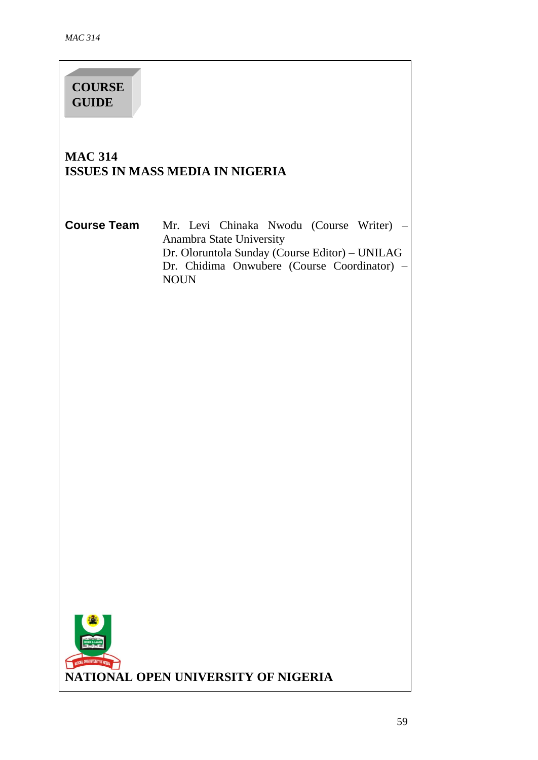**COURSE GUIDE**

# **MAC 314 ISSUES IN MASS MEDIA IN NIGERIA**

**Course Team** Mr. Levi Chinaka Nwodu (Course Writer) – Anambra State University Dr. Oloruntola Sunday (Course Editor) – UNILAG Dr. Chidima Onwubere (Course Coordinator) – NOUN

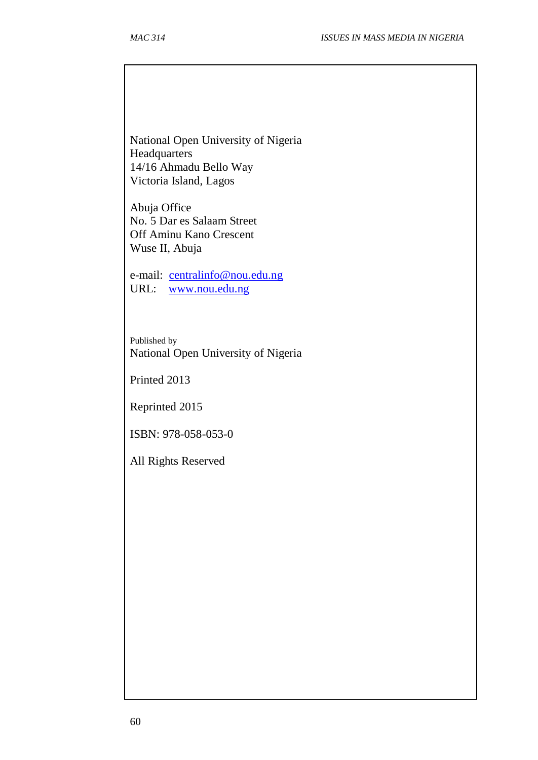National Open University of Nigeria Headquarters 14/16 Ahmadu Bello Way Victoria Island, Lagos

Abuja Office No. 5 Dar es Salaam Street Off Aminu Kano Crescent Wuse II, Abuja

e-mail: [centralinfo@nou.edu.ng](mailto:centralinfo@nou.edu.ng) URL: [www.nou.edu.ng](http://www.nou.edu.ng/)

Published by National Open University of Nigeria

Printed 2013

Reprinted 2015

ISBN: 978-058-053-0

All Rights Reserved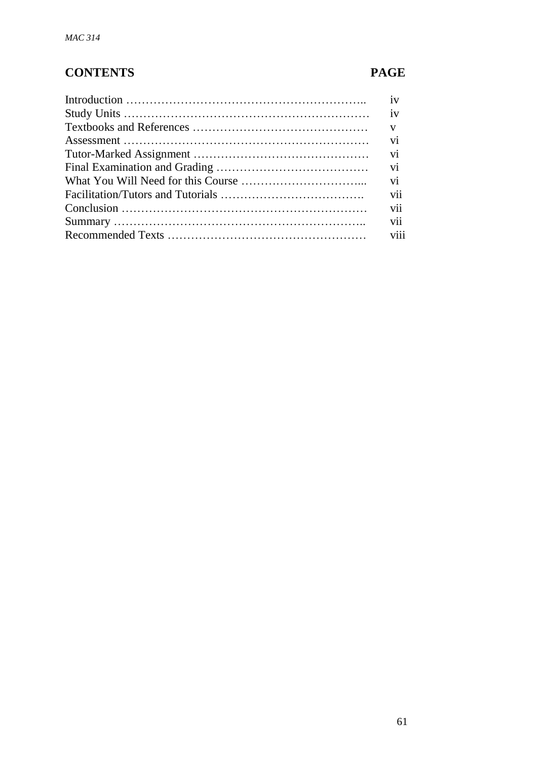# **CONTENTS PAGE**

| iv  |
|-----|
|     |
|     |
|     |
| vi  |
|     |
|     |
| vii |
| vii |
| vii |
|     |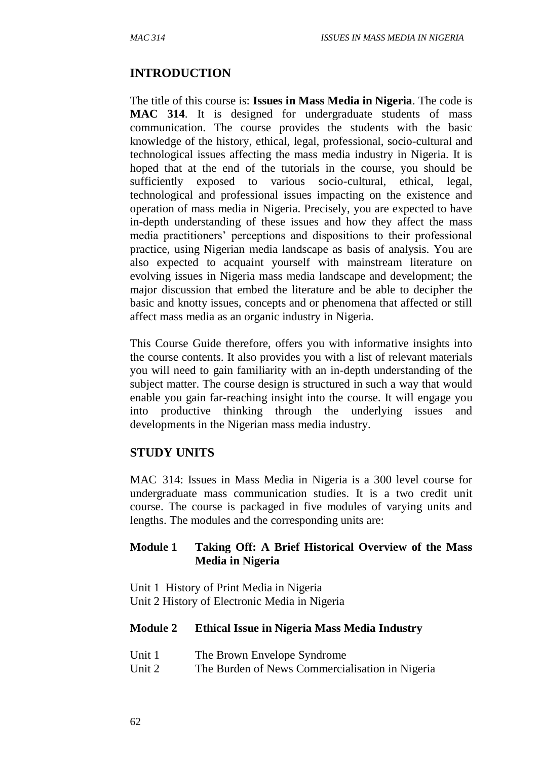#### **INTRODUCTION**

The title of this course is: **Issues in Mass Media in Nigeria**. The code is **MAC 314**. It is designed for undergraduate students of mass communication. The course provides the students with the basic knowledge of the history, ethical, legal, professional, socio-cultural and technological issues affecting the mass media industry in Nigeria. It is hoped that at the end of the tutorials in the course, you should be sufficiently exposed to various socio-cultural, ethical, legal, technological and professional issues impacting on the existence and operation of mass media in Nigeria. Precisely, you are expected to have in-depth understanding of these issues and how they affect the mass media practitioners' perceptions and dispositions to their professional practice, using Nigerian media landscape as basis of analysis. You are also expected to acquaint yourself with mainstream literature on evolving issues in Nigeria mass media landscape and development; the major discussion that embed the literature and be able to decipher the basic and knotty issues, concepts and or phenomena that affected or still affect mass media as an organic industry in Nigeria.

This Course Guide therefore, offers you with informative insights into the course contents. It also provides you with a list of relevant materials you will need to gain familiarity with an in-depth understanding of the subject matter. The course design is structured in such a way that would enable you gain far-reaching insight into the course. It will engage you into productive thinking through the underlying issues and developments in the Nigerian mass media industry.

#### **STUDY UNITS**

MAC 314: Issues in Mass Media in Nigeria is a 300 level course for undergraduate mass communication studies. It is a two credit unit course. The course is packaged in five modules of varying units and lengths. The modules and the corresponding units are:

#### **Module 1 Taking Off: A Brief Historical Overview of the Mass Media in Nigeria**

Unit 1 History of Print Media in Nigeria Unit 2 History of Electronic Media in Nigeria

#### **Module 2 Ethical Issue in Nigeria Mass Media Industry**

- Unit 1 The Brown Envelope Syndrome
- Unit 2 The Burden of News Commercialisation in Nigeria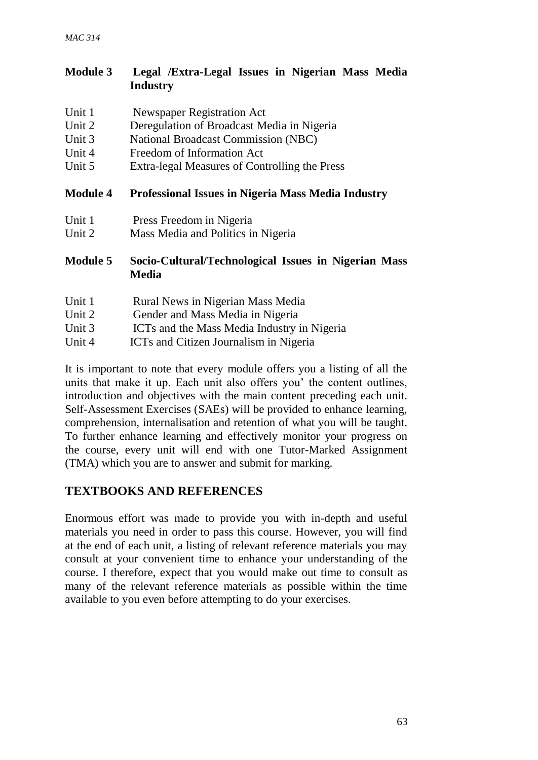| <b>Module 3</b> |          | Legal /Extra-Legal Issues in Nigerian Mass Media |  |  |  |
|-----------------|----------|--------------------------------------------------|--|--|--|
|                 | Industry |                                                  |  |  |  |

| Unit 1          | Newspaper Registration Act                                           |
|-----------------|----------------------------------------------------------------------|
| Unit 2          | Deregulation of Broadcast Media in Nigeria                           |
| Unit 3          | <b>National Broadcast Commission (NBC)</b>                           |
| Unit 4          | Freedom of Information Act                                           |
| Unit 5          | Extra-legal Measures of Controlling the Press                        |
| <b>Module 4</b> | <b>Professional Issues in Nigeria Mass Media Industry</b>            |
| Unit 1          | Press Freedom in Nigeria                                             |
| Unit 2          | Mass Media and Politics in Nigeria                                   |
| <b>Module 5</b> | Socio-Cultural/Technological Issues in Nigerian Mass<br><b>Media</b> |
| Unit 1          | Rural News in Nigerian Mass Media                                    |
| Unit 2          | Gender and Mass Media in Nigeria                                     |
| Unit 3          | ICTs and the Mass Media Industry in Nigeria                          |
| Unit 4          | ICTs and Citizen Journalism in Nigeria                               |

It is important to note that every module offers you a listing of all the units that make it up. Each unit also offers you' the content outlines, introduction and objectives with the main content preceding each unit. Self-Assessment Exercises (SAEs) will be provided to enhance learning, comprehension, internalisation and retention of what you will be taught. To further enhance learning and effectively monitor your progress on the course, every unit will end with one Tutor-Marked Assignment (TMA) which you are to answer and submit for marking.

# **TEXTBOOKS AND REFERENCES**

Enormous effort was made to provide you with in-depth and useful materials you need in order to pass this course. However, you will find at the end of each unit, a listing of relevant reference materials you may consult at your convenient time to enhance your understanding of the course. I therefore, expect that you would make out time to consult as many of the relevant reference materials as possible within the time available to you even before attempting to do your exercises.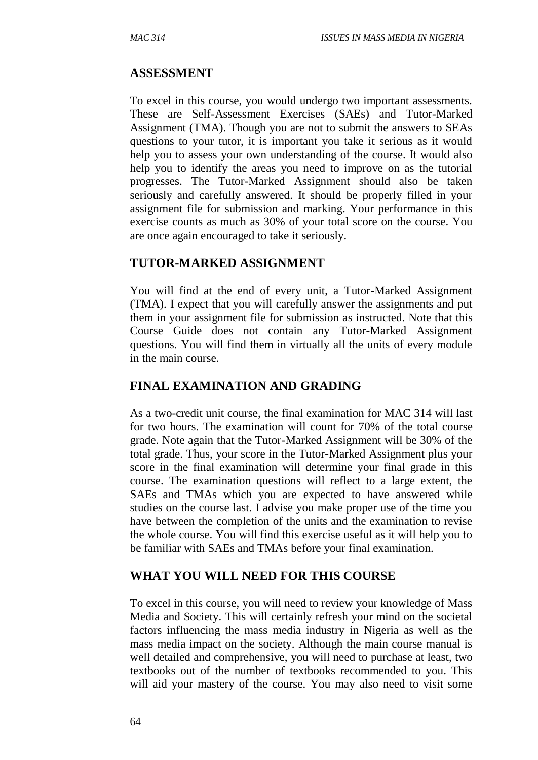## **ASSESSMENT**

To excel in this course, you would undergo two important assessments. These are Self-Assessment Exercises (SAEs) and Tutor-Marked Assignment (TMA). Though you are not to submit the answers to SEAs questions to your tutor, it is important you take it serious as it would help you to assess your own understanding of the course. It would also help you to identify the areas you need to improve on as the tutorial progresses. The Tutor-Marked Assignment should also be taken seriously and carefully answered. It should be properly filled in your assignment file for submission and marking. Your performance in this exercise counts as much as 30% of your total score on the course. You are once again encouraged to take it seriously.

#### **TUTOR-MARKED ASSIGNMENT**

You will find at the end of every unit, a Tutor-Marked Assignment (TMA). I expect that you will carefully answer the assignments and put them in your assignment file for submission as instructed. Note that this Course Guide does not contain any Tutor-Marked Assignment questions. You will find them in virtually all the units of every module in the main course.

## **FINAL EXAMINATION AND GRADING**

As a two-credit unit course, the final examination for MAC 314 will last for two hours. The examination will count for 70% of the total course grade. Note again that the Tutor-Marked Assignment will be 30% of the total grade. Thus, your score in the Tutor-Marked Assignment plus your score in the final examination will determine your final grade in this course. The examination questions will reflect to a large extent, the SAEs and TMAs which you are expected to have answered while studies on the course last. I advise you make proper use of the time you have between the completion of the units and the examination to revise the whole course. You will find this exercise useful as it will help you to be familiar with SAEs and TMAs before your final examination.

#### **WHAT YOU WILL NEED FOR THIS COURSE**

To excel in this course, you will need to review your knowledge of Mass Media and Society. This will certainly refresh your mind on the societal factors influencing the mass media industry in Nigeria as well as the mass media impact on the society. Although the main course manual is well detailed and comprehensive, you will need to purchase at least, two textbooks out of the number of textbooks recommended to you. This will aid your mastery of the course. You may also need to visit some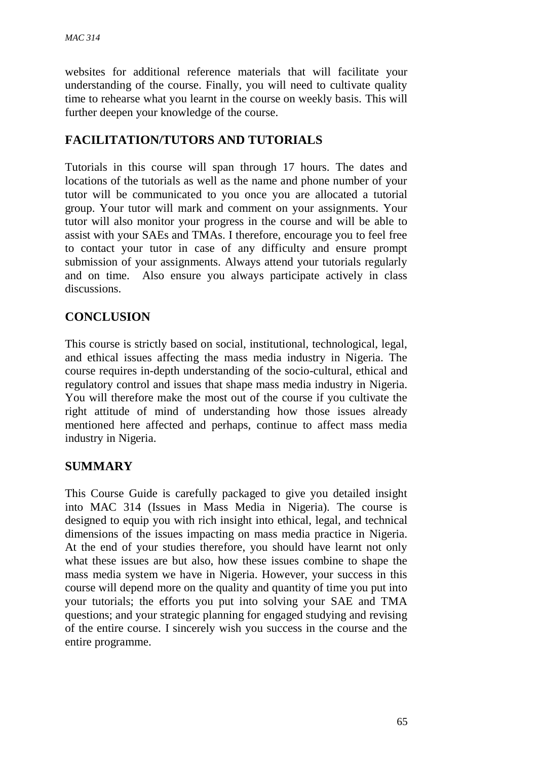websites for additional reference materials that will facilitate your understanding of the course. Finally, you will need to cultivate quality time to rehearse what you learnt in the course on weekly basis. This will further deepen your knowledge of the course.

# **FACILITATION/TUTORS AND TUTORIALS**

Tutorials in this course will span through 17 hours. The dates and locations of the tutorials as well as the name and phone number of your tutor will be communicated to you once you are allocated a tutorial group. Your tutor will mark and comment on your assignments. Your tutor will also monitor your progress in the course and will be able to assist with your SAEs and TMAs. I therefore, encourage you to feel free to contact your tutor in case of any difficulty and ensure prompt submission of your assignments. Always attend your tutorials regularly and on time. Also ensure you always participate actively in class discussions.

# **CONCLUSION**

This course is strictly based on social, institutional, technological, legal, and ethical issues affecting the mass media industry in Nigeria. The course requires in-depth understanding of the socio-cultural, ethical and regulatory control and issues that shape mass media industry in Nigeria. You will therefore make the most out of the course if you cultivate the right attitude of mind of understanding how those issues already mentioned here affected and perhaps, continue to affect mass media industry in Nigeria.

## **SUMMARY**

This Course Guide is carefully packaged to give you detailed insight into MAC 314 (Issues in Mass Media in Nigeria). The course is designed to equip you with rich insight into ethical, legal, and technical dimensions of the issues impacting on mass media practice in Nigeria. At the end of your studies therefore, you should have learnt not only what these issues are but also, how these issues combine to shape the mass media system we have in Nigeria. However, your success in this course will depend more on the quality and quantity of time you put into your tutorials; the efforts you put into solving your SAE and TMA questions; and your strategic planning for engaged studying and revising of the entire course. I sincerely wish you success in the course and the entire programme.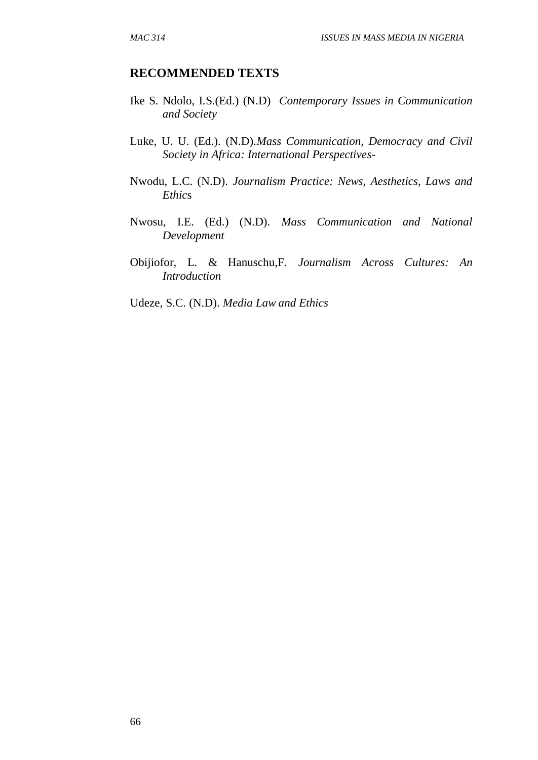#### **RECOMMENDED TEXTS**

- Ike S. Ndolo, I.S.(Ed.) (N.D) *Contemporary Issues in Communication and Society*
- Luke, U. U. (Ed.). (N.D).*Mass Communication, Democracy and Civil Society in Africa: International Perspectives*-
- Nwodu, L.C. (N.D). *Journalism Practice: News, Aesthetics, Laws and Ethic*s
- Nwosu, I.E. (Ed.) (N.D). *Mass Communication and National Development*
- Obijiofor, L. & Hanuschu,F. *Journalism Across Cultures: An Introduction*
- Udeze, S.C. (N.D). *Media Law and Ethics*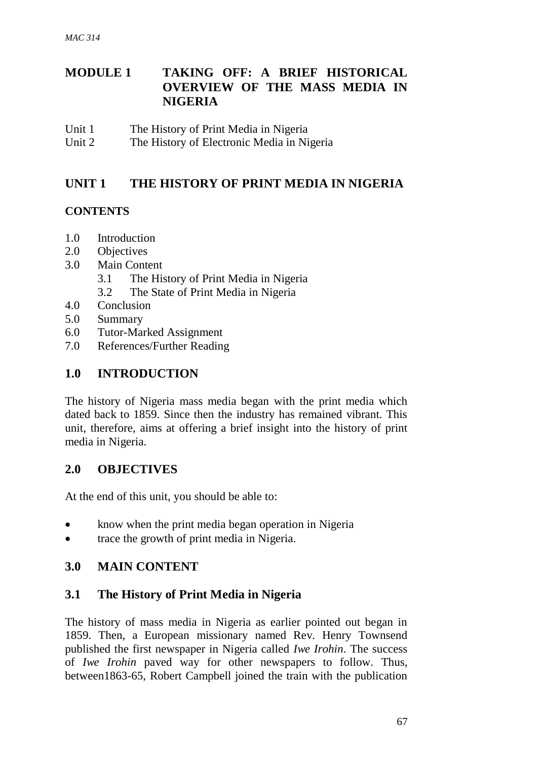# **MODULE 1 TAKING OFF: A BRIEF HISTORICAL OVERVIEW OF THE MASS MEDIA IN NIGERIA**

- Unit 1 The History of Print Media in Nigeria
- Unit 2 The History of Electronic Media in Nigeria

# **UNIT 1 THE HISTORY OF PRINT MEDIA IN NIGERIA**

## **CONTENTS**

- 1.0 Introduction
- 2.0 Objectives
- 3.0 Main Content
	- 3.1 The History of Print Media in Nigeria
	- 3.2 The State of Print Media in Nigeria
- 4.0 Conclusion
- 5.0 Summary
- 6.0 Tutor-Marked Assignment
- 7.0 References/Further Reading

# **1.0 INTRODUCTION**

The history of Nigeria mass media began with the print media which dated back to 1859. Since then the industry has remained vibrant. This unit, therefore, aims at offering a brief insight into the history of print media in Nigeria.

## **2.0 OBJECTIVES**

At the end of this unit, you should be able to:

- know when the print media began operation in Nigeria
- trace the growth of print media in Nigeria.

## **3.0 MAIN CONTENT**

## **3.1 The History of Print Media in Nigeria**

The history of mass media in Nigeria as earlier pointed out began in 1859. Then, a European missionary named Rev. Henry Townsend published the first newspaper in Nigeria called *Iwe Irohin*. The success of *Iwe Irohin* paved way for other newspapers to follow. Thus, between1863-65, Robert Campbell joined the train with the publication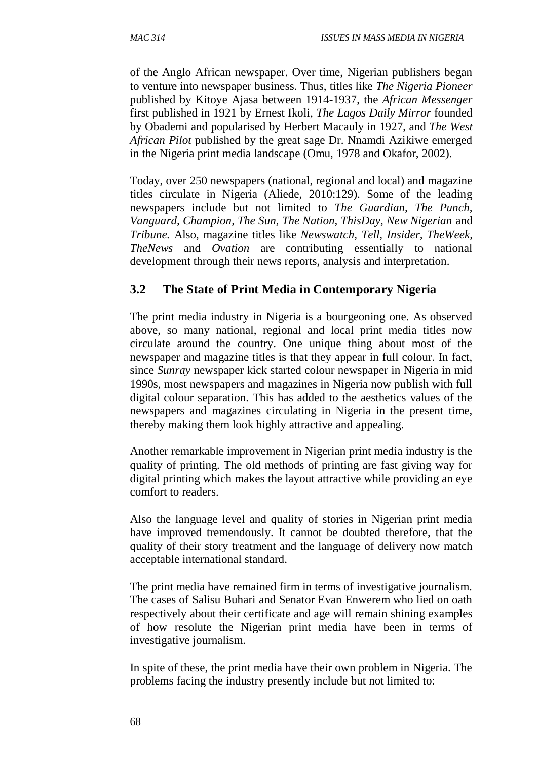of the Anglo African newspaper. Over time, Nigerian publishers began to venture into newspaper business. Thus, titles like *The Nigeria Pioneer* published by Kitoye Ajasa between 1914-1937, the *African Messenger* first published in 1921 by Ernest Ikoli, *The Lagos Daily Mirror* founded by Obademi and popularised by Herbert Macauly in 1927, and *The West African Pilot* published by the great sage Dr. Nnamdi Azikiwe emerged in the Nigeria print media landscape (Omu, 1978 and Okafor, 2002).

Today, over 250 newspapers (national, regional and local) and magazine titles circulate in Nigeria (Aliede, 2010:129). Some of the leading newspapers include but not limited to *The Guardian, The Punch, Vanguard, Champion, The Sun, The Nation, ThisDay, New Nigerian* and *Tribune.* Also, magazine titles like *Newswatch, Tell, Insider, TheWeek, TheNews* and *Ovation* are contributing essentially to national development through their news reports, analysis and interpretation.

#### **3.2 The State of Print Media in Contemporary Nigeria**

The print media industry in Nigeria is a bourgeoning one. As observed above, so many national, regional and local print media titles now circulate around the country. One unique thing about most of the newspaper and magazine titles is that they appear in full colour. In fact, since *Sunray* newspaper kick started colour newspaper in Nigeria in mid 1990s, most newspapers and magazines in Nigeria now publish with full digital colour separation. This has added to the aesthetics values of the newspapers and magazines circulating in Nigeria in the present time, thereby making them look highly attractive and appealing.

Another remarkable improvement in Nigerian print media industry is the quality of printing. The old methods of printing are fast giving way for digital printing which makes the layout attractive while providing an eye comfort to readers.

Also the language level and quality of stories in Nigerian print media have improved tremendously. It cannot be doubted therefore, that the quality of their story treatment and the language of delivery now match acceptable international standard.

The print media have remained firm in terms of investigative journalism. The cases of Salisu Buhari and Senator Evan Enwerem who lied on oath respectively about their certificate and age will remain shining examples of how resolute the Nigerian print media have been in terms of investigative journalism.

In spite of these, the print media have their own problem in Nigeria. The problems facing the industry presently include but not limited to: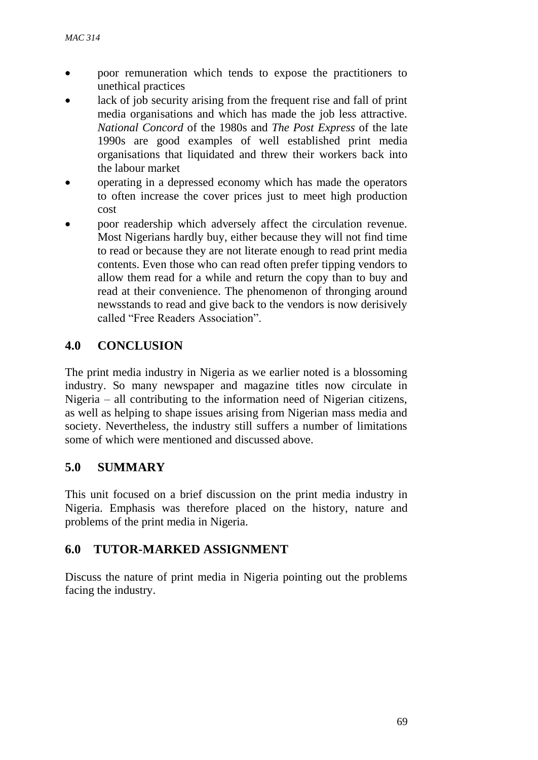- poor remuneration which tends to expose the practitioners to unethical practices
- lack of job security arising from the frequent rise and fall of print media organisations and which has made the job less attractive. *National Concord* of the 1980s and *The Post Express* of the late 1990s are good examples of well established print media organisations that liquidated and threw their workers back into the labour market
- operating in a depressed economy which has made the operators to often increase the cover prices just to meet high production cost
- poor readership which adversely affect the circulation revenue. Most Nigerians hardly buy, either because they will not find time to read or because they are not literate enough to read print media contents. Even those who can read often prefer tipping vendors to allow them read for a while and return the copy than to buy and read at their convenience. The phenomenon of thronging around newsstands to read and give back to the vendors is now derisively called "Free Readers Association".

# **4.0 CONCLUSION**

The print media industry in Nigeria as we earlier noted is a blossoming industry. So many newspaper and magazine titles now circulate in Nigeria – all contributing to the information need of Nigerian citizens, as well as helping to shape issues arising from Nigerian mass media and society. Nevertheless, the industry still suffers a number of limitations some of which were mentioned and discussed above.

## **5.0 SUMMARY**

This unit focused on a brief discussion on the print media industry in Nigeria. Emphasis was therefore placed on the history, nature and problems of the print media in Nigeria.

## **6.0 TUTOR-MARKED ASSIGNMENT**

Discuss the nature of print media in Nigeria pointing out the problems facing the industry.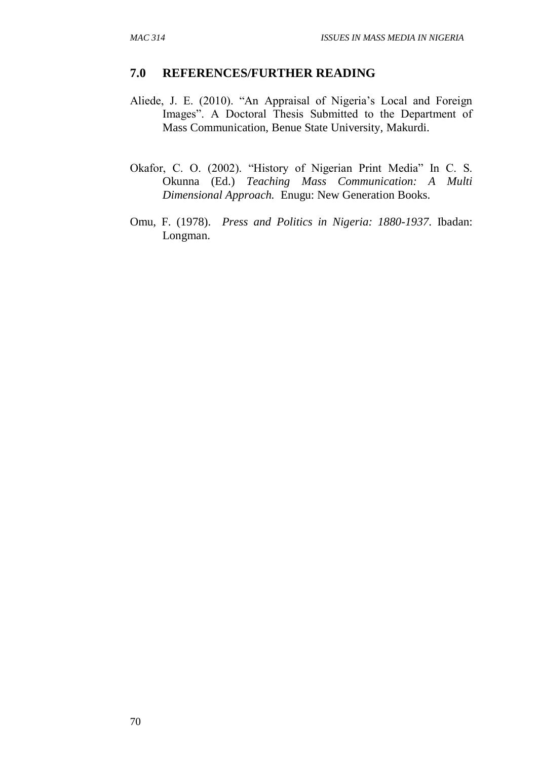#### **7.0 REFERENCES/FURTHER READING**

- Aliede, J. E. (2010). "An Appraisal of Nigeria's Local and Foreign Images". A Doctoral Thesis Submitted to the Department of Mass Communication, Benue State University, Makurdi.
- Okafor, C. O. (2002). "History of Nigerian Print Media" In C. S. Okunna (Ed.) *Teaching Mass Communication: A Multi Dimensional Approach.* Enugu: New Generation Books.
- Omu, F. (1978). *Press and Politics in Nigeria: 1880-1937*. Ibadan: Longman.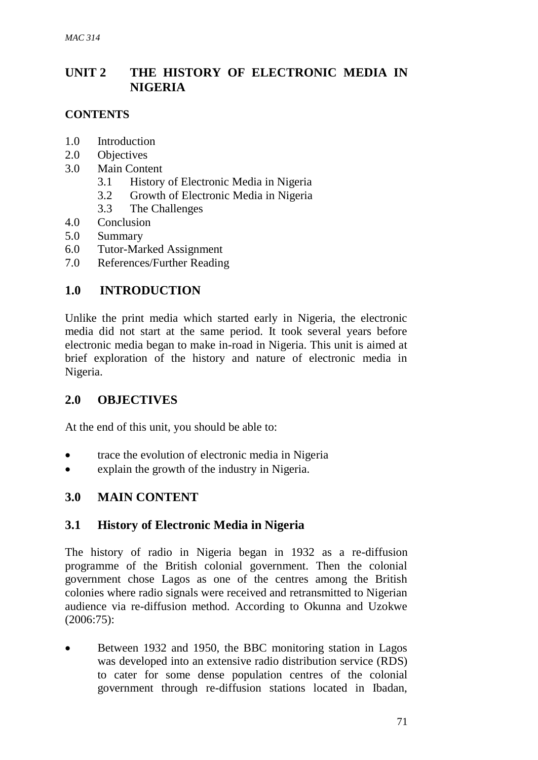# **UNIT 2 THE HISTORY OF ELECTRONIC MEDIA IN NIGERIA**

#### **CONTENTS**

- 1.0 Introduction
- 2.0 Objectives
- 3.0 Main Content
	- 3.1 History of Electronic Media in Nigeria
	- 3.2 Growth of Electronic Media in Nigeria
	- 3.3 The Challenges
- 4.0 Conclusion
- 5.0 Summary
- 6.0 Tutor-Marked Assignment
- 7.0 References/Further Reading

# **1.0 INTRODUCTION**

Unlike the print media which started early in Nigeria, the electronic media did not start at the same period. It took several years before electronic media began to make in-road in Nigeria. This unit is aimed at brief exploration of the history and nature of electronic media in Nigeria.

## **2.0 OBJECTIVES**

At the end of this unit, you should be able to:

- trace the evolution of electronic media in Nigeria
- explain the growth of the industry in Nigeria.

## **3.0 MAIN CONTENT**

## **3.1 History of Electronic Media in Nigeria**

The history of radio in Nigeria began in 1932 as a re-diffusion programme of the British colonial government. Then the colonial government chose Lagos as one of the centres among the British colonies where radio signals were received and retransmitted to Nigerian audience via re-diffusion method. According to Okunna and Uzokwe (2006:75):

 Between 1932 and 1950, the BBC monitoring station in Lagos was developed into an extensive radio distribution service (RDS) to cater for some dense population centres of the colonial government through re-diffusion stations located in Ibadan,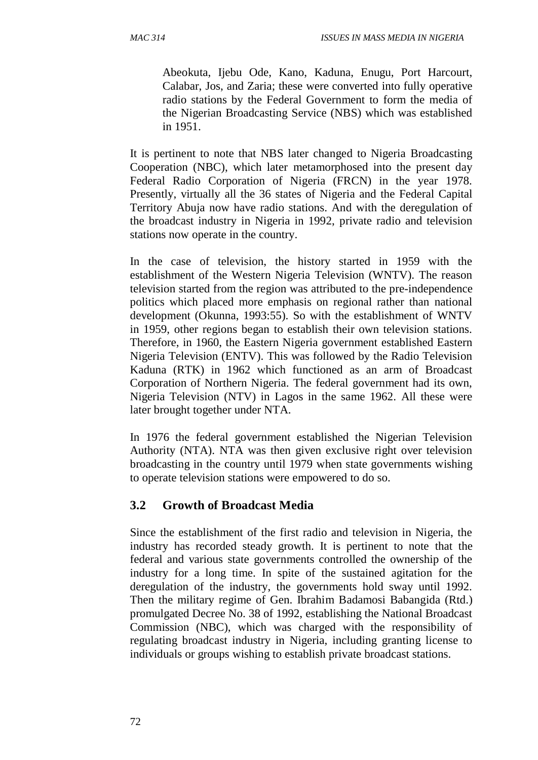Abeokuta, Ijebu Ode, Kano, Kaduna, Enugu, Port Harcourt, Calabar, Jos, and Zaria; these were converted into fully operative radio stations by the Federal Government to form the media of the Nigerian Broadcasting Service (NBS) which was established in 1951.

It is pertinent to note that NBS later changed to Nigeria Broadcasting Cooperation (NBC), which later metamorphosed into the present day Federal Radio Corporation of Nigeria (FRCN) in the year 1978. Presently, virtually all the 36 states of Nigeria and the Federal Capital Territory Abuja now have radio stations. And with the deregulation of the broadcast industry in Nigeria in 1992, private radio and television stations now operate in the country.

In the case of television, the history started in 1959 with the establishment of the Western Nigeria Television (WNTV). The reason television started from the region was attributed to the pre-independence politics which placed more emphasis on regional rather than national development (Okunna, 1993:55). So with the establishment of WNTV in 1959, other regions began to establish their own television stations. Therefore, in 1960, the Eastern Nigeria government established Eastern Nigeria Television (ENTV). This was followed by the Radio Television Kaduna (RTK) in 1962 which functioned as an arm of Broadcast Corporation of Northern Nigeria. The federal government had its own, Nigeria Television (NTV) in Lagos in the same 1962. All these were later brought together under NTA.

In 1976 the federal government established the Nigerian Television Authority (NTA). NTA was then given exclusive right over television broadcasting in the country until 1979 when state governments wishing to operate television stations were empowered to do so.

#### **3.2 Growth of Broadcast Media**

Since the establishment of the first radio and television in Nigeria, the industry has recorded steady growth. It is pertinent to note that the federal and various state governments controlled the ownership of the industry for a long time. In spite of the sustained agitation for the deregulation of the industry, the governments hold sway until 1992. Then the military regime of Gen. Ibrahim Badamosi Babangida (Rtd.) promulgated Decree No. 38 of 1992, establishing the National Broadcast Commission (NBC), which was charged with the responsibility of regulating broadcast industry in Nigeria, including granting license to individuals or groups wishing to establish private broadcast stations.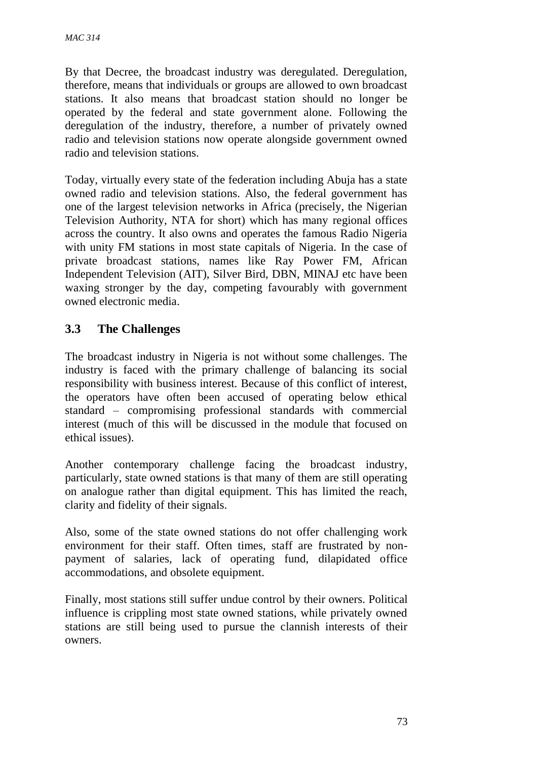By that Decree, the broadcast industry was deregulated. Deregulation, therefore, means that individuals or groups are allowed to own broadcast stations. It also means that broadcast station should no longer be operated by the federal and state government alone. Following the deregulation of the industry, therefore, a number of privately owned radio and television stations now operate alongside government owned radio and television stations.

Today, virtually every state of the federation including Abuja has a state owned radio and television stations. Also, the federal government has one of the largest television networks in Africa (precisely, the Nigerian Television Authority, NTA for short) which has many regional offices across the country. It also owns and operates the famous Radio Nigeria with unity FM stations in most state capitals of Nigeria. In the case of private broadcast stations, names like Ray Power FM, African Independent Television (AIT), Silver Bird, DBN, MINAJ etc have been waxing stronger by the day, competing favourably with government owned electronic media.

## **3.3 The Challenges**

The broadcast industry in Nigeria is not without some challenges. The industry is faced with the primary challenge of balancing its social responsibility with business interest. Because of this conflict of interest, the operators have often been accused of operating below ethical standard – compromising professional standards with commercial interest (much of this will be discussed in the module that focused on ethical issues).

Another contemporary challenge facing the broadcast industry, particularly, state owned stations is that many of them are still operating on analogue rather than digital equipment. This has limited the reach, clarity and fidelity of their signals.

Also, some of the state owned stations do not offer challenging work environment for their staff. Often times, staff are frustrated by nonpayment of salaries, lack of operating fund, dilapidated office accommodations, and obsolete equipment.

Finally, most stations still suffer undue control by their owners. Political influence is crippling most state owned stations, while privately owned stations are still being used to pursue the clannish interests of their owners.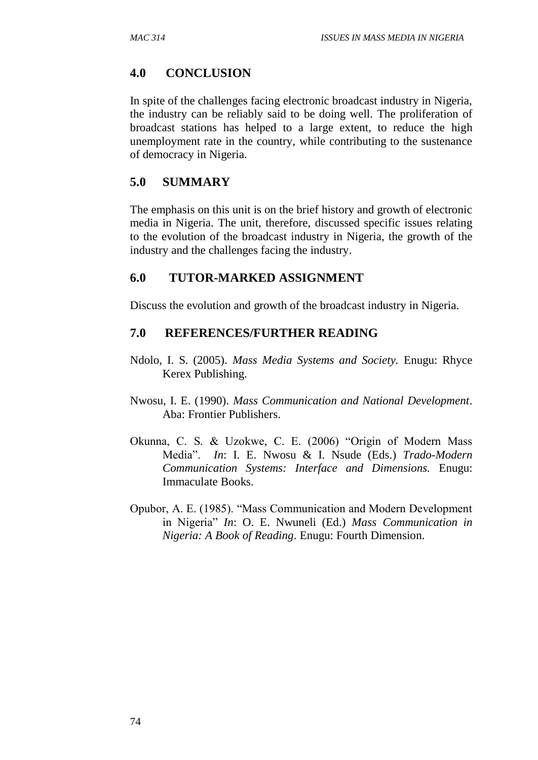#### **4.0 CONCLUSION**

In spite of the challenges facing electronic broadcast industry in Nigeria, the industry can be reliably said to be doing well. The proliferation of broadcast stations has helped to a large extent, to reduce the high unemployment rate in the country, while contributing to the sustenance of democracy in Nigeria.

#### **5.0 SUMMARY**

The emphasis on this unit is on the brief history and growth of electronic media in Nigeria. The unit, therefore, discussed specific issues relating to the evolution of the broadcast industry in Nigeria, the growth of the industry and the challenges facing the industry.

#### **6.0 TUTOR-MARKED ASSIGNMENT**

Discuss the evolution and growth of the broadcast industry in Nigeria.

#### **7.0 REFERENCES/FURTHER READING**

- Ndolo, I. S. (2005). *Mass Media Systems and Society.* Enugu: Rhyce Kerex Publishing.
- Nwosu, I. E. (1990). *Mass Communication and National Development*. Aba: Frontier Publishers.
- Okunna, C. S. & Uzokwe, C. E. (2006) "Origin of Modern Mass Media". *In*: I. E. Nwosu & I. Nsude (Eds.) *Trado-Modern Communication Systems: Interface and Dimensions.* Enugu: Immaculate Books.
- Opubor, A. E. (1985). "Mass Communication and Modern Development in Nigeria" *In*: O. E. Nwuneli (Ed.) *Mass Communication in Nigeria: A Book of Reading*. Enugu: Fourth Dimension.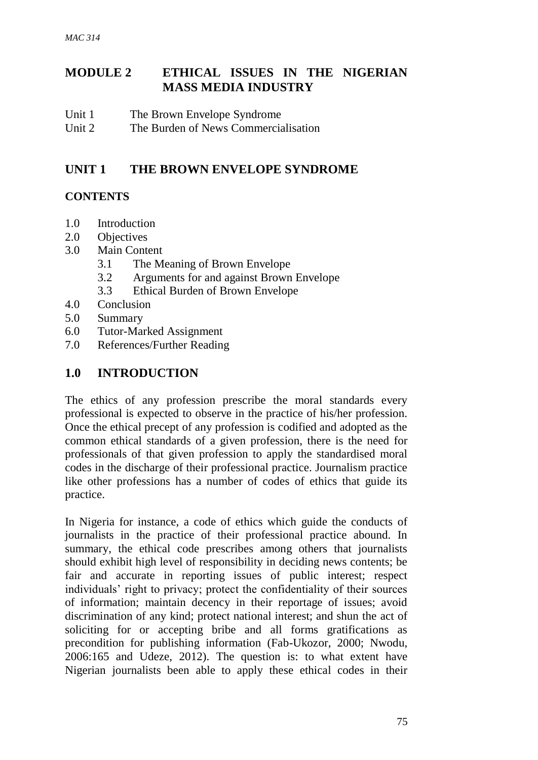# **MODULE 2 ETHICAL ISSUES IN THE NIGERIAN MASS MEDIA INDUSTRY**

- Unit 1 The Brown Envelope Syndrome
- Unit 2 The Burden of News Commercialisation

# **UNIT 1 THE BROWN ENVELOPE SYNDROME**

## **CONTENTS**

- 1.0 Introduction
- 2.0 Objectives
- 3.0 Main Content
	- 3.1 The Meaning of Brown Envelope
	- 3.2 Arguments for and against Brown Envelope
	- 3.3 Ethical Burden of Brown Envelope
- 4.0 Conclusion
- 5.0 Summary
- 6.0 Tutor-Marked Assignment
- 7.0 References/Further Reading

# **1.0 INTRODUCTION**

The ethics of any profession prescribe the moral standards every professional is expected to observe in the practice of his/her profession. Once the ethical precept of any profession is codified and adopted as the common ethical standards of a given profession, there is the need for professionals of that given profession to apply the standardised moral codes in the discharge of their professional practice. Journalism practice like other professions has a number of codes of ethics that guide its practice.

In Nigeria for instance, a code of ethics which guide the conducts of journalists in the practice of their professional practice abound. In summary, the ethical code prescribes among others that journalists should exhibit high level of responsibility in deciding news contents; be fair and accurate in reporting issues of public interest; respect individuals' right to privacy; protect the confidentiality of their sources of information; maintain decency in their reportage of issues; avoid discrimination of any kind; protect national interest; and shun the act of soliciting for or accepting bribe and all forms gratifications as precondition for publishing information (Fab-Ukozor, 2000; Nwodu, 2006:165 and Udeze, 2012). The question is: to what extent have Nigerian journalists been able to apply these ethical codes in their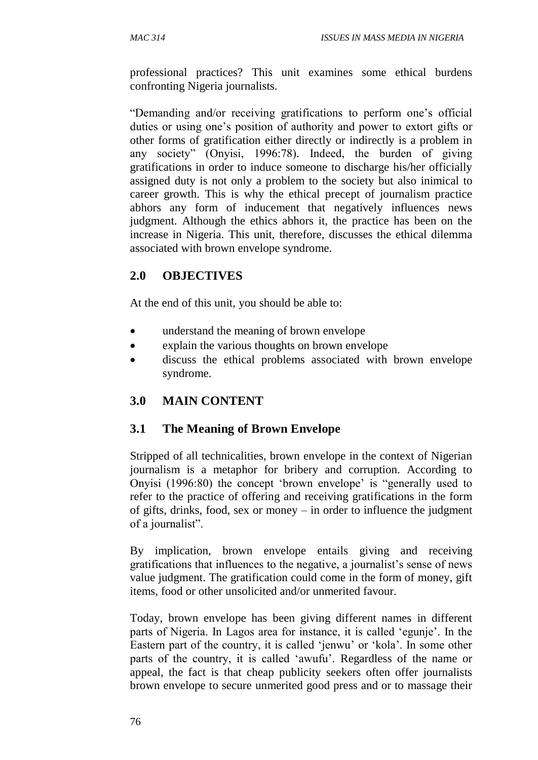professional practices? This unit examines some ethical burdens confronting Nigeria journalists.

"Demanding and/or receiving gratifications to perform one's official duties or using one's position of authority and power to extort gifts or other forms of gratification either directly or indirectly is a problem in any society" (Onyisi, 1996:78). Indeed, the burden of giving gratifications in order to induce someone to discharge his/her officially assigned duty is not only a problem to the society but also inimical to career growth. This is why the ethical precept of journalism practice abhors any form of inducement that negatively influences news judgment. Although the ethics abhors it, the practice has been on the increase in Nigeria. This unit, therefore, discusses the ethical dilemma associated with brown envelope syndrome.

# **2.0 OBJECTIVES**

At the end of this unit, you should be able to:

- understand the meaning of brown envelope
- explain the various thoughts on brown envelope
- discuss the ethical problems associated with brown envelope syndrome.

# **3.0 MAIN CONTENT**

## **3.1 The Meaning of Brown Envelope**

Stripped of all technicalities, brown envelope in the context of Nigerian journalism is a metaphor for bribery and corruption. According to Onyisi (1996:80) the concept 'brown envelope' is "generally used to refer to the practice of offering and receiving gratifications in the form of gifts, drinks, food, sex or money – in order to influence the judgment of a journalist".

By implication, brown envelope entails giving and receiving gratifications that influences to the negative, a journalist's sense of news value judgment. The gratification could come in the form of money, gift items, food or other unsolicited and/or unmerited favour.

Today, brown envelope has been giving different names in different parts of Nigeria. In Lagos area for instance, it is called 'egunje'. In the Eastern part of the country, it is called 'jenwu' or 'kola'. In some other parts of the country, it is called 'awufu'. Regardless of the name or appeal, the fact is that cheap publicity seekers often offer journalists brown envelope to secure unmerited good press and or to massage their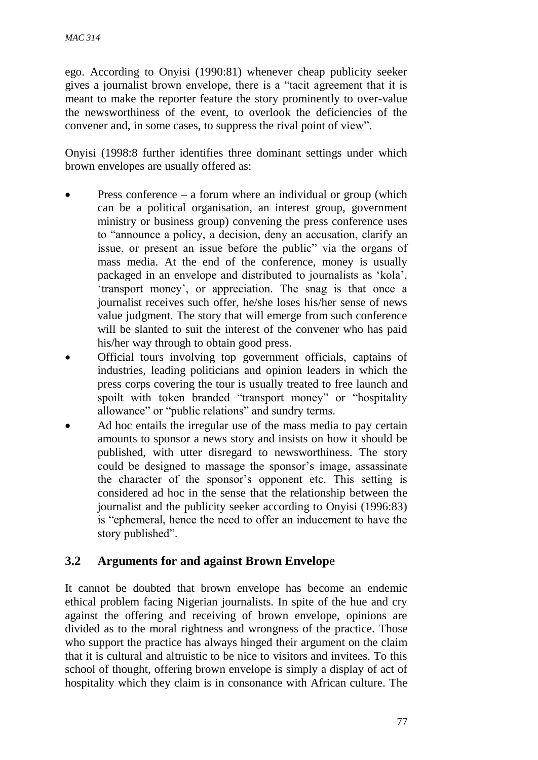ego. According to Onyisi (1990:81) whenever cheap publicity seeker gives a journalist brown envelope, there is a "tacit agreement that it is meant to make the reporter feature the story prominently to over-value the newsworthiness of the event, to overlook the deficiencies of the convener and, in some cases, to suppress the rival point of view".

Onyisi (1998:8 further identifies three dominant settings under which brown envelopes are usually offered as:

- Press conference a forum where an individual or group (which can be a political organisation, an interest group, government ministry or business group) convening the press conference uses to "announce a policy, a decision, deny an accusation, clarify an issue, or present an issue before the public" via the organs of mass media. At the end of the conference, money is usually packaged in an envelope and distributed to journalists as 'kola', 'transport money', or appreciation. The snag is that once a journalist receives such offer, he/she loses his/her sense of news value judgment. The story that will emerge from such conference will be slanted to suit the interest of the convener who has paid his/her way through to obtain good press.
- Official tours involving top government officials, captains of industries, leading politicians and opinion leaders in which the press corps covering the tour is usually treated to free launch and spoilt with token branded "transport money" or "hospitality allowance" or "public relations" and sundry terms.
- Ad hoc entails the irregular use of the mass media to pay certain amounts to sponsor a news story and insists on how it should be published, with utter disregard to newsworthiness. The story could be designed to massage the sponsor's image, assassinate the character of the sponsor's opponent etc. This setting is considered ad hoc in the sense that the relationship between the journalist and the publicity seeker according to Onyisi (1996:83) is "ephemeral, hence the need to offer an inducement to have the story published".

## **3.2 Arguments for and against Brown Envelop**e

It cannot be doubted that brown envelope has become an endemic ethical problem facing Nigerian journalists. In spite of the hue and cry against the offering and receiving of brown envelope, opinions are divided as to the moral rightness and wrongness of the practice. Those who support the practice has always hinged their argument on the claim that it is cultural and altruistic to be nice to visitors and invitees. To this school of thought, offering brown envelope is simply a display of act of hospitality which they claim is in consonance with African culture. The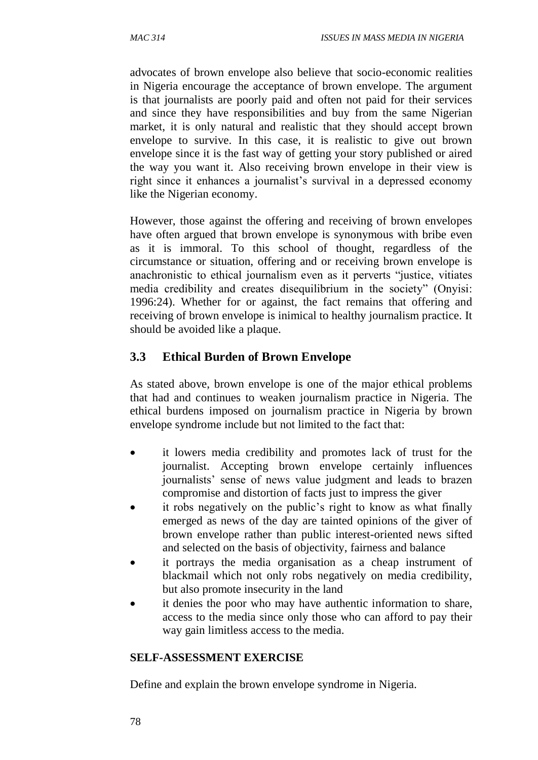advocates of brown envelope also believe that socio-economic realities in Nigeria encourage the acceptance of brown envelope. The argument is that journalists are poorly paid and often not paid for their services and since they have responsibilities and buy from the same Nigerian market, it is only natural and realistic that they should accept brown envelope to survive. In this case, it is realistic to give out brown envelope since it is the fast way of getting your story published or aired the way you want it. Also receiving brown envelope in their view is right since it enhances a journalist's survival in a depressed economy like the Nigerian economy.

However, those against the offering and receiving of brown envelopes have often argued that brown envelope is synonymous with bribe even as it is immoral. To this school of thought, regardless of the circumstance or situation, offering and or receiving brown envelope is anachronistic to ethical journalism even as it perverts "justice, vitiates media credibility and creates disequilibrium in the society" (Onyisi: 1996:24). Whether for or against, the fact remains that offering and receiving of brown envelope is inimical to healthy journalism practice. It should be avoided like a plaque.

## **3.3 Ethical Burden of Brown Envelope**

As stated above, brown envelope is one of the major ethical problems that had and continues to weaken journalism practice in Nigeria. The ethical burdens imposed on journalism practice in Nigeria by brown envelope syndrome include but not limited to the fact that:

- it lowers media credibility and promotes lack of trust for the journalist. Accepting brown envelope certainly influences journalists' sense of news value judgment and leads to brazen compromise and distortion of facts just to impress the giver
- it robs negatively on the public's right to know as what finally emerged as news of the day are tainted opinions of the giver of brown envelope rather than public interest-oriented news sifted and selected on the basis of objectivity, fairness and balance
- it portrays the media organisation as a cheap instrument of blackmail which not only robs negatively on media credibility, but also promote insecurity in the land
- it denies the poor who may have authentic information to share, access to the media since only those who can afford to pay their way gain limitless access to the media.

#### **SELF-ASSESSMENT EXERCISE**

Define and explain the brown envelope syndrome in Nigeria.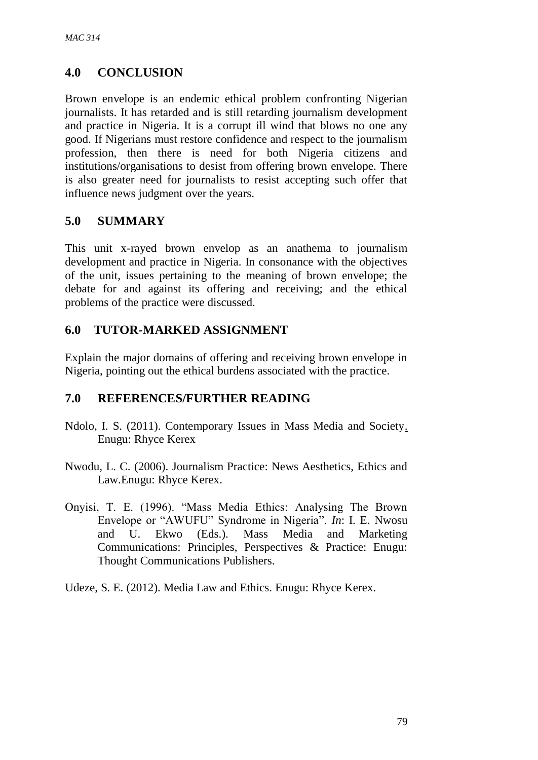# **4.0 CONCLUSION**

Brown envelope is an endemic ethical problem confronting Nigerian journalists. It has retarded and is still retarding journalism development and practice in Nigeria. It is a corrupt ill wind that blows no one any good. If Nigerians must restore confidence and respect to the journalism profession, then there is need for both Nigeria citizens and institutions/organisations to desist from offering brown envelope. There is also greater need for journalists to resist accepting such offer that influence news judgment over the years.

## **5.0 SUMMARY**

This unit x-rayed brown envelop as an anathema to journalism development and practice in Nigeria. In consonance with the objectives of the unit, issues pertaining to the meaning of brown envelope; the debate for and against its offering and receiving; and the ethical problems of the practice were discussed.

# **6.0 TUTOR-MARKED ASSIGNMENT**

Explain the major domains of offering and receiving brown envelope in Nigeria, pointing out the ethical burdens associated with the practice.

## **7.0 REFERENCES/FURTHER READING**

- Ndolo, I. S. (2011). Contemporary Issues in Mass Media and Society. Enugu: Rhyce Kerex
- Nwodu, L. C. (2006). Journalism Practice: News Aesthetics, Ethics and Law.Enugu: Rhyce Kerex.
- Onyisi, T. E. (1996). "Mass Media Ethics: Analysing The Brown Envelope or "AWUFU" Syndrome in Nigeria". *In*: I. E. Nwosu and U. Ekwo (Eds.). Mass Media and Marketing Communications: Principles, Perspectives & Practice: Enugu: Thought Communications Publishers.
- Udeze, S. E. (2012). Media Law and Ethics. Enugu: Rhyce Kerex.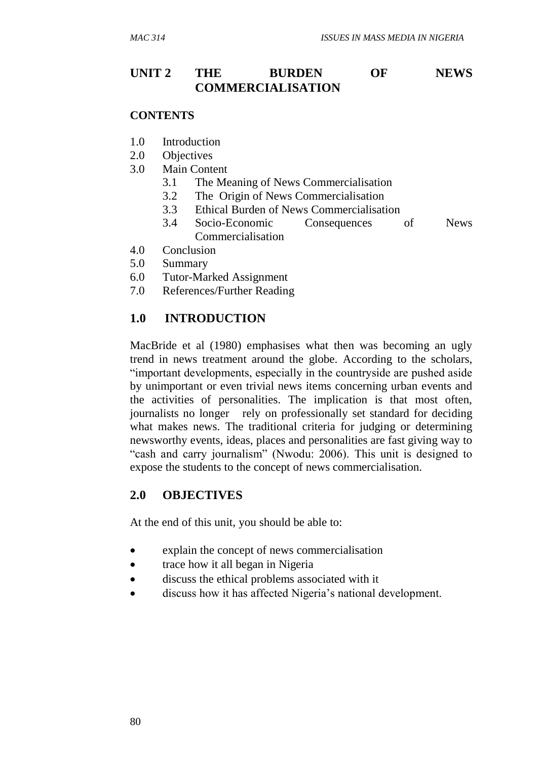## **UNIT 2 THE BURDEN OF NEWS COMMERCIALISATION**

#### **CONTENTS**

- 1.0 Introduction
- 2.0 Objectives
- 3.0 Main Content
	- 3.1 The Meaning of News Commercialisation
	- 3.2 The Origin of News Commercialisation
	- 3.3 Ethical Burden of News Commercialisation
	- 3.4 Socio-Economic Consequences of News Commercialisation
- 4.0 Conclusion
- 5.0 Summary
- 6.0 Tutor-Marked Assignment
- 7.0 References/Further Reading

#### **1.0 INTRODUCTION**

MacBride et al (1980) emphasises what then was becoming an ugly trend in news treatment around the globe. According to the scholars, "important developments, especially in the countryside are pushed aside by unimportant or even trivial news items concerning urban events and the activities of personalities. The implication is that most often, journalists no longer rely on professionally set standard for deciding what makes news. The traditional criteria for judging or determining newsworthy events, ideas, places and personalities are fast giving way to "cash and carry journalism" (Nwodu: 2006). This unit is designed to expose the students to the concept of news commercialisation.

#### **2.0 OBJECTIVES**

At the end of this unit, you should be able to:

- explain the concept of news commercialisation
- trace how it all began in Nigeria
- discuss the ethical problems associated with it
- discuss how it has affected Nigeria's national development.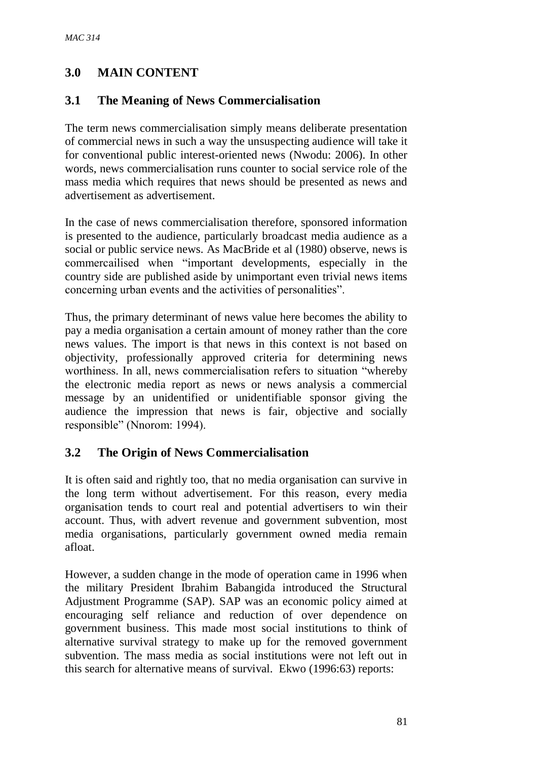# **3.0 MAIN CONTENT**

# **3.1 The Meaning of News Commercialisation**

The term news commercialisation simply means deliberate presentation of commercial news in such a way the unsuspecting audience will take it for conventional public interest-oriented news (Nwodu: 2006). In other words, news commercialisation runs counter to social service role of the mass media which requires that news should be presented as news and advertisement as advertisement.

In the case of news commercialisation therefore, sponsored information is presented to the audience, particularly broadcast media audience as a social or public service news. As MacBride et al (1980) observe, news is commercailised when "important developments, especially in the country side are published aside by unimportant even trivial news items concerning urban events and the activities of personalities".

Thus, the primary determinant of news value here becomes the ability to pay a media organisation a certain amount of money rather than the core news values. The import is that news in this context is not based on objectivity, professionally approved criteria for determining news worthiness. In all, news commercialisation refers to situation "whereby the electronic media report as news or news analysis a commercial message by an unidentified or unidentifiable sponsor giving the audience the impression that news is fair, objective and socially responsible" (Nnorom: 1994).

# **3.2 The Origin of News Commercialisation**

It is often said and rightly too, that no media organisation can survive in the long term without advertisement. For this reason, every media organisation tends to court real and potential advertisers to win their account. Thus, with advert revenue and government subvention, most media organisations, particularly government owned media remain afloat.

However, a sudden change in the mode of operation came in 1996 when the military President Ibrahim Babangida introduced the Structural Adjustment Programme (SAP). SAP was an economic policy aimed at encouraging self reliance and reduction of over dependence on government business. This made most social institutions to think of alternative survival strategy to make up for the removed government subvention. The mass media as social institutions were not left out in this search for alternative means of survival. Ekwo (1996:63) reports: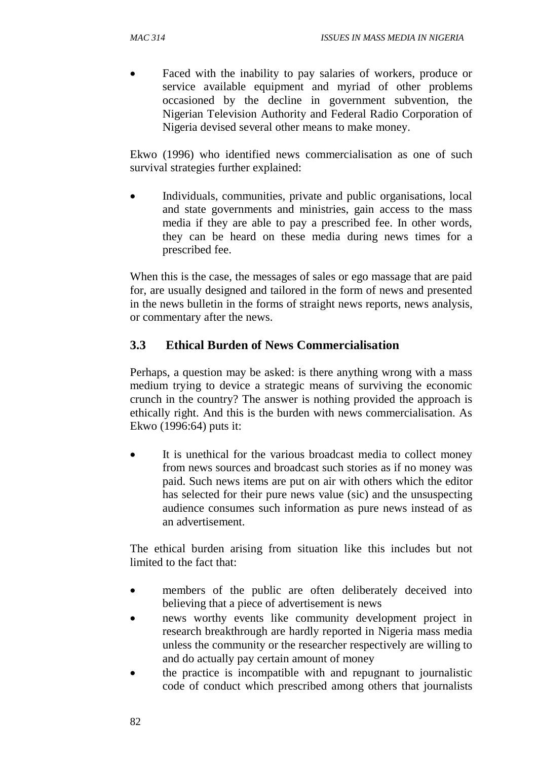Faced with the inability to pay salaries of workers, produce or service available equipment and myriad of other problems occasioned by the decline in government subvention, the Nigerian Television Authority and Federal Radio Corporation of Nigeria devised several other means to make money.

Ekwo (1996) who identified news commercialisation as one of such survival strategies further explained:

 Individuals, communities, private and public organisations, local and state governments and ministries, gain access to the mass media if they are able to pay a prescribed fee. In other words, they can be heard on these media during news times for a prescribed fee.

When this is the case, the messages of sales or ego massage that are paid for, are usually designed and tailored in the form of news and presented in the news bulletin in the forms of straight news reports, news analysis, or commentary after the news.

#### **3.3 Ethical Burden of News Commercialisation**

Perhaps, a question may be asked: is there anything wrong with a mass medium trying to device a strategic means of surviving the economic crunch in the country? The answer is nothing provided the approach is ethically right. And this is the burden with news commercialisation. As Ekwo (1996:64) puts it:

 It is unethical for the various broadcast media to collect money from news sources and broadcast such stories as if no money was paid. Such news items are put on air with others which the editor has selected for their pure news value (sic) and the unsuspecting audience consumes such information as pure news instead of as an advertisement.

The ethical burden arising from situation like this includes but not limited to the fact that:

- members of the public are often deliberately deceived into believing that a piece of advertisement is news
- news worthy events like community development project in research breakthrough are hardly reported in Nigeria mass media unless the community or the researcher respectively are willing to and do actually pay certain amount of money
- the practice is incompatible with and repugnant to journalistic code of conduct which prescribed among others that journalists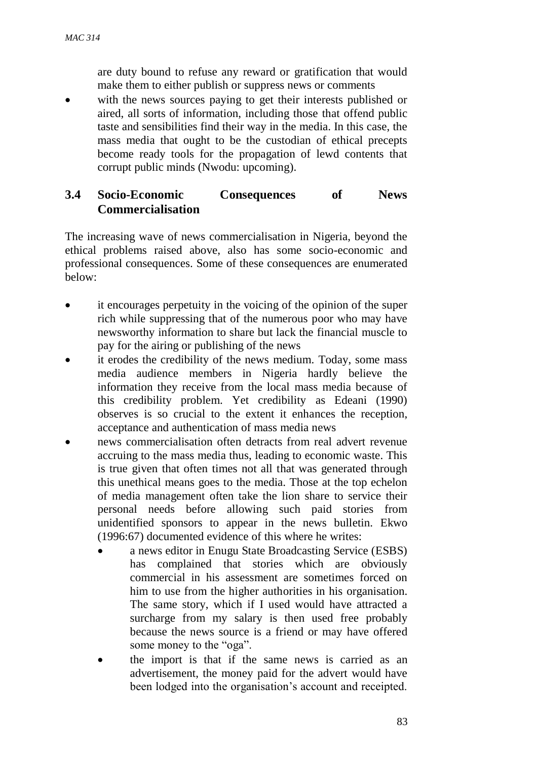are duty bound to refuse any reward or gratification that would make them to either publish or suppress news or comments

 with the news sources paying to get their interests published or aired, all sorts of information, including those that offend public taste and sensibilities find their way in the media. In this case, the mass media that ought to be the custodian of ethical precepts become ready tools for the propagation of lewd contents that corrupt public minds (Nwodu: upcoming).

#### **3.4 Socio-Economic Consequences of News Commercialisation**

The increasing wave of news commercialisation in Nigeria, beyond the ethical problems raised above, also has some socio-economic and professional consequences. Some of these consequences are enumerated below:

- it encourages perpetuity in the voicing of the opinion of the super rich while suppressing that of the numerous poor who may have newsworthy information to share but lack the financial muscle to pay for the airing or publishing of the news
- it erodes the credibility of the news medium. Today, some mass media audience members in Nigeria hardly believe the information they receive from the local mass media because of this credibility problem. Yet credibility as Edeani (1990) observes is so crucial to the extent it enhances the reception, acceptance and authentication of mass media news
- news commercialisation often detracts from real advert revenue accruing to the mass media thus, leading to economic waste. This is true given that often times not all that was generated through this unethical means goes to the media. Those at the top echelon of media management often take the lion share to service their personal needs before allowing such paid stories from unidentified sponsors to appear in the news bulletin. Ekwo (1996:67) documented evidence of this where he writes:
	- a news editor in Enugu State Broadcasting Service (ESBS) has complained that stories which are obviously commercial in his assessment are sometimes forced on him to use from the higher authorities in his organisation. The same story, which if I used would have attracted a surcharge from my salary is then used free probably because the news source is a friend or may have offered some money to the "oga".
	- the import is that if the same news is carried as an advertisement, the money paid for the advert would have been lodged into the organisation's account and receipted.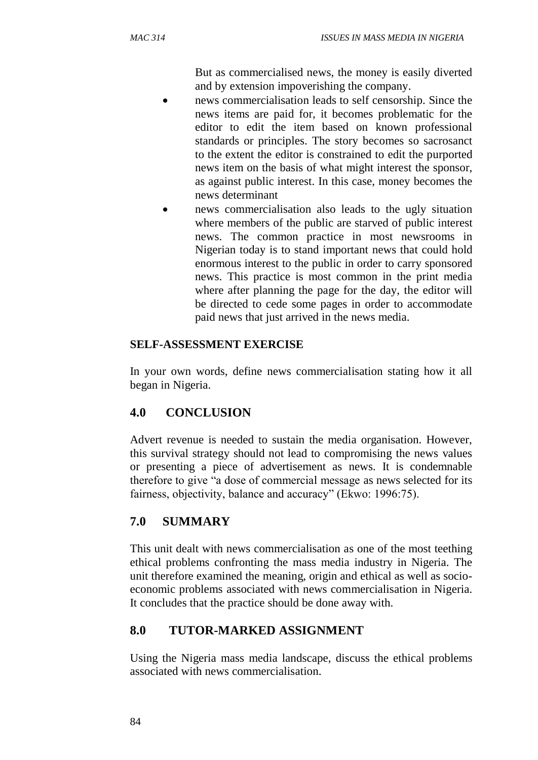But as commercialised news, the money is easily diverted and by extension impoverishing the company.

- news commercialisation leads to self censorship. Since the news items are paid for, it becomes problematic for the editor to edit the item based on known professional standards or principles. The story becomes so sacrosanct to the extent the editor is constrained to edit the purported news item on the basis of what might interest the sponsor, as against public interest. In this case, money becomes the news determinant
- news commercialisation also leads to the ugly situation where members of the public are starved of public interest news. The common practice in most newsrooms in Nigerian today is to stand important news that could hold enormous interest to the public in order to carry sponsored news. This practice is most common in the print media where after planning the page for the day, the editor will be directed to cede some pages in order to accommodate paid news that just arrived in the news media.

#### **SELF-ASSESSMENT EXERCISE**

In your own words, define news commercialisation stating how it all began in Nigeria.

## **4.0 CONCLUSION**

Advert revenue is needed to sustain the media organisation. However, this survival strategy should not lead to compromising the news values or presenting a piece of advertisement as news. It is condemnable therefore to give "a dose of commercial message as news selected for its fairness, objectivity, balance and accuracy" (Ekwo: 1996:75).

## **7.0 SUMMARY**

This unit dealt with news commercialisation as one of the most teething ethical problems confronting the mass media industry in Nigeria. The unit therefore examined the meaning, origin and ethical as well as socioeconomic problems associated with news commercialisation in Nigeria. It concludes that the practice should be done away with.

## **8.0 TUTOR-MARKED ASSIGNMENT**

Using the Nigeria mass media landscape, discuss the ethical problems associated with news commercialisation.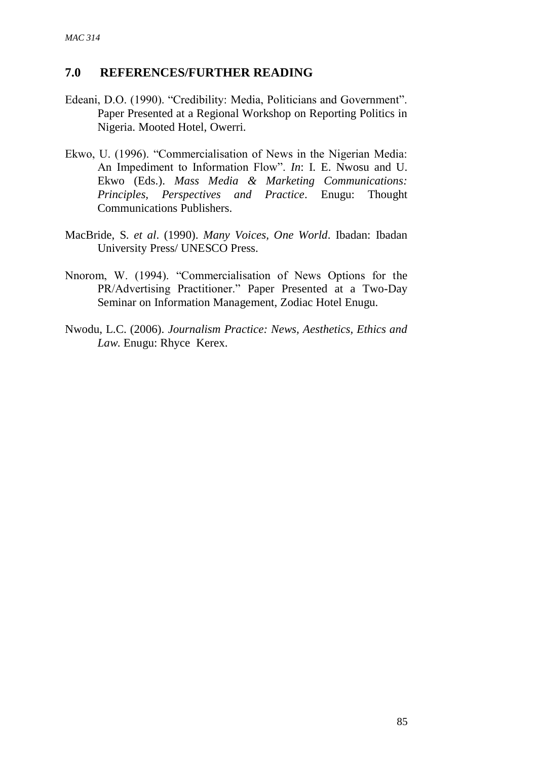## **7.0 REFERENCES/FURTHER READING**

- Edeani, D.O. (1990). "Credibility: Media, Politicians and Government". Paper Presented at a Regional Workshop on Reporting Politics in Nigeria. Mooted Hotel, Owerri.
- Ekwo, U. (1996). "Commercialisation of News in the Nigerian Media: An Impediment to Information Flow". *In*: I. E. Nwosu and U. Ekwo (Eds.). *Mass Media & Marketing Communications: Principles, Perspectives and Practice*. Enugu: Thought Communications Publishers.
- MacBride, S. *et al*. (1990). *Many Voices, One World*. Ibadan: Ibadan University Press/ UNESCO Press.
- Nnorom, W. (1994). "Commercialisation of News Options for the PR/Advertising Practitioner." Paper Presented at a Two-Day Seminar on Information Management, Zodiac Hotel Enugu.
- Nwodu, L.C. (2006). *Journalism Practice: News, Aesthetics, Ethics and Law*. Enugu: Rhyce Kerex.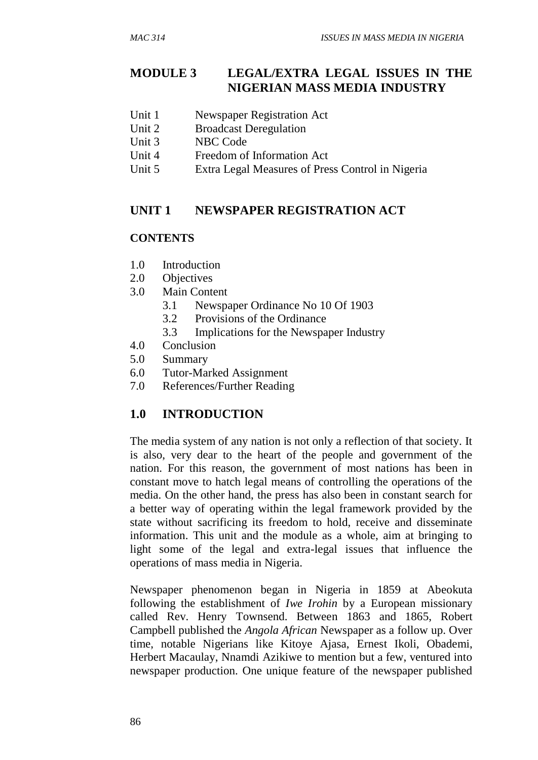# **MODULE 3 LEGAL/EXTRA LEGAL ISSUES IN THE NIGERIAN MASS MEDIA INDUSTRY**

- Unit 1 Newspaper Registration Act
- Unit 2 Broadcast Deregulation
- Unit 3 NBC Code
- Unit 4 Freedom of Information Act
- Unit 5 Extra Legal Measures of Press Control in Nigeria

#### **UNIT 1 NEWSPAPER REGISTRATION ACT**

#### **CONTENTS**

- 1.0 Introduction
- 2.0 Objectives
- 3.0 Main Content
	- 3.1 Newspaper Ordinance No 10 Of 1903
	- 3.2 Provisions of the Ordinance
	- 3.3 Implications for the Newspaper Industry
- 4.0 Conclusion
- 5.0 Summary
- 6.0 Tutor-Marked Assignment
- 7.0 References/Further Reading

## **1.0 INTRODUCTION**

The media system of any nation is not only a reflection of that society. It is also, very dear to the heart of the people and government of the nation. For this reason, the government of most nations has been in constant move to hatch legal means of controlling the operations of the media. On the other hand, the press has also been in constant search for a better way of operating within the legal framework provided by the state without sacrificing its freedom to hold, receive and disseminate information. This unit and the module as a whole, aim at bringing to light some of the legal and extra-legal issues that influence the operations of mass media in Nigeria.

Newspaper phenomenon began in Nigeria in 1859 at Abeokuta following the establishment of *Iwe Irohin* by a European missionary called Rev. Henry Townsend. Between 1863 and 1865, Robert Campbell published the *Angola African* Newspaper as a follow up. Over time, notable Nigerians like Kitoye Ajasa, Ernest Ikoli, Obademi, Herbert Macaulay, Nnamdi Azikiwe to mention but a few, ventured into newspaper production. One unique feature of the newspaper published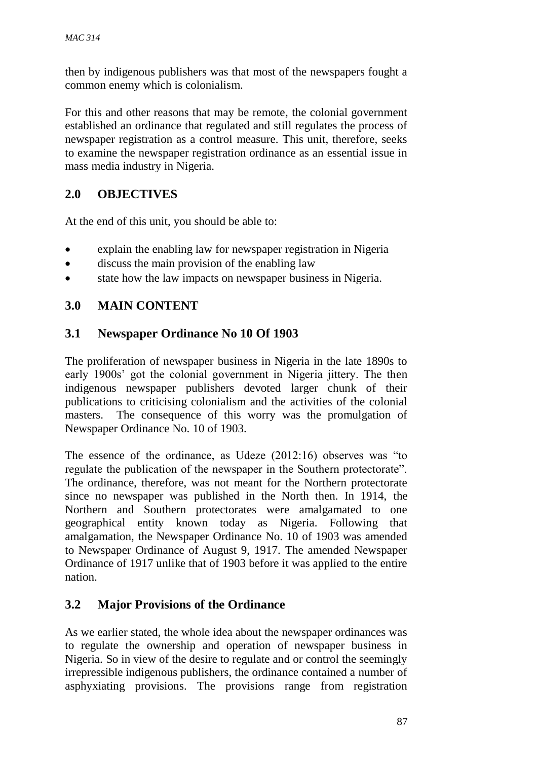then by indigenous publishers was that most of the newspapers fought a common enemy which is colonialism.

For this and other reasons that may be remote, the colonial government established an ordinance that regulated and still regulates the process of newspaper registration as a control measure. This unit, therefore, seeks to examine the newspaper registration ordinance as an essential issue in mass media industry in Nigeria.

# **2.0 OBJECTIVES**

At the end of this unit, you should be able to:

- explain the enabling law for newspaper registration in Nigeria
- discuss the main provision of the enabling law
- state how the law impacts on newspaper business in Nigeria.

#### **3.0 MAIN CONTENT**

#### **3.1 Newspaper Ordinance No 10 Of 1903**

The proliferation of newspaper business in Nigeria in the late 1890s to early 1900s' got the colonial government in Nigeria jittery. The then indigenous newspaper publishers devoted larger chunk of their publications to criticising colonialism and the activities of the colonial masters. The consequence of this worry was the promulgation of Newspaper Ordinance No. 10 of 1903.

The essence of the ordinance, as Udeze (2012:16) observes was "to regulate the publication of the newspaper in the Southern protectorate". The ordinance, therefore, was not meant for the Northern protectorate since no newspaper was published in the North then. In 1914, the Northern and Southern protectorates were amalgamated to one geographical entity known today as Nigeria. Following that amalgamation, the Newspaper Ordinance No. 10 of 1903 was amended to Newspaper Ordinance of August 9, 1917. The amended Newspaper Ordinance of 1917 unlike that of 1903 before it was applied to the entire nation.

#### **3.2 Major Provisions of the Ordinance**

As we earlier stated, the whole idea about the newspaper ordinances was to regulate the ownership and operation of newspaper business in Nigeria. So in view of the desire to regulate and or control the seemingly irrepressible indigenous publishers, the ordinance contained a number of asphyxiating provisions. The provisions range from registration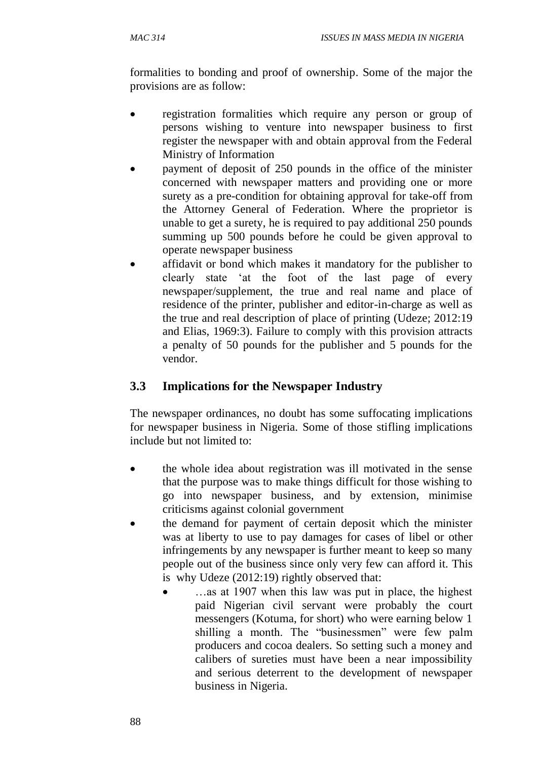formalities to bonding and proof of ownership. Some of the major the provisions are as follow:

- registration formalities which require any person or group of persons wishing to venture into newspaper business to first register the newspaper with and obtain approval from the Federal Ministry of Information
- payment of deposit of 250 pounds in the office of the minister concerned with newspaper matters and providing one or more surety as a pre-condition for obtaining approval for take-off from the Attorney General of Federation. Where the proprietor is unable to get a surety, he is required to pay additional 250 pounds summing up 500 pounds before he could be given approval to operate newspaper business
- affidavit or bond which makes it mandatory for the publisher to clearly state 'at the foot of the last page of every newspaper/supplement, the true and real name and place of residence of the printer, publisher and editor-in-charge as well as the true and real description of place of printing (Udeze; 2012:19 and Elias, 1969:3). Failure to comply with this provision attracts a penalty of 50 pounds for the publisher and 5 pounds for the vendor.

# **3.3 Implications for the Newspaper Industry**

The newspaper ordinances, no doubt has some suffocating implications for newspaper business in Nigeria. Some of those stifling implications include but not limited to:

- the whole idea about registration was ill motivated in the sense that the purpose was to make things difficult for those wishing to go into newspaper business, and by extension, minimise criticisms against colonial government
- the demand for payment of certain deposit which the minister was at liberty to use to pay damages for cases of libel or other infringements by any newspaper is further meant to keep so many people out of the business since only very few can afford it. This is why Udeze (2012:19) rightly observed that:
	- …as at 1907 when this law was put in place, the highest paid Nigerian civil servant were probably the court messengers (Kotuma, for short) who were earning below 1 shilling a month. The "businessmen" were few palm producers and cocoa dealers. So setting such a money and calibers of sureties must have been a near impossibility and serious deterrent to the development of newspaper business in Nigeria.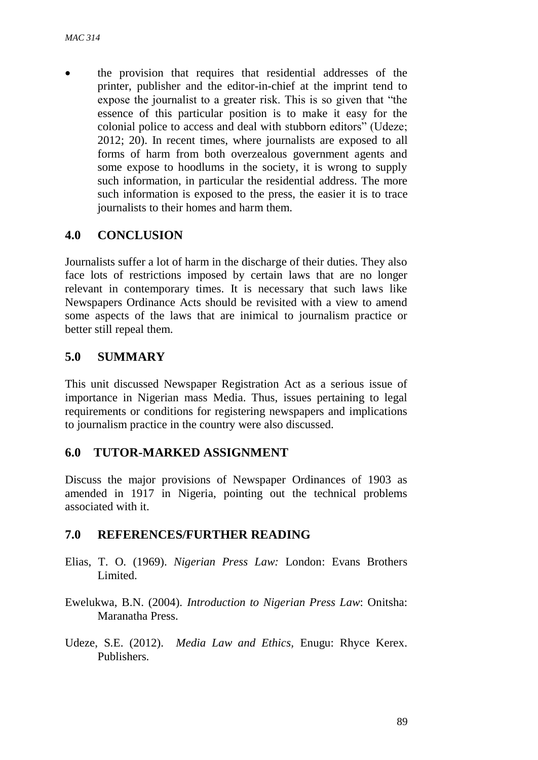the provision that requires that residential addresses of the printer, publisher and the editor-in-chief at the imprint tend to expose the journalist to a greater risk. This is so given that "the essence of this particular position is to make it easy for the colonial police to access and deal with stubborn editors" (Udeze; 2012; 20). In recent times, where journalists are exposed to all forms of harm from both overzealous government agents and some expose to hoodlums in the society, it is wrong to supply such information, in particular the residential address. The more such information is exposed to the press, the easier it is to trace journalists to their homes and harm them.

#### **4.0 CONCLUSION**

Journalists suffer a lot of harm in the discharge of their duties. They also face lots of restrictions imposed by certain laws that are no longer relevant in contemporary times. It is necessary that such laws like Newspapers Ordinance Acts should be revisited with a view to amend some aspects of the laws that are inimical to journalism practice or better still repeal them.

#### **5.0 SUMMARY**

This unit discussed Newspaper Registration Act as a serious issue of importance in Nigerian mass Media. Thus, issues pertaining to legal requirements or conditions for registering newspapers and implications to journalism practice in the country were also discussed.

#### **6.0 TUTOR-MARKED ASSIGNMENT**

Discuss the major provisions of Newspaper Ordinances of 1903 as amended in 1917 in Nigeria, pointing out the technical problems associated with it.

#### **7.0 REFERENCES/FURTHER READING**

- Elias, T. O. (1969). *Nigerian Press Law:* London: Evans Brothers Limited.
- Ewelukwa, B.N. (2004). *Introduction to Nigerian Press Law*: Onitsha: Maranatha Press.
- Udeze, S.E. (2012). *Media Law and Ethics,* Enugu: Rhyce Kerex. Publishers.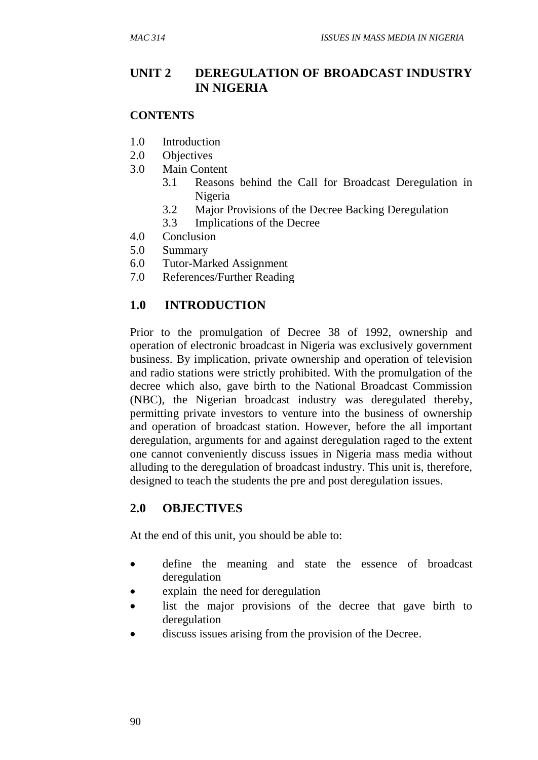#### **UNIT 2 DEREGULATION OF BROADCAST INDUSTRY IN NIGERIA**

#### **CONTENTS**

- 1.0 Introduction
- 2.0 Objectives
- 3.0 Main Content
	- 3.1 Reasons behind the Call for Broadcast Deregulation in Nigeria
	- 3.2 Major Provisions of the Decree Backing Deregulation
	- 3.3 Implications of the Decree
- 4.0 Conclusion
- 5.0 Summary
- 6.0 Tutor-Marked Assignment
- 7.0 References/Further Reading

#### **1.0 INTRODUCTION**

Prior to the promulgation of Decree 38 of 1992, ownership and operation of electronic broadcast in Nigeria was exclusively government business. By implication, private ownership and operation of television and radio stations were strictly prohibited. With the promulgation of the decree which also, gave birth to the National Broadcast Commission (NBC), the Nigerian broadcast industry was deregulated thereby, permitting private investors to venture into the business of ownership and operation of broadcast station. However, before the all important deregulation, arguments for and against deregulation raged to the extent one cannot conveniently discuss issues in Nigeria mass media without alluding to the deregulation of broadcast industry. This unit is, therefore, designed to teach the students the pre and post deregulation issues.

#### **2.0 OBJECTIVES**

At the end of this unit, you should be able to:

- define the meaning and state the essence of broadcast deregulation
- explain the need for deregulation
- list the major provisions of the decree that gave birth to deregulation
- discuss issues arising from the provision of the Decree.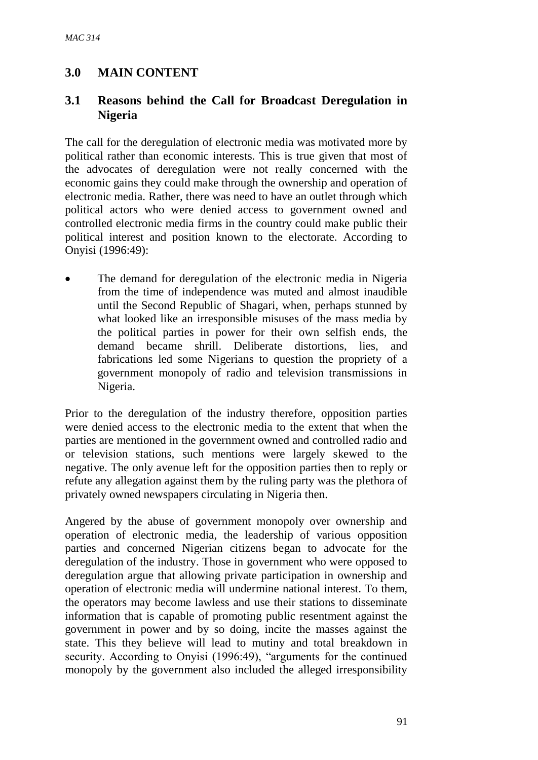## **3.0 MAIN CONTENT**

#### **3.1 Reasons behind the Call for Broadcast Deregulation in Nigeria**

The call for the deregulation of electronic media was motivated more by political rather than economic interests. This is true given that most of the advocates of deregulation were not really concerned with the economic gains they could make through the ownership and operation of electronic media. Rather, there was need to have an outlet through which political actors who were denied access to government owned and controlled electronic media firms in the country could make public their political interest and position known to the electorate. According to Onyisi (1996:49):

 The demand for deregulation of the electronic media in Nigeria from the time of independence was muted and almost inaudible until the Second Republic of Shagari, when, perhaps stunned by what looked like an irresponsible misuses of the mass media by the political parties in power for their own selfish ends, the demand became shrill. Deliberate distortions, lies, and fabrications led some Nigerians to question the propriety of a government monopoly of radio and television transmissions in Nigeria.

Prior to the deregulation of the industry therefore, opposition parties were denied access to the electronic media to the extent that when the parties are mentioned in the government owned and controlled radio and or television stations, such mentions were largely skewed to the negative. The only avenue left for the opposition parties then to reply or refute any allegation against them by the ruling party was the plethora of privately owned newspapers circulating in Nigeria then.

Angered by the abuse of government monopoly over ownership and operation of electronic media, the leadership of various opposition parties and concerned Nigerian citizens began to advocate for the deregulation of the industry. Those in government who were opposed to deregulation argue that allowing private participation in ownership and operation of electronic media will undermine national interest. To them, the operators may become lawless and use their stations to disseminate information that is capable of promoting public resentment against the government in power and by so doing, incite the masses against the state. This they believe will lead to mutiny and total breakdown in security. According to Onyisi (1996:49), "arguments for the continued monopoly by the government also included the alleged irresponsibility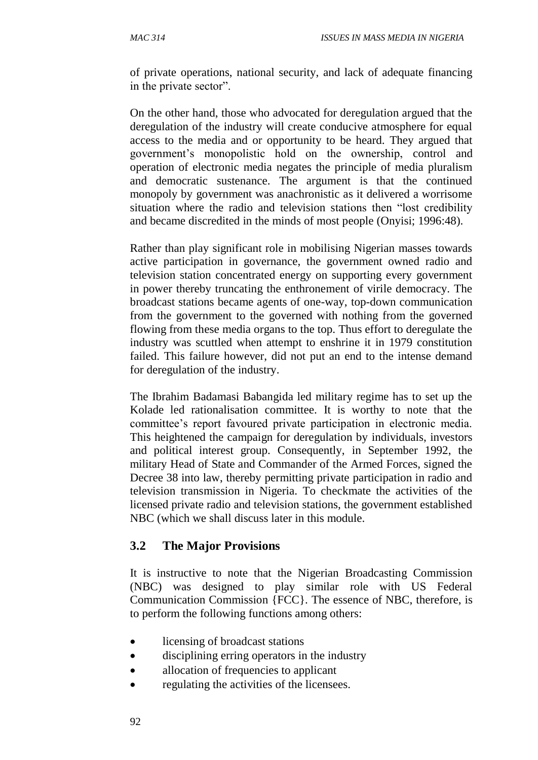of private operations, national security, and lack of adequate financing in the private sector".

On the other hand, those who advocated for deregulation argued that the deregulation of the industry will create conducive atmosphere for equal access to the media and or opportunity to be heard. They argued that government's monopolistic hold on the ownership, control and operation of electronic media negates the principle of media pluralism and democratic sustenance. The argument is that the continued monopoly by government was anachronistic as it delivered a worrisome situation where the radio and television stations then "lost credibility and became discredited in the minds of most people (Onyisi; 1996:48).

Rather than play significant role in mobilising Nigerian masses towards active participation in governance, the government owned radio and television station concentrated energy on supporting every government in power thereby truncating the enthronement of virile democracy. The broadcast stations became agents of one-way, top-down communication from the government to the governed with nothing from the governed flowing from these media organs to the top. Thus effort to deregulate the industry was scuttled when attempt to enshrine it in 1979 constitution failed. This failure however, did not put an end to the intense demand for deregulation of the industry.

The Ibrahim Badamasi Babangida led military regime has to set up the Kolade led rationalisation committee. It is worthy to note that the committee's report favoured private participation in electronic media. This heightened the campaign for deregulation by individuals, investors and political interest group. Consequently, in September 1992, the military Head of State and Commander of the Armed Forces, signed the Decree 38 into law, thereby permitting private participation in radio and television transmission in Nigeria. To checkmate the activities of the licensed private radio and television stations, the government established NBC (which we shall discuss later in this module.

#### **3.2 The Major Provisions**

It is instructive to note that the Nigerian Broadcasting Commission (NBC) was designed to play similar role with US Federal Communication Commission {FCC}. The essence of NBC, therefore, is to perform the following functions among others:

- licensing of broadcast stations
- disciplining erring operators in the industry
- allocation of frequencies to applicant
- regulating the activities of the licensees.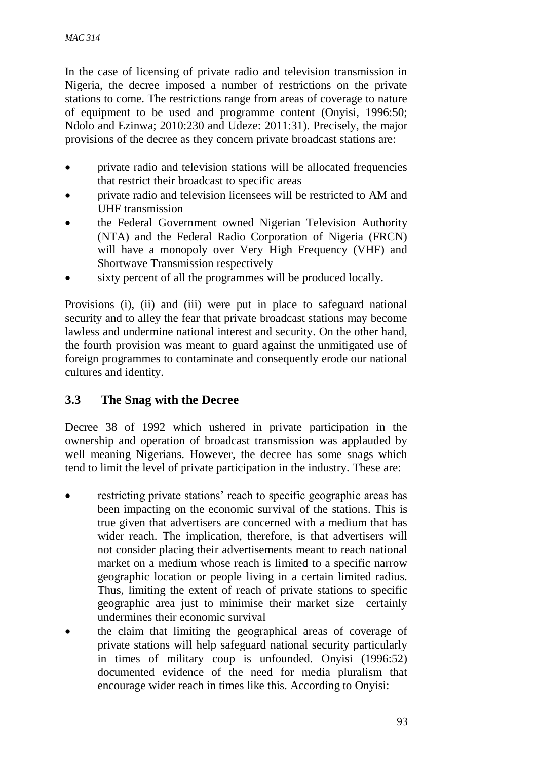In the case of licensing of private radio and television transmission in Nigeria, the decree imposed a number of restrictions on the private stations to come. The restrictions range from areas of coverage to nature of equipment to be used and programme content (Onyisi, 1996:50; Ndolo and Ezinwa; 2010:230 and Udeze: 2011:31). Precisely, the major provisions of the decree as they concern private broadcast stations are:

- private radio and television stations will be allocated frequencies that restrict their broadcast to specific areas
- private radio and television licensees will be restricted to AM and UHF transmission
- the Federal Government owned Nigerian Television Authority (NTA) and the Federal Radio Corporation of Nigeria (FRCN) will have a monopoly over Very High Frequency (VHF) and Shortwave Transmission respectively
- sixty percent of all the programmes will be produced locally.

Provisions (i), (ii) and (iii) were put in place to safeguard national security and to alley the fear that private broadcast stations may become lawless and undermine national interest and security. On the other hand, the fourth provision was meant to guard against the unmitigated use of foreign programmes to contaminate and consequently erode our national cultures and identity.

# **3.3 The Snag with the Decree**

Decree 38 of 1992 which ushered in private participation in the ownership and operation of broadcast transmission was applauded by well meaning Nigerians. However, the decree has some snags which tend to limit the level of private participation in the industry. These are:

- restricting private stations' reach to specific geographic areas has been impacting on the economic survival of the stations. This is true given that advertisers are concerned with a medium that has wider reach. The implication, therefore, is that advertisers will not consider placing their advertisements meant to reach national market on a medium whose reach is limited to a specific narrow geographic location or people living in a certain limited radius. Thus, limiting the extent of reach of private stations to specific geographic area just to minimise their market size certainly undermines their economic survival
- the claim that limiting the geographical areas of coverage of private stations will help safeguard national security particularly in times of military coup is unfounded. Onyisi (1996:52) documented evidence of the need for media pluralism that encourage wider reach in times like this. According to Onyisi: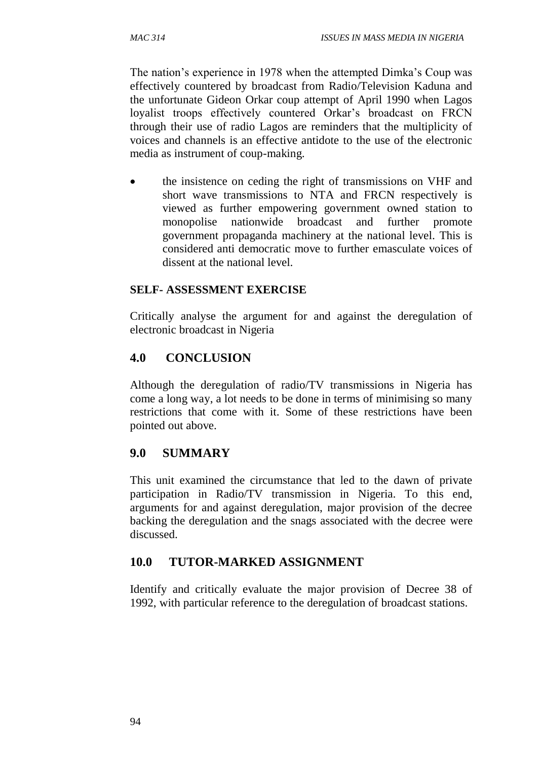The nation's experience in 1978 when the attempted Dimka's Coup was effectively countered by broadcast from Radio/Television Kaduna and the unfortunate Gideon Orkar coup attempt of April 1990 when Lagos loyalist troops effectively countered Orkar's broadcast on FRCN through their use of radio Lagos are reminders that the multiplicity of voices and channels is an effective antidote to the use of the electronic media as instrument of coup-making.

• the insistence on ceding the right of transmissions on VHF and short wave transmissions to NTA and FRCN respectively is viewed as further empowering government owned station to monopolise nationwide broadcast and further promote government propaganda machinery at the national level. This is considered anti democratic move to further emasculate voices of dissent at the national level.

### **SELF- ASSESSMENT EXERCISE**

Critically analyse the argument for and against the deregulation of electronic broadcast in Nigeria

# **4.0 CONCLUSION**

Although the deregulation of radio/TV transmissions in Nigeria has come a long way, a lot needs to be done in terms of minimising so many restrictions that come with it. Some of these restrictions have been pointed out above.

# **9.0 SUMMARY**

This unit examined the circumstance that led to the dawn of private participation in Radio/TV transmission in Nigeria. To this end, arguments for and against deregulation, major provision of the decree backing the deregulation and the snags associated with the decree were discussed.

# **10.0 TUTOR-MARKED ASSIGNMENT**

Identify and critically evaluate the major provision of Decree 38 of 1992, with particular reference to the deregulation of broadcast stations.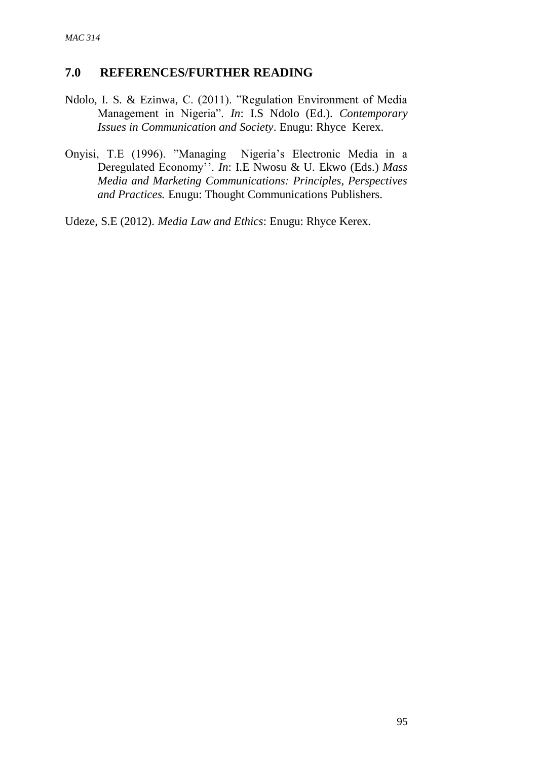#### **7.0 REFERENCES/FURTHER READING**

- Ndolo, I. S. & Ezinwa, C. (2011). "Regulation Environment of Media Management in Nigeria". *In*: I.S Ndolo (Ed.). *Contemporary Issues in Communication and Society*. Enugu: Rhyce Kerex.
- Onyisi, T.E (1996). "Managing Nigeria's Electronic Media in a Deregulated Economy''. *In*: I.E Nwosu & U. Ekwo (Eds.) *Mass Media and Marketing Communications: Principles, Perspectives and Practices.* Enugu: Thought Communications Publishers.

Udeze, S.E (2012). *Media Law and Ethics*: Enugu: Rhyce Kerex.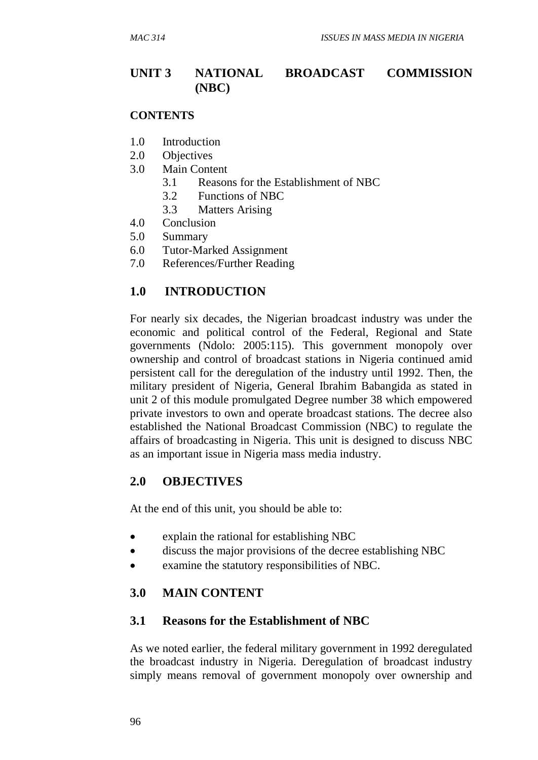# **UNIT 3 NATIONAL BROADCAST COMMISSION (NBC)**

#### **CONTENTS**

- 1.0 Introduction
- 2.0 Objectives
- 3.0 Main Content
	- 3.1 Reasons for the Establishment of NBC
	- 3.2 Functions of NBC
	- 3.3 Matters Arising
- 4.0 Conclusion
- 5.0 Summary
- 6.0 Tutor-Marked Assignment
- 7.0 References/Further Reading

### **1.0 INTRODUCTION**

For nearly six decades, the Nigerian broadcast industry was under the economic and political control of the Federal, Regional and State governments (Ndolo: 2005:115). This government monopoly over ownership and control of broadcast stations in Nigeria continued amid persistent call for the deregulation of the industry until 1992. Then, the military president of Nigeria, General Ibrahim Babangida as stated in unit 2 of this module promulgated Degree number 38 which empowered private investors to own and operate broadcast stations. The decree also established the National Broadcast Commission (NBC) to regulate the affairs of broadcasting in Nigeria. This unit is designed to discuss NBC as an important issue in Nigeria mass media industry.

### **2.0 OBJECTIVES**

At the end of this unit, you should be able to:

- explain the rational for establishing NBC
- discuss the major provisions of the decree establishing NBC
- examine the statutory responsibilities of NBC.

#### **3.0 MAIN CONTENT**

#### **3.1 Reasons for the Establishment of NBC**

As we noted earlier, the federal military government in 1992 deregulated the broadcast industry in Nigeria. Deregulation of broadcast industry simply means removal of government monopoly over ownership and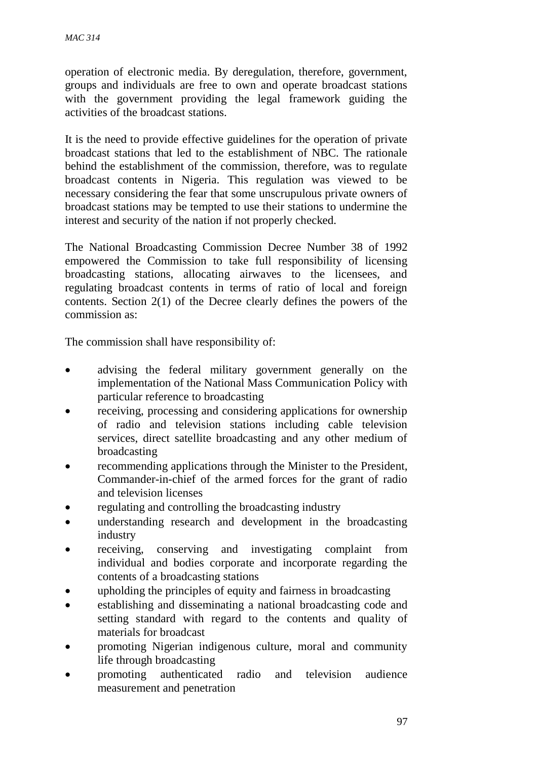operation of electronic media. By deregulation, therefore, government, groups and individuals are free to own and operate broadcast stations with the government providing the legal framework guiding the activities of the broadcast stations.

It is the need to provide effective guidelines for the operation of private broadcast stations that led to the establishment of NBC. The rationale behind the establishment of the commission, therefore, was to regulate broadcast contents in Nigeria. This regulation was viewed to be necessary considering the fear that some unscrupulous private owners of broadcast stations may be tempted to use their stations to undermine the interest and security of the nation if not properly checked.

The National Broadcasting Commission Decree Number 38 of 1992 empowered the Commission to take full responsibility of licensing broadcasting stations, allocating airwaves to the licensees, and regulating broadcast contents in terms of ratio of local and foreign contents. Section 2(1) of the Decree clearly defines the powers of the commission as:

The commission shall have responsibility of:

- advising the federal military government generally on the implementation of the National Mass Communication Policy with particular reference to broadcasting
- receiving, processing and considering applications for ownership of radio and television stations including cable television services, direct satellite broadcasting and any other medium of broadcasting
- recommending applications through the Minister to the President, Commander-in-chief of the armed forces for the grant of radio and television licenses
- regulating and controlling the broadcasting industry
- understanding research and development in the broadcasting industry
- receiving, conserving and investigating complaint from individual and bodies corporate and incorporate regarding the contents of a broadcasting stations
- upholding the principles of equity and fairness in broadcasting
- establishing and disseminating a national broadcasting code and setting standard with regard to the contents and quality of materials for broadcast
- promoting Nigerian indigenous culture, moral and community life through broadcasting
- promoting authenticated radio and television audience measurement and penetration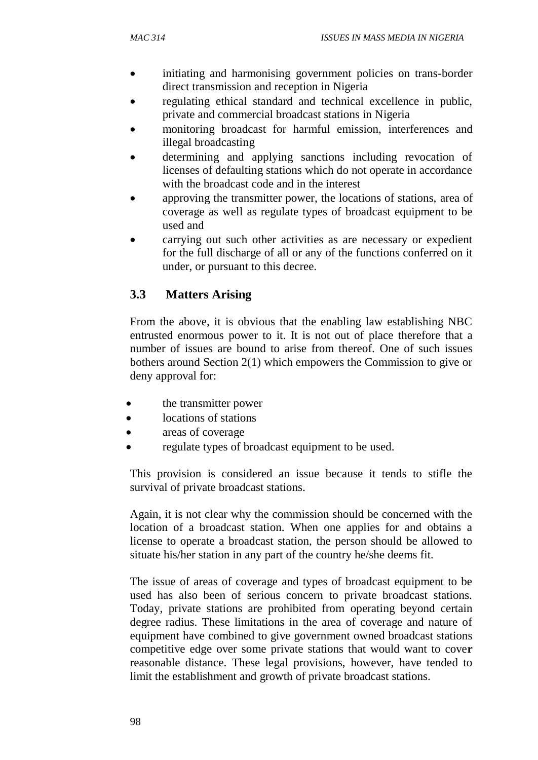- initiating and harmonising government policies on trans-border direct transmission and reception in Nigeria
- regulating ethical standard and technical excellence in public, private and commercial broadcast stations in Nigeria
- monitoring broadcast for harmful emission, interferences and illegal broadcasting
- determining and applying sanctions including revocation of licenses of defaulting stations which do not operate in accordance with the broadcast code and in the interest
- approving the transmitter power, the locations of stations, area of coverage as well as regulate types of broadcast equipment to be used and
- carrying out such other activities as are necessary or expedient for the full discharge of all or any of the functions conferred on it under, or pursuant to this decree.

# **3.3 Matters Arising**

From the above, it is obvious that the enabling law establishing NBC entrusted enormous power to it. It is not out of place therefore that a number of issues are bound to arise from thereof. One of such issues bothers around Section 2(1) which empowers the Commission to give or deny approval for:

- the transmitter power
- locations of stations
- areas of coverage
- regulate types of broadcast equipment to be used.

This provision is considered an issue because it tends to stifle the survival of private broadcast stations.

Again, it is not clear why the commission should be concerned with the location of a broadcast station. When one applies for and obtains a license to operate a broadcast station, the person should be allowed to situate his/her station in any part of the country he/she deems fit.

The issue of areas of coverage and types of broadcast equipment to be used has also been of serious concern to private broadcast stations. Today, private stations are prohibited from operating beyond certain degree radius. These limitations in the area of coverage and nature of equipment have combined to give government owned broadcast stations competitive edge over some private stations that would want to cove**r**  reasonable distance. These legal provisions, however, have tended to limit the establishment and growth of private broadcast stations.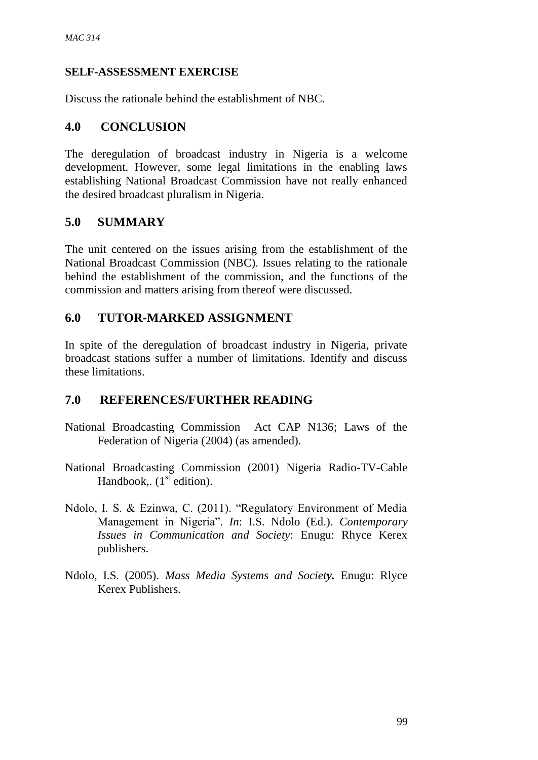### **SELF-ASSESSMENT EXERCISE**

Discuss the rationale behind the establishment of NBC.

# **4.0 CONCLUSION**

The deregulation of broadcast industry in Nigeria is a welcome development. However, some legal limitations in the enabling laws establishing National Broadcast Commission have not really enhanced the desired broadcast pluralism in Nigeria.

# **5.0 SUMMARY**

The unit centered on the issues arising from the establishment of the National Broadcast Commission (NBC). Issues relating to the rationale behind the establishment of the commission, and the functions of the commission and matters arising from thereof were discussed.

# **6.0 TUTOR-MARKED ASSIGNMENT**

In spite of the deregulation of broadcast industry in Nigeria, private broadcast stations suffer a number of limitations. Identify and discuss these limitations.

# **7.0 REFERENCES/FURTHER READING**

- National Broadcasting Commission Act CAP N136; Laws of the Federation of Nigeria (2004) (as amended).
- National Broadcasting Commission (2001) Nigeria Radio-TV-Cable Handbook,.  $(1<sup>st</sup>$  edition).
- Ndolo, I. S. & Ezinwa, C. (2011). "Regulatory Environment of Media Management in Nigeria". *In*: I.S. Ndolo (Ed.). *Contemporary Issues in Communication and Society*: Enugu: Rhyce Kerex publishers.
- Ndolo, I.S. (2005). *Mass Media Systems and Society.* Enugu: Rlyce Kerex Publishers.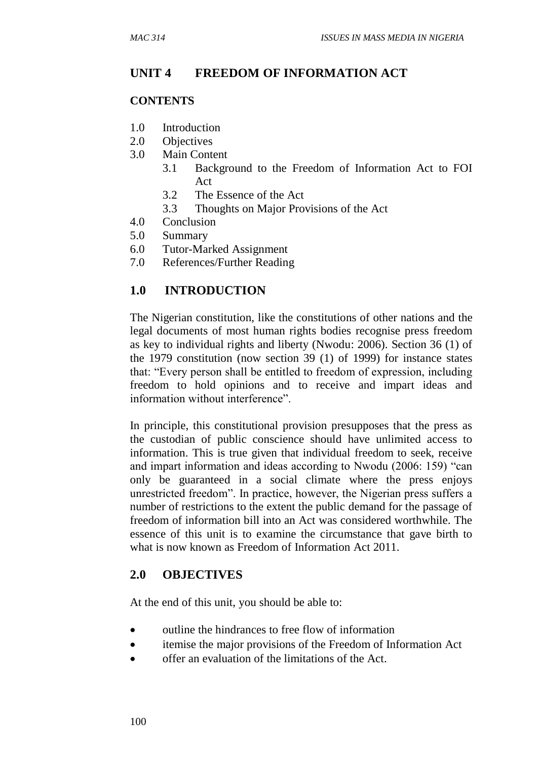### **UNIT 4 FREEDOM OF INFORMATION ACT**

#### **CONTENTS**

- 1.0 Introduction
- 2.0 Objectives
- 3.0 Main Content
	- 3.1 Background to the Freedom of Information Act to FOI Act
	- 3.2 The Essence of the Act
	- 3.3 Thoughts on Major Provisions of the Act
- 4.0 Conclusion
- 5.0 Summary
- 6.0 Tutor-Marked Assignment
- 7.0 References/Further Reading

### **1.0 INTRODUCTION**

The Nigerian constitution, like the constitutions of other nations and the legal documents of most human rights bodies recognise press freedom as key to individual rights and liberty (Nwodu: 2006). Section 36 (1) of the 1979 constitution (now section 39 (1) of 1999) for instance states that: "Every person shall be entitled to freedom of expression, including freedom to hold opinions and to receive and impart ideas and information without interference".

In principle, this constitutional provision presupposes that the press as the custodian of public conscience should have unlimited access to information. This is true given that individual freedom to seek, receive and impart information and ideas according to Nwodu (2006: 159) "can only be guaranteed in a social climate where the press enjoys unrestricted freedom". In practice, however, the Nigerian press suffers a number of restrictions to the extent the public demand for the passage of freedom of information bill into an Act was considered worthwhile. The essence of this unit is to examine the circumstance that gave birth to what is now known as Freedom of Information Act 2011.

#### **2.0 OBJECTIVES**

At the end of this unit, you should be able to:

- outline the hindrances to free flow of information
- itemise the major provisions of the Freedom of Information Act
- offer an evaluation of the limitations of the Act.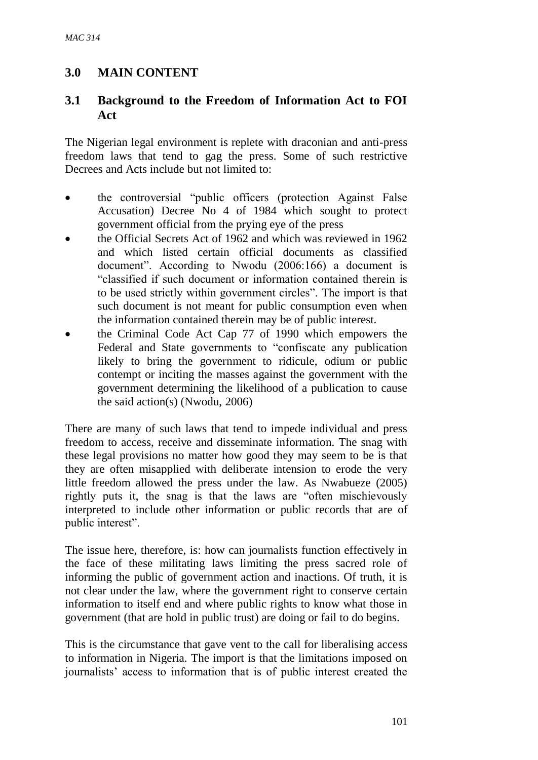# **3.0 MAIN CONTENT**

### **3.1 Background to the Freedom of Information Act to FOI Act**

The Nigerian legal environment is replete with draconian and anti-press freedom laws that tend to gag the press. Some of such restrictive Decrees and Acts include but not limited to:

- the controversial "public officers (protection Against False Accusation) Decree No 4 of 1984 which sought to protect government official from the prying eye of the press
- the Official Secrets Act of 1962 and which was reviewed in 1962 and which listed certain official documents as classified document". According to Nwodu (2006:166) a document is "classified if such document or information contained therein is to be used strictly within government circles". The import is that such document is not meant for public consumption even when the information contained therein may be of public interest.
- the Criminal Code Act Cap 77 of 1990 which empowers the Federal and State governments to "confiscate any publication likely to bring the government to ridicule, odium or public contempt or inciting the masses against the government with the government determining the likelihood of a publication to cause the said action(s) (Nwodu, 2006)

There are many of such laws that tend to impede individual and press freedom to access, receive and disseminate information. The snag with these legal provisions no matter how good they may seem to be is that they are often misapplied with deliberate intension to erode the very little freedom allowed the press under the law. As Nwabueze (2005) rightly puts it, the snag is that the laws are "often mischievously interpreted to include other information or public records that are of public interest".

The issue here, therefore, is: how can journalists function effectively in the face of these militating laws limiting the press sacred role of informing the public of government action and inactions. Of truth, it is not clear under the law, where the government right to conserve certain information to itself end and where public rights to know what those in government (that are hold in public trust) are doing or fail to do begins.

This is the circumstance that gave vent to the call for liberalising access to information in Nigeria. The import is that the limitations imposed on journalists' access to information that is of public interest created the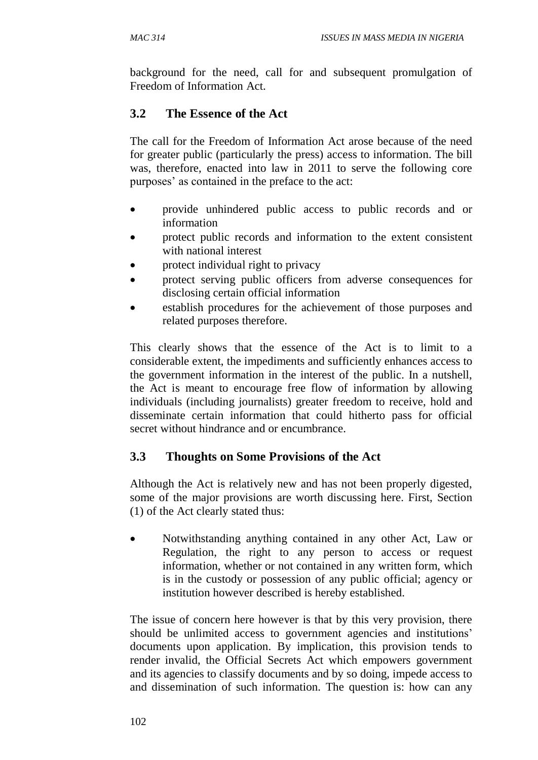background for the need, call for and subsequent promulgation of Freedom of Information Act.

# **3.2 The Essence of the Act**

The call for the Freedom of Information Act arose because of the need for greater public (particularly the press) access to information. The bill was, therefore, enacted into law in 2011 to serve the following core purposes' as contained in the preface to the act:

- provide unhindered public access to public records and or information
- protect public records and information to the extent consistent with national interest
- protect individual right to privacy
- protect serving public officers from adverse consequences for disclosing certain official information
- establish procedures for the achievement of those purposes and related purposes therefore.

This clearly shows that the essence of the Act is to limit to a considerable extent, the impediments and sufficiently enhances access to the government information in the interest of the public. In a nutshell, the Act is meant to encourage free flow of information by allowing individuals (including journalists) greater freedom to receive, hold and disseminate certain information that could hitherto pass for official secret without hindrance and or encumbrance.

# **3.3 Thoughts on Some Provisions of the Act**

Although the Act is relatively new and has not been properly digested, some of the major provisions are worth discussing here. First, Section (1) of the Act clearly stated thus:

 Notwithstanding anything contained in any other Act, Law or Regulation, the right to any person to access or request information, whether or not contained in any written form, which is in the custody or possession of any public official; agency or institution however described is hereby established.

The issue of concern here however is that by this very provision, there should be unlimited access to government agencies and institutions' documents upon application. By implication, this provision tends to render invalid, the Official Secrets Act which empowers government and its agencies to classify documents and by so doing, impede access to and dissemination of such information. The question is: how can any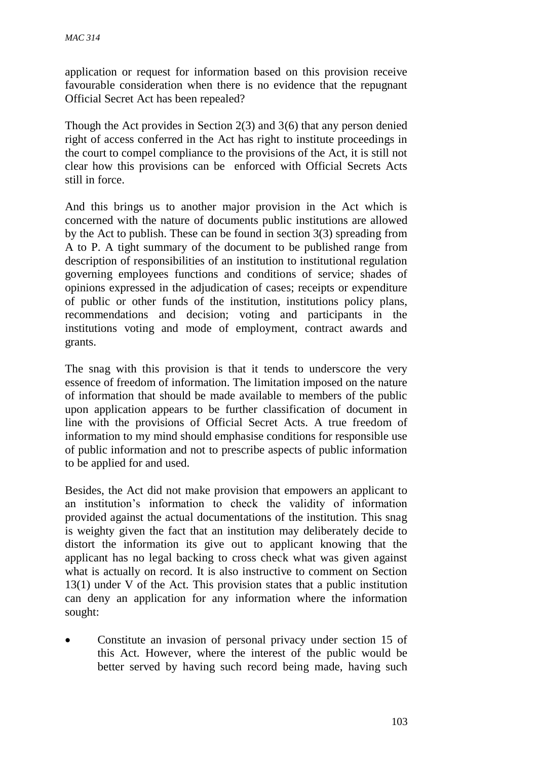application or request for information based on this provision receive favourable consideration when there is no evidence that the repugnant Official Secret Act has been repealed?

Though the Act provides in Section 2(3) and 3(6) that any person denied right of access conferred in the Act has right to institute proceedings in the court to compel compliance to the provisions of the Act, it is still not clear how this provisions can be enforced with Official Secrets Acts still in force.

And this brings us to another major provision in the Act which is concerned with the nature of documents public institutions are allowed by the Act to publish. These can be found in section 3(3) spreading from A to P. A tight summary of the document to be published range from description of responsibilities of an institution to institutional regulation governing employees functions and conditions of service; shades of opinions expressed in the adjudication of cases; receipts or expenditure of public or other funds of the institution, institutions policy plans, recommendations and decision; voting and participants in the institutions voting and mode of employment, contract awards and grants.

The snag with this provision is that it tends to underscore the very essence of freedom of information. The limitation imposed on the nature of information that should be made available to members of the public upon application appears to be further classification of document in line with the provisions of Official Secret Acts. A true freedom of information to my mind should emphasise conditions for responsible use of public information and not to prescribe aspects of public information to be applied for and used.

Besides, the Act did not make provision that empowers an applicant to an institution's information to check the validity of information provided against the actual documentations of the institution. This snag is weighty given the fact that an institution may deliberately decide to distort the information its give out to applicant knowing that the applicant has no legal backing to cross check what was given against what is actually on record. It is also instructive to comment on Section 13(1) under V of the Act. This provision states that a public institution can deny an application for any information where the information sought:

 Constitute an invasion of personal privacy under section 15 of this Act. However, where the interest of the public would be better served by having such record being made, having such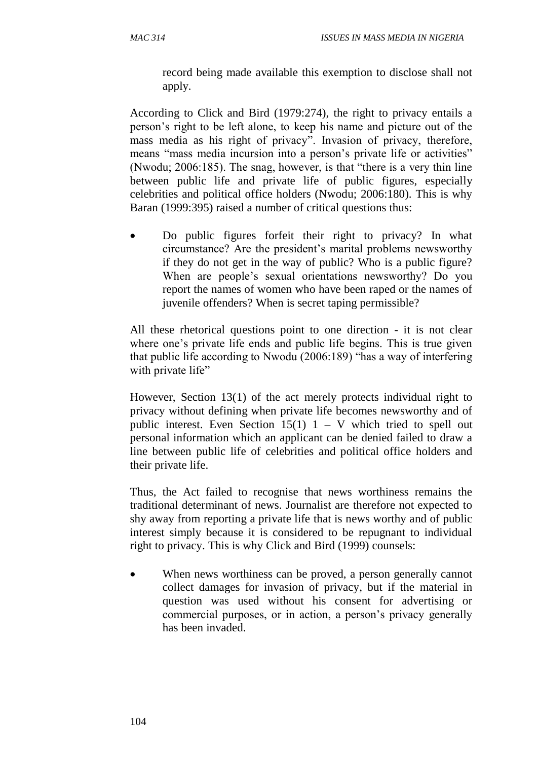record being made available this exemption to disclose shall not apply*.*

According to Click and Bird (1979:274), the right to privacy entails a person's right to be left alone, to keep his name and picture out of the mass media as his right of privacy". Invasion of privacy, therefore, means "mass media incursion into a person's private life or activities" (Nwodu; 2006:185). The snag, however, is that "there is a very thin line between public life and private life of public figures, especially celebrities and political office holders (Nwodu; 2006:180). This is why Baran (1999:395) raised a number of critical questions thus:

 Do public figures forfeit their right to privacy? In what circumstance? Are the president's marital problems newsworthy if they do not get in the way of public? Who is a public figure? When are people's sexual orientations newsworthy? Do you report the names of women who have been raped or the names of juvenile offenders? When is secret taping permissible?

All these rhetorical questions point to one direction - it is not clear where one's private life ends and public life begins. This is true given that public life according to Nwodu (2006:189) "has a way of interfering with private life"

However, Section 13(1) of the act merely protects individual right to privacy without defining when private life becomes newsworthy and of public interest. Even Section  $15(1)$  1 – V which tried to spell out personal information which an applicant can be denied failed to draw a line between public life of celebrities and political office holders and their private life.

Thus, the Act failed to recognise that news worthiness remains the traditional determinant of news. Journalist are therefore not expected to shy away from reporting a private life that is news worthy and of public interest simply because it is considered to be repugnant to individual right to privacy. This is why Click and Bird (1999) counsels:

• When news worthiness can be proved, a person generally cannot collect damages for invasion of privacy, but if the material in question was used without his consent for advertising or commercial purposes, or in action, a person's privacy generally has been invaded.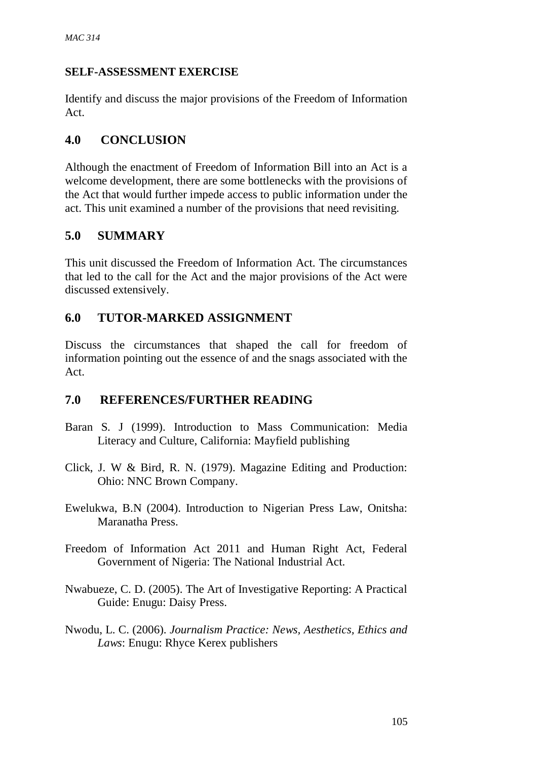### **SELF-ASSESSMENT EXERCISE**

Identify and discuss the major provisions of the Freedom of Information Act.

# **4.0 CONCLUSION**

Although the enactment of Freedom of Information Bill into an Act is a welcome development, there are some bottlenecks with the provisions of the Act that would further impede access to public information under the act. This unit examined a number of the provisions that need revisiting.

# **5.0 SUMMARY**

This unit discussed the Freedom of Information Act. The circumstances that led to the call for the Act and the major provisions of the Act were discussed extensively.

# **6.0 TUTOR-MARKED ASSIGNMENT**

Discuss the circumstances that shaped the call for freedom of information pointing out the essence of and the snags associated with the Act.

# **7.0 REFERENCES/FURTHER READING**

- Baran S. J (1999). Introduction to Mass Communication: Media Literacy and Culture, California: Mayfield publishing
- Click, J. W & Bird, R. N. (1979). Magazine Editing and Production: Ohio: NNC Brown Company.
- Ewelukwa, B.N (2004). Introduction to Nigerian Press Law, Onitsha: Maranatha Press.
- Freedom of Information Act 2011 and Human Right Act, Federal Government of Nigeria: The National Industrial Act.
- Nwabueze, C. D. (2005). The Art of Investigative Reporting: A Practical Guide: Enugu: Daisy Press.
- Nwodu, L. C. (2006). *Journalism Practice: News, Aesthetics, Ethics and Laws*: Enugu: Rhyce Kerex publishers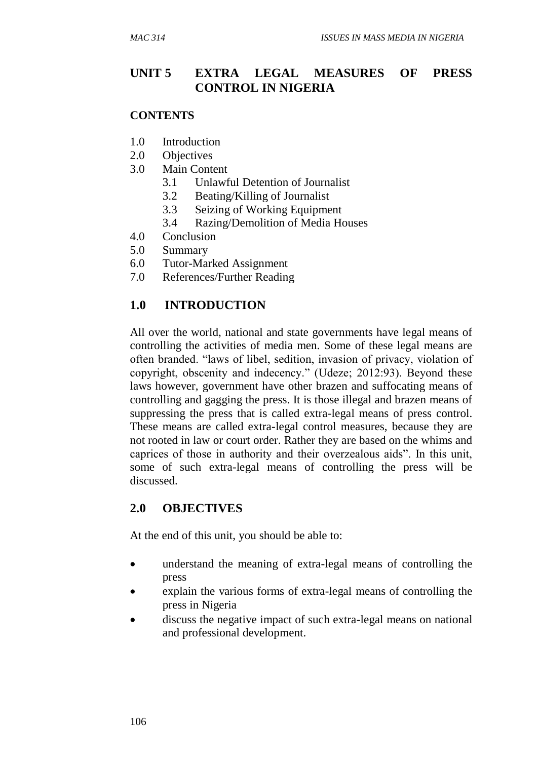### **UNIT 5 EXTRA LEGAL MEASURES OF PRESS CONTROL IN NIGERIA**

#### **CONTENTS**

- 1.0 Introduction
- 2.0 Objectives
- 3.0 Main Content
	- 3.1 Unlawful Detention of Journalist
	- 3.2 Beating/Killing of Journalist
	- 3.3 Seizing of Working Equipment
	- 3.4 Razing/Demolition of Media Houses
- 4.0 Conclusion
- 5.0 Summary
- 6.0 Tutor-Marked Assignment
- 7.0 References/Further Reading

#### **1.0 INTRODUCTION**

All over the world, national and state governments have legal means of controlling the activities of media men. Some of these legal means are often branded. "laws of libel, sedition, invasion of privacy, violation of copyright, obscenity and indecency." (Udeze; 2012:93). Beyond these laws however, government have other brazen and suffocating means of controlling and gagging the press. It is those illegal and brazen means of suppressing the press that is called extra-legal means of press control. These means are called extra-legal control measures, because they are not rooted in law or court order. Rather they are based on the whims and caprices of those in authority and their overzealous aids". In this unit, some of such extra-legal means of controlling the press will be discussed.

#### **2.0 OBJECTIVES**

At the end of this unit, you should be able to:

- understand the meaning of extra-legal means of controlling the press
- explain the various forms of extra-legal means of controlling the press in Nigeria
- discuss the negative impact of such extra-legal means on national and professional development.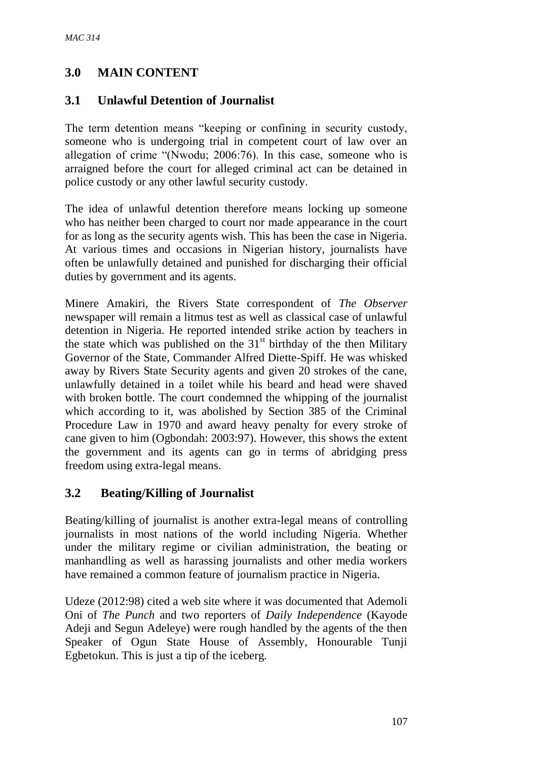# **3.0 MAIN CONTENT**

### **3.1 Unlawful Detention of Journalist**

The term detention means "keeping or confining in security custody, someone who is undergoing trial in competent court of law over an allegation of crime "(Nwodu; 2006:76). In this case, someone who is arraigned before the court for alleged criminal act can be detained in police custody or any other lawful security custody.

The idea of unlawful detention therefore means locking up someone who has neither been charged to court nor made appearance in the court for as long as the security agents wish. This has been the case in Nigeria. At various times and occasions in Nigerian history, journalists have often be unlawfully detained and punished for discharging their official duties by government and its agents.

Minere Amakiri, the Rivers State correspondent of *The Observer* newspaper will remain a litmus test as well as classical case of unlawful detention in Nigeria. He reported intended strike action by teachers in the state which was published on the  $31<sup>st</sup>$  birthday of the then Military Governor of the State, Commander Alfred Diette-Spiff. He was whisked away by Rivers State Security agents and given 20 strokes of the cane, unlawfully detained in a toilet while his beard and head were shaved with broken bottle. The court condemned the whipping of the journalist which according to it, was abolished by Section 385 of the Criminal Procedure Law in 1970 and award heavy penalty for every stroke of cane given to him (Ogbondah: 2003:97). However, this shows the extent the government and its agents can go in terms of abridging press freedom using extra-legal means.

# **3.2 Beating/Killing of Journalist**

Beating/killing of journalist is another extra-legal means of controlling journalists in most nations of the world including Nigeria. Whether under the military regime or civilian administration, the beating or manhandling as well as harassing journalists and other media workers have remained a common feature of journalism practice in Nigeria.

Udeze (2012:98) cited a web site where it was documented that Ademoli Oni of *The Punch* and two reporters of *Daily Independence* (Kayode Adeji and Segun Adeleye) were rough handled by the agents of the then Speaker of Ogun State House of Assembly, Honourable Tunji Egbetokun. This is just a tip of the iceberg.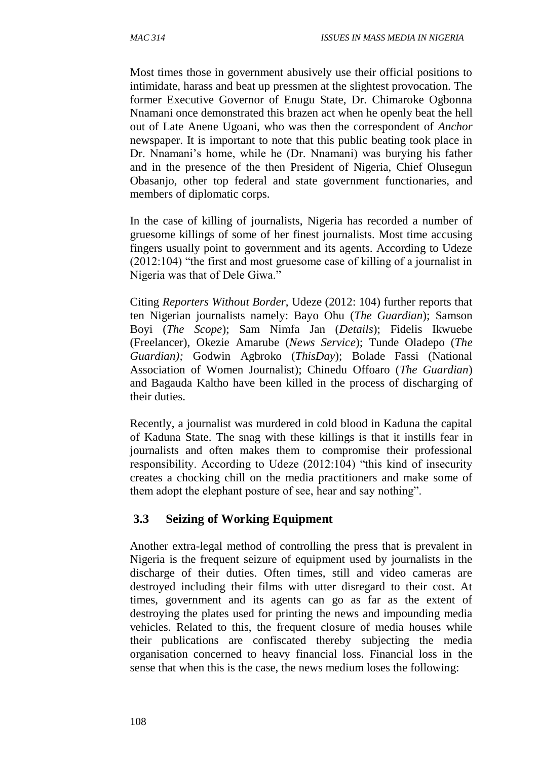Most times those in government abusively use their official positions to intimidate, harass and beat up pressmen at the slightest provocation. The former Executive Governor of Enugu State, Dr. Chimaroke Ogbonna Nnamani once demonstrated this brazen act when he openly beat the hell out of Late Anene Ugoani, who was then the correspondent of *Anchor*  newspaper. It is important to note that this public beating took place in Dr. Nnamani's home, while he (Dr. Nnamani) was burying his father and in the presence of the then President of Nigeria, Chief Olusegun Obasanjo, other top federal and state government functionaries, and members of diplomatic corps.

In the case of killing of journalists, Nigeria has recorded a number of gruesome killings of some of her finest journalists. Most time accusing fingers usually point to government and its agents. According to Udeze (2012:104) "the first and most gruesome case of killing of a journalist in Nigeria was that of Dele Giwa."

Citing *Reporters Without Border*, Udeze (2012: 104) further reports that ten Nigerian journalists namely: Bayo Ohu (*The Guardian*); Samson Boyi (*The Scope*); Sam Nimfa Jan (*Details*); Fidelis Ikwuebe (Freelancer), Okezie Amarube (*News Service*); Tunde Oladepo (*The Guardian);* Godwin Agbroko (*ThisDay*); Bolade Fassi (National Association of Women Journalist); Chinedu Offoaro (*The Guardian*) and Bagauda Kaltho have been killed in the process of discharging of their duties.

Recently, a journalist was murdered in cold blood in Kaduna the capital of Kaduna State. The snag with these killings is that it instills fear in journalists and often makes them to compromise their professional responsibility. According to Udeze (2012:104) "this kind of insecurity creates a chocking chill on the media practitioners and make some of them adopt the elephant posture of see, hear and say nothing".

#### **3.3 Seizing of Working Equipment**

Another extra-legal method of controlling the press that is prevalent in Nigeria is the frequent seizure of equipment used by journalists in the discharge of their duties. Often times, still and video cameras are destroyed including their films with utter disregard to their cost. At times, government and its agents can go as far as the extent of destroying the plates used for printing the news and impounding media vehicles. Related to this, the frequent closure of media houses while their publications are confiscated thereby subjecting the media organisation concerned to heavy financial loss. Financial loss in the sense that when this is the case, the news medium loses the following: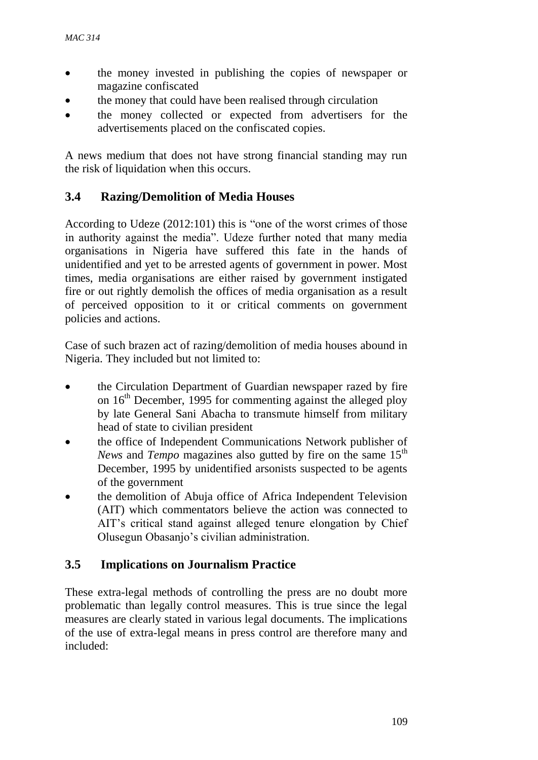- the money invested in publishing the copies of newspaper or magazine confiscated
- the money that could have been realised through circulation
- the money collected or expected from advertisers for the advertisements placed on the confiscated copies.

A news medium that does not have strong financial standing may run the risk of liquidation when this occurs.

# **3.4 Razing/Demolition of Media Houses**

According to Udeze (2012:101) this is "one of the worst crimes of those in authority against the media". Udeze further noted that many media organisations in Nigeria have suffered this fate in the hands of unidentified and yet to be arrested agents of government in power. Most times, media organisations are either raised by government instigated fire or out rightly demolish the offices of media organisation as a result of perceived opposition to it or critical comments on government policies and actions.

Case of such brazen act of razing/demolition of media houses abound in Nigeria. They included but not limited to:

- the Circulation Department of Guardian newspaper razed by fire on  $16<sup>th</sup>$  December, 1995 for commenting against the alleged ploy by late General Sani Abacha to transmute himself from military head of state to civilian president
- the office of Independent Communications Network publisher of *News* and *Tempo* magazines also gutted by fire on the same 15<sup>th</sup> December, 1995 by unidentified arsonists suspected to be agents of the government
- the demolition of Abuja office of Africa Independent Television (AIT) which commentators believe the action was connected to AIT's critical stand against alleged tenure elongation by Chief Olusegun Obasanjo's civilian administration.

# **3.5 Implications on Journalism Practice**

These extra-legal methods of controlling the press are no doubt more problematic than legally control measures. This is true since the legal measures are clearly stated in various legal documents. The implications of the use of extra-legal means in press control are therefore many and included: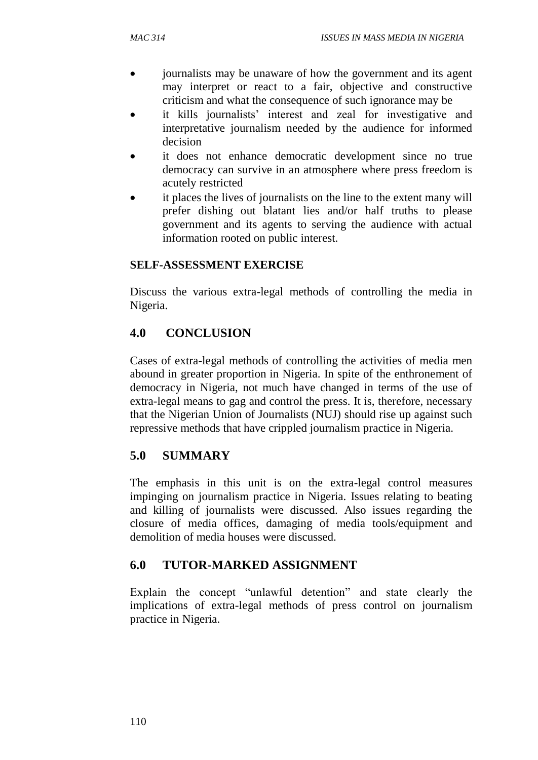- journalists may be unaware of how the government and its agent may interpret or react to a fair, objective and constructive criticism and what the consequence of such ignorance may be
- it kills journalists' interest and zeal for investigative and interpretative journalism needed by the audience for informed decision
- it does not enhance democratic development since no true democracy can survive in an atmosphere where press freedom is acutely restricted
- it places the lives of journalists on the line to the extent many will prefer dishing out blatant lies and/or half truths to please government and its agents to serving the audience with actual information rooted on public interest.

# **SELF-ASSESSMENT EXERCISE**

Discuss the various extra-legal methods of controlling the media in Nigeria.

# **4.0 CONCLUSION**

Cases of extra-legal methods of controlling the activities of media men abound in greater proportion in Nigeria. In spite of the enthronement of democracy in Nigeria, not much have changed in terms of the use of extra-legal means to gag and control the press. It is, therefore, necessary that the Nigerian Union of Journalists (NUJ) should rise up against such repressive methods that have crippled journalism practice in Nigeria.

# **5.0 SUMMARY**

The emphasis in this unit is on the extra-legal control measures impinging on journalism practice in Nigeria. Issues relating to beating and killing of journalists were discussed. Also issues regarding the closure of media offices, damaging of media tools/equipment and demolition of media houses were discussed.

# **6.0 TUTOR-MARKED ASSIGNMENT**

Explain the concept "unlawful detention" and state clearly the implications of extra-legal methods of press control on journalism practice in Nigeria.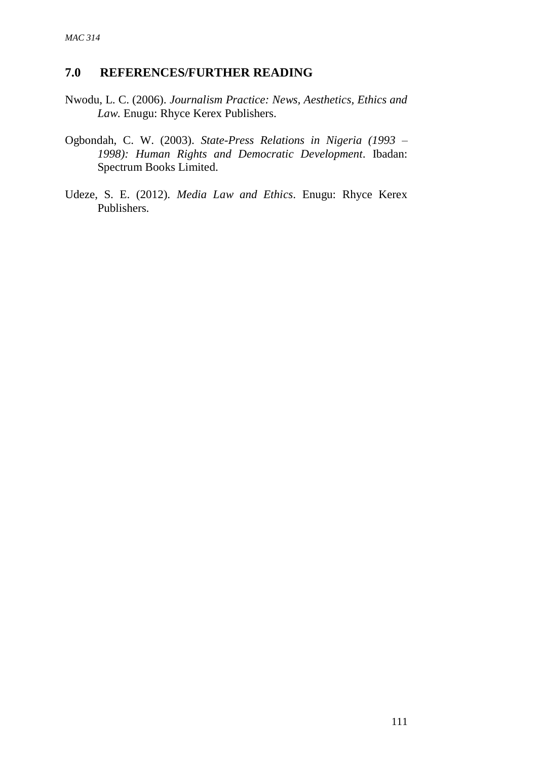#### **7.0 REFERENCES/FURTHER READING**

- Nwodu, L. C. (2006). *Journalism Practice: News, Aesthetics, Ethics and Law*. Enugu: Rhyce Kerex Publishers.
- Ogbondah, C. W. (2003). *State-Press Relations in Nigeria (1993 – 1998): Human Rights and Democratic Development*. Ibadan: Spectrum Books Limited.
- Udeze, S. E. (2012). *Media Law and Ethics*. Enugu: Rhyce Kerex Publishers.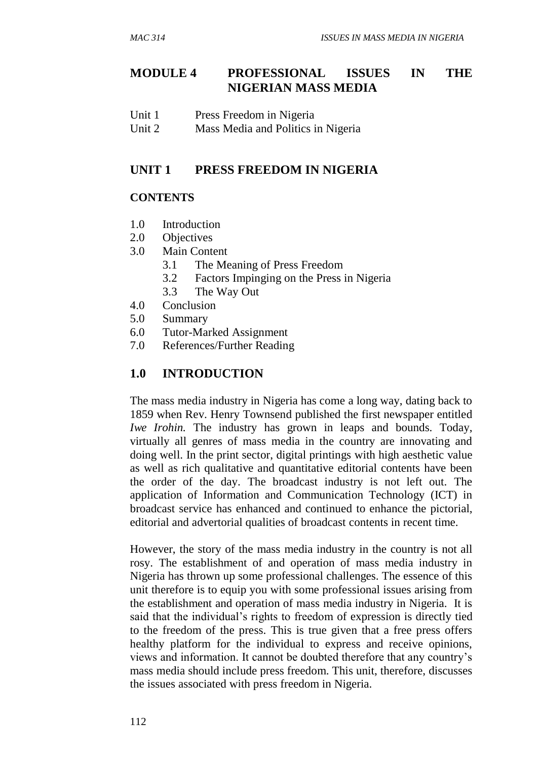# **MODULE 4 PROFESSIONAL ISSUES IN THE NIGERIAN MASS MEDIA**

| Unit 1 | Press Freedom in Nigeria |
|--------|--------------------------|
|--------|--------------------------|

Unit 2 Mass Media and Politics in Nigeria

#### **UNIT 1 PRESS FREEDOM IN NIGERIA**

#### **CONTENTS**

- 1.0 Introduction
- 2.0 Objectives
- 3.0 Main Content
	- 3.1 The Meaning of Press Freedom
	- 3.2 Factors Impinging on the Press in Nigeria
	- 3.3 The Way Out
- 4.0 Conclusion
- 5.0 Summary
- 6.0 Tutor-Marked Assignment
- 7.0 References/Further Reading

#### **1.0 INTRODUCTION**

The mass media industry in Nigeria has come a long way, dating back to 1859 when Rev. Henry Townsend published the first newspaper entitled *Iwe Irohin.* The industry has grown in leaps and bounds. Today, virtually all genres of mass media in the country are innovating and doing well. In the print sector, digital printings with high aesthetic value as well as rich qualitative and quantitative editorial contents have been the order of the day. The broadcast industry is not left out. The application of Information and Communication Technology (ICT) in broadcast service has enhanced and continued to enhance the pictorial, editorial and advertorial qualities of broadcast contents in recent time.

However, the story of the mass media industry in the country is not all rosy. The establishment of and operation of mass media industry in Nigeria has thrown up some professional challenges. The essence of this unit therefore is to equip you with some professional issues arising from the establishment and operation of mass media industry in Nigeria. It is said that the individual's rights to freedom of expression is directly tied to the freedom of the press. This is true given that a free press offers healthy platform for the individual to express and receive opinions, views and information. It cannot be doubted therefore that any country's mass media should include press freedom. This unit, therefore, discusses the issues associated with press freedom in Nigeria.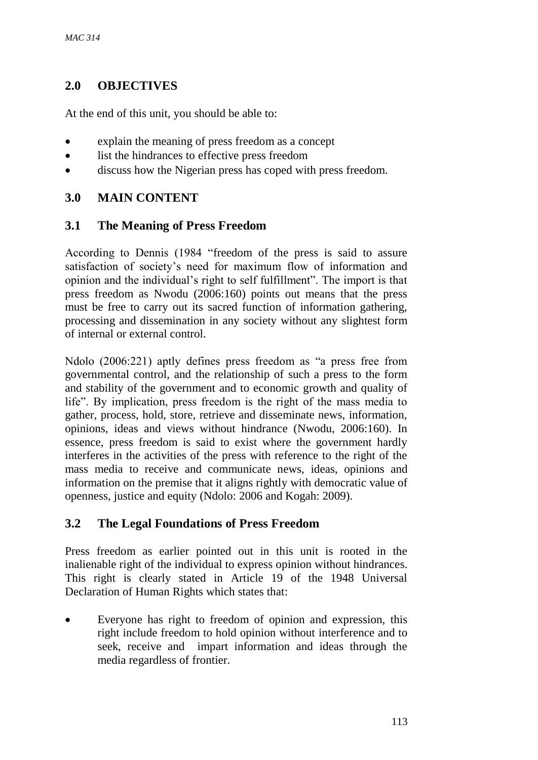# **2.0 OBJECTIVES**

At the end of this unit, you should be able to:

- explain the meaning of press freedom as a concept
- list the hindrances to effective press freedom
- discuss how the Nigerian press has coped with press freedom.

# **3.0 MAIN CONTENT**

### **3.1 The Meaning of Press Freedom**

According to Dennis (1984 "freedom of the press is said to assure satisfaction of society's need for maximum flow of information and opinion and the individual's right to self fulfillment". The import is that press freedom as Nwodu (2006:160) points out means that the press must be free to carry out its sacred function of information gathering, processing and dissemination in any society without any slightest form of internal or external control.

Ndolo (2006:221) aptly defines press freedom as "a press free from governmental control, and the relationship of such a press to the form and stability of the government and to economic growth and quality of life". By implication, press freedom is the right of the mass media to gather, process, hold, store, retrieve and disseminate news, information, opinions, ideas and views without hindrance (Nwodu, 2006:160). In essence, press freedom is said to exist where the government hardly interferes in the activities of the press with reference to the right of the mass media to receive and communicate news, ideas, opinions and information on the premise that it aligns rightly with democratic value of openness, justice and equity (Ndolo: 2006 and Kogah: 2009).

# **3.2 The Legal Foundations of Press Freedom**

Press freedom as earlier pointed out in this unit is rooted in the inalienable right of the individual to express opinion without hindrances. This right is clearly stated in Article 19 of the 1948 Universal Declaration of Human Rights which states that:

 Everyone has right to freedom of opinion and expression, this right include freedom to hold opinion without interference and to seek, receive and impart information and ideas through the media regardless of frontier.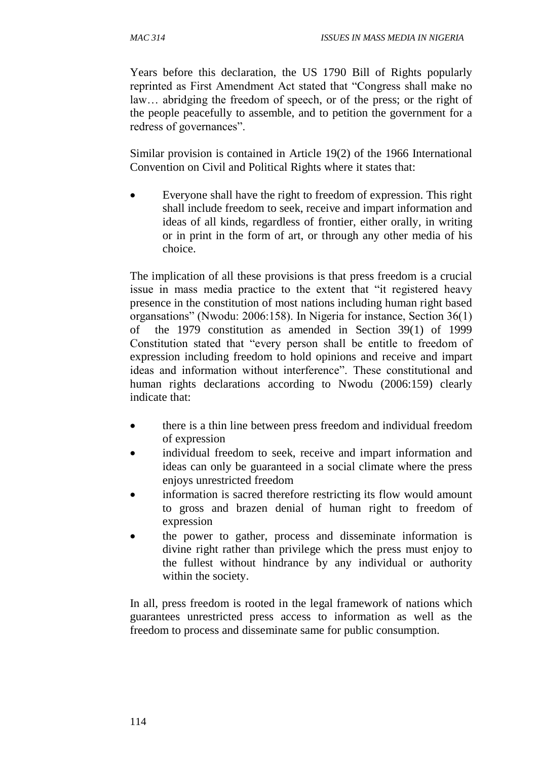Years before this declaration, the US 1790 Bill of Rights popularly reprinted as First Amendment Act stated that "Congress shall make no law… abridging the freedom of speech, or of the press; or the right of the people peacefully to assemble, and to petition the government for a redress of governances".

Similar provision is contained in Article 19(2) of the 1966 International Convention on Civil and Political Rights where it states that:

 Everyone shall have the right to freedom of expression. This right shall include freedom to seek, receive and impart information and ideas of all kinds, regardless of frontier, either orally, in writing or in print in the form of art, or through any other media of his choice.

The implication of all these provisions is that press freedom is a crucial issue in mass media practice to the extent that "it registered heavy presence in the constitution of most nations including human right based organsations" (Nwodu: 2006:158). In Nigeria for instance, Section 36(1) of the 1979 constitution as amended in Section 39(1) of 1999 Constitution stated that "every person shall be entitle to freedom of expression including freedom to hold opinions and receive and impart ideas and information without interference". These constitutional and human rights declarations according to Nwodu (2006:159) clearly indicate that:

- there is a thin line between press freedom and individual freedom of expression
- individual freedom to seek, receive and impart information and ideas can only be guaranteed in a social climate where the press enjoys unrestricted freedom
- information is sacred therefore restricting its flow would amount to gross and brazen denial of human right to freedom of expression
- the power to gather, process and disseminate information is divine right rather than privilege which the press must enjoy to the fullest without hindrance by any individual or authority within the society.

In all, press freedom is rooted in the legal framework of nations which guarantees unrestricted press access to information as well as the freedom to process and disseminate same for public consumption.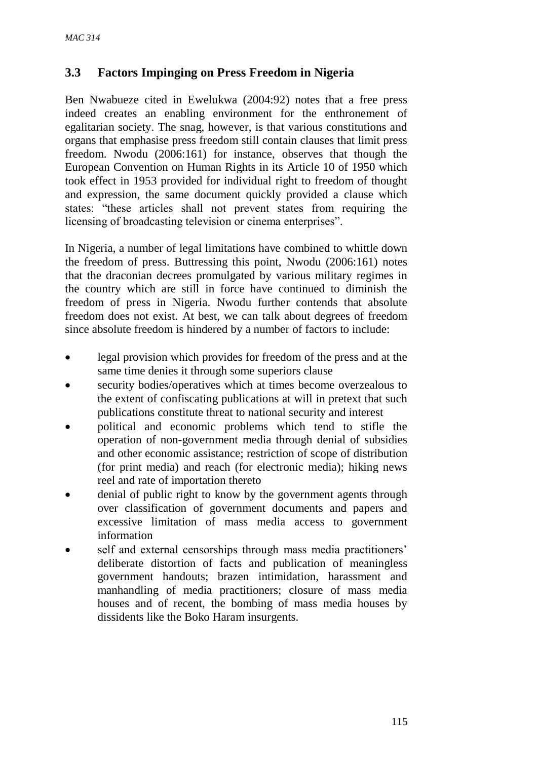# **3.3 Factors Impinging on Press Freedom in Nigeria**

Ben Nwabueze cited in Ewelukwa (2004:92) notes that a free press indeed creates an enabling environment for the enthronement of egalitarian society. The snag, however, is that various constitutions and organs that emphasise press freedom still contain clauses that limit press freedom. Nwodu (2006:161) for instance, observes that though the European Convention on Human Rights in its Article 10 of 1950 which took effect in 1953 provided for individual right to freedom of thought and expression, the same document quickly provided a clause which states: "these articles shall not prevent states from requiring the licensing of broadcasting television or cinema enterprises".

In Nigeria, a number of legal limitations have combined to whittle down the freedom of press. Buttressing this point, Nwodu (2006:161) notes that the draconian decrees promulgated by various military regimes in the country which are still in force have continued to diminish the freedom of press in Nigeria. Nwodu further contends that absolute freedom does not exist. At best, we can talk about degrees of freedom since absolute freedom is hindered by a number of factors to include:

- legal provision which provides for freedom of the press and at the same time denies it through some superiors clause
- security bodies/operatives which at times become overzealous to the extent of confiscating publications at will in pretext that such publications constitute threat to national security and interest
- political and economic problems which tend to stifle the operation of non-government media through denial of subsidies and other economic assistance; restriction of scope of distribution (for print media) and reach (for electronic media); hiking news reel and rate of importation thereto
- denial of public right to know by the government agents through over classification of government documents and papers and excessive limitation of mass media access to government information
- self and external censorships through mass media practitioners' deliberate distortion of facts and publication of meaningless government handouts; brazen intimidation, harassment and manhandling of media practitioners; closure of mass media houses and of recent, the bombing of mass media houses by dissidents like the Boko Haram insurgents.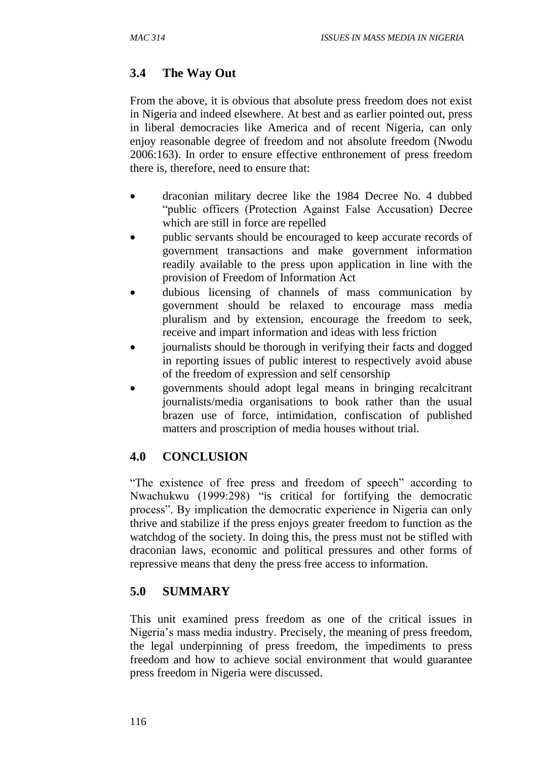# **3.4 The Way Out**

From the above, it is obvious that absolute press freedom does not exist in Nigeria and indeed elsewhere. At best and as earlier pointed out, press in liberal democracies like America and of recent Nigeria, can only enjoy reasonable degree of freedom and not absolute freedom (Nwodu 2006:163). In order to ensure effective enthronement of press freedom there is, therefore, need to ensure that:

- draconian military decree like the 1984 Decree No. 4 dubbed "public officers (Protection Against False Accusation) Decree which are still in force are repelled
- public servants should be encouraged to keep accurate records of government transactions and make government information readily available to the press upon application in line with the provision of Freedom of Information Act
- dubious licensing of channels of mass communication by government should be relaxed to encourage mass media pluralism and by extension, encourage the freedom to seek, receive and impart information and ideas with less friction
- journalists should be thorough in verifying their facts and dogged in reporting issues of public interest to respectively avoid abuse of the freedom of expression and self censorship
- governments should adopt legal means in bringing recalcitrant journalists/media organisations to book rather than the usual brazen use of force, intimidation, confiscation of published matters and proscription of media houses without trial.

# **4.0 CONCLUSION**

"The existence of free press and freedom of speech" according to Nwachukwu (1999:298) "is critical for fortifying the democratic process". By implication the democratic experience in Nigeria can only thrive and stabilize if the press enjoys greater freedom to function as the watchdog of the society. In doing this, the press must not be stifled with draconian laws, economic and political pressures and other forms of repressive means that deny the press free access to information.

# **5.0 SUMMARY**

This unit examined press freedom as one of the critical issues in Nigeria's mass media industry. Precisely, the meaning of press freedom, the legal underpinning of press freedom, the impediments to press freedom and how to achieve social environment that would guarantee press freedom in Nigeria were discussed.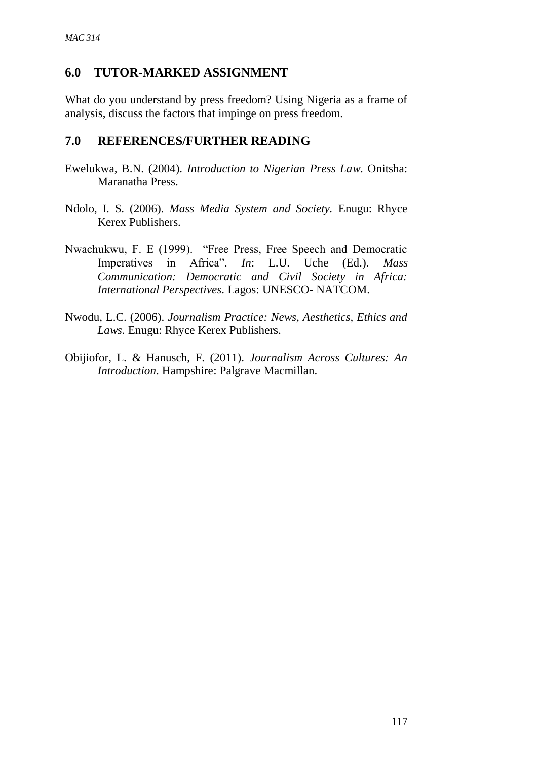### **6.0 TUTOR-MARKED ASSIGNMENT**

What do you understand by press freedom? Using Nigeria as a frame of analysis, discuss the factors that impinge on press freedom.

#### **7.0 REFERENCES/FURTHER READING**

- Ewelukwa, B.N. (2004). *Introduction to Nigerian Press Law*. Onitsha: Maranatha Press.
- Ndolo, I. S. (2006). *Mass Media System and Society.* Enugu: Rhyce Kerex Publishers.
- Nwachukwu, F. E (1999). "Free Press, Free Speech and Democratic Imperatives in Africa". *In*: L.U. Uche (Ed.). *Mass Communication: Democratic and Civil Society in Africa: International Perspectives*. Lagos: UNESCO- NATCOM.
- Nwodu, L.C. (2006). *Journalism Practice: News, Aesthetics, Ethics and Laws*. Enugu: Rhyce Kerex Publishers.
- Obijiofor, L. & Hanusch, F. (2011). *Journalism Across Cultures: An Introduction*. Hampshire: Palgrave Macmillan.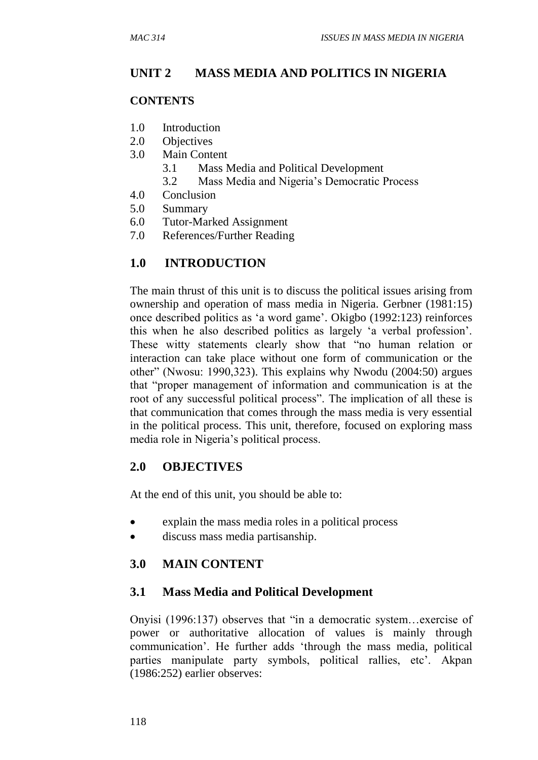# **UNIT 2 MASS MEDIA AND POLITICS IN NIGERIA**

#### **CONTENTS**

- 1.0 Introduction
- 2.0 Objectives
- 3.0 Main Content
	- 3.1 Mass Media and Political Development
	- 3.2 Mass Media and Nigeria's Democratic Process
- 4.0 Conclusion
- 5.0 Summary
- 6.0 Tutor-Marked Assignment
- 7.0 References/Further Reading

# **1.0 INTRODUCTION**

The main thrust of this unit is to discuss the political issues arising from ownership and operation of mass media in Nigeria. Gerbner (1981:15) once described politics as 'a word game'. Okigbo (1992:123) reinforces this when he also described politics as largely 'a verbal profession'. These witty statements clearly show that "no human relation or interaction can take place without one form of communication or the other" (Nwosu: 1990,323). This explains why Nwodu (2004:50) argues that "proper management of information and communication is at the root of any successful political process". The implication of all these is that communication that comes through the mass media is very essential in the political process. This unit, therefore, focused on exploring mass media role in Nigeria's political process.

#### **2.0 OBJECTIVES**

At the end of this unit, you should be able to:

- explain the mass media roles in a political process
- discuss mass media partisanship.

#### **3.0 MAIN CONTENT**

#### **3.1 Mass Media and Political Development**

Onyisi (1996:137) observes that "in a democratic system…exercise of power or authoritative allocation of values is mainly through communication'. He further adds 'through the mass media, political parties manipulate party symbols, political rallies, etc'. Akpan (1986:252) earlier observes: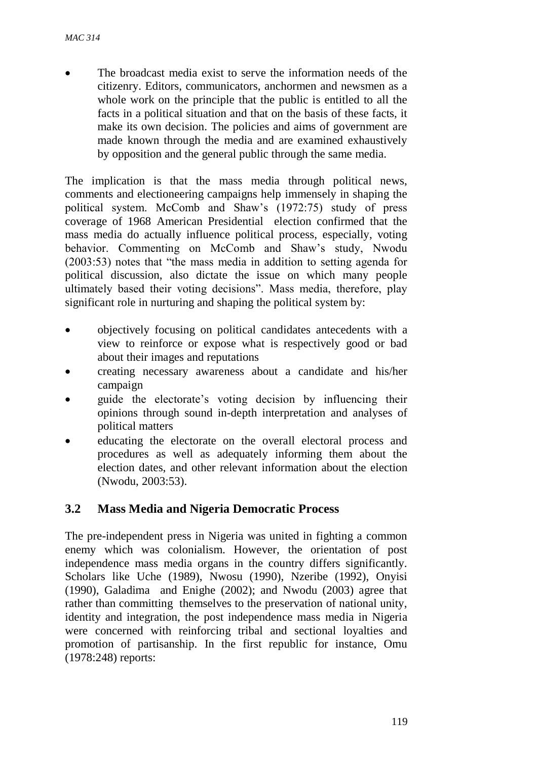The broadcast media exist to serve the information needs of the citizenry. Editors, communicators, anchormen and newsmen as a whole work on the principle that the public is entitled to all the facts in a political situation and that on the basis of these facts, it make its own decision. The policies and aims of government are made known through the media and are examined exhaustively by opposition and the general public through the same media.

The implication is that the mass media through political news, comments and electioneering campaigns help immensely in shaping the political system. McComb and Shaw's (1972:75) study of press coverage of 1968 American Presidential election confirmed that the mass media do actually influence political process, especially, voting behavior. Commenting on McComb and Shaw's study, Nwodu (2003:53) notes that "the mass media in addition to setting agenda for political discussion, also dictate the issue on which many people ultimately based their voting decisions". Mass media, therefore, play significant role in nurturing and shaping the political system by:

- objectively focusing on political candidates antecedents with a view to reinforce or expose what is respectively good or bad about their images and reputations
- creating necessary awareness about a candidate and his/her campaign
- guide the electorate's voting decision by influencing their opinions through sound in-depth interpretation and analyses of political matters
- educating the electorate on the overall electoral process and procedures as well as adequately informing them about the election dates, and other relevant information about the election (Nwodu, 2003:53).

# **3.2 Mass Media and Nigeria Democratic Process**

The pre-independent press in Nigeria was united in fighting a common enemy which was colonialism. However, the orientation of post independence mass media organs in the country differs significantly. Scholars like Uche (1989), Nwosu (1990), Nzeribe (1992), Onyisi (1990), Galadima and Enighe (2002); and Nwodu (2003) agree that rather than committing themselves to the preservation of national unity, identity and integration, the post independence mass media in Nigeria were concerned with reinforcing tribal and sectional loyalties and promotion of partisanship. In the first republic for instance, Omu (1978:248) reports: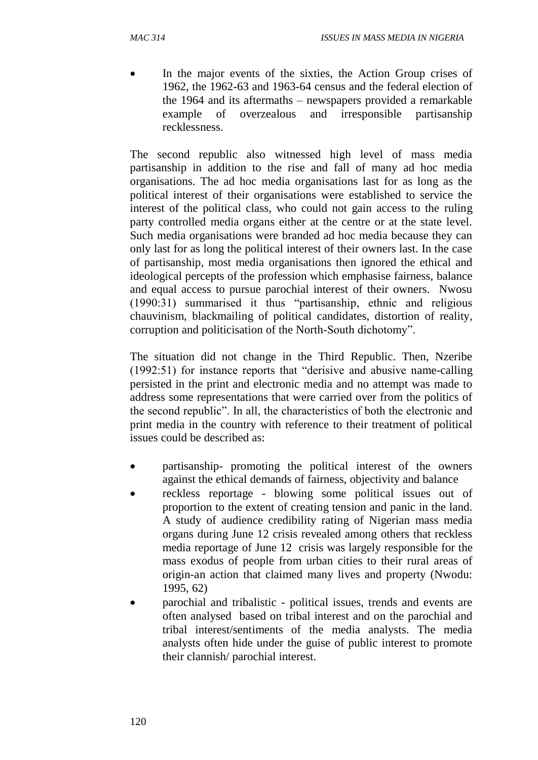In the major events of the sixties, the Action Group crises of 1962, the 1962-63 and 1963-64 census and the federal election of the 1964 and its aftermaths – newspapers provided a remarkable example of overzealous and irresponsible partisanship recklessness.

The second republic also witnessed high level of mass media partisanship in addition to the rise and fall of many ad hoc media organisations. The ad hoc media organisations last for as long as the political interest of their organisations were established to service the interest of the political class, who could not gain access to the ruling party controlled media organs either at the centre or at the state level. Such media organisations were branded ad hoc media because they can only last for as long the political interest of their owners last. In the case of partisanship, most media organisations then ignored the ethical and ideological percepts of the profession which emphasise fairness, balance and equal access to pursue parochial interest of their owners. Nwosu (1990:31) summarised it thus "partisanship, ethnic and religious chauvinism, blackmailing of political candidates, distortion of reality, corruption and politicisation of the North-South dichotomy".

The situation did not change in the Third Republic. Then, Nzeribe (1992:51) for instance reports that "derisive and abusive name-calling persisted in the print and electronic media and no attempt was made to address some representations that were carried over from the politics of the second republic". In all, the characteristics of both the electronic and print media in the country with reference to their treatment of political issues could be described as:

- partisanship- promoting the political interest of the owners against the ethical demands of fairness, objectivity and balance
- reckless reportage blowing some political issues out of proportion to the extent of creating tension and panic in the land. A study of audience credibility rating of Nigerian mass media organs during June 12 crisis revealed among others that reckless media reportage of June 12 crisis was largely responsible for the mass exodus of people from urban cities to their rural areas of origin-an action that claimed many lives and property (Nwodu: 1995, 62)
- parochial and tribalistic political issues, trends and events are often analysed based on tribal interest and on the parochial and tribal interest/sentiments of the media analysts. The media analysts often hide under the guise of public interest to promote their clannish/ parochial interest.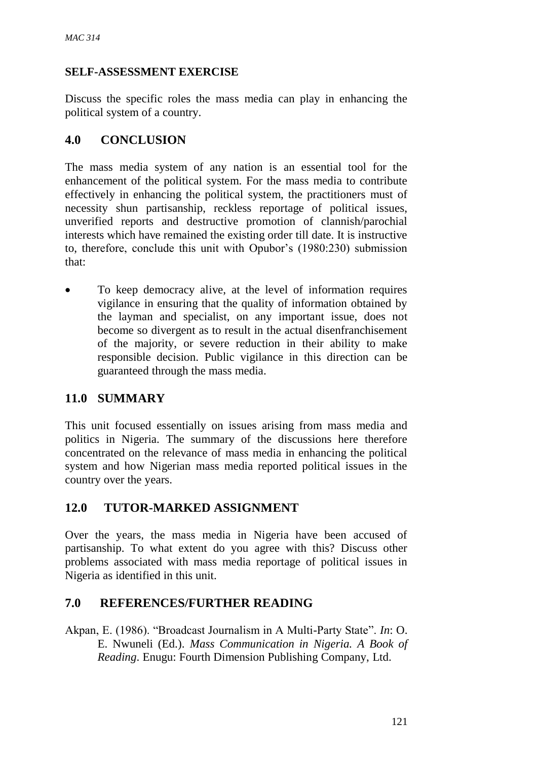### **SELF-ASSESSMENT EXERCISE**

Discuss the specific roles the mass media can play in enhancing the political system of a country.

# **4.0 CONCLUSION**

The mass media system of any nation is an essential tool for the enhancement of the political system. For the mass media to contribute effectively in enhancing the political system, the practitioners must of necessity shun partisanship, reckless reportage of political issues, unverified reports and destructive promotion of clannish/parochial interests which have remained the existing order till date. It is instructive to, therefore, conclude this unit with Opubor's (1980:230) submission that:

• To keep democracy alive, at the level of information requires vigilance in ensuring that the quality of information obtained by the layman and specialist, on any important issue, does not become so divergent as to result in the actual disenfranchisement of the majority, or severe reduction in their ability to make responsible decision. Public vigilance in this direction can be guaranteed through the mass media.

# **11.0 SUMMARY**

This unit focused essentially on issues arising from mass media and politics in Nigeria. The summary of the discussions here therefore concentrated on the relevance of mass media in enhancing the political system and how Nigerian mass media reported political issues in the country over the years.

# **12.0 TUTOR-MARKED ASSIGNMENT**

Over the years, the mass media in Nigeria have been accused of partisanship. To what extent do you agree with this? Discuss other problems associated with mass media reportage of political issues in Nigeria as identified in this unit.

# **7.0 REFERENCES/FURTHER READING**

Akpan, E. (1986). "Broadcast Journalism in A Multi-Party State". *In*: O. E. Nwuneli (Ed.). *Mass Communication in Nigeria. A Book of Reading*. Enugu: Fourth Dimension Publishing Company, Ltd.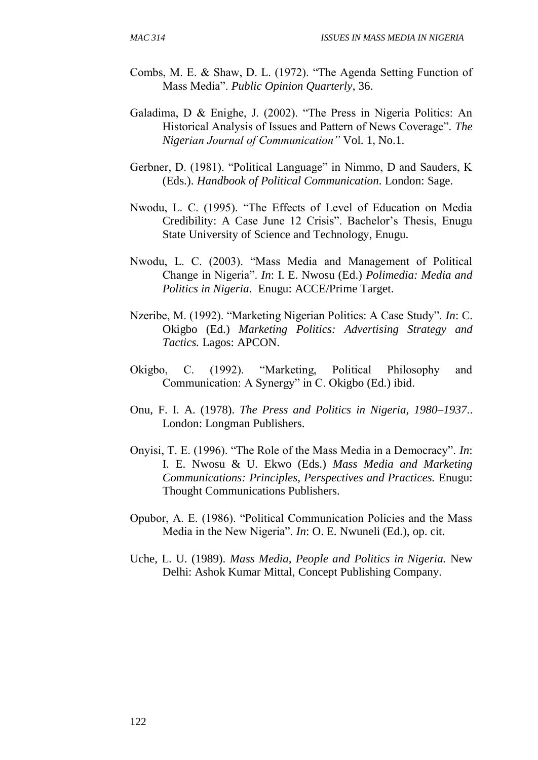- Combs, M. E. & Shaw, D. L. (1972). "The Agenda Setting Function of Mass Media". *Public Opinion Quarterly*, 36.
- Galadima, D & Enighe, J. (2002). "The Press in Nigeria Politics: An Historical Analysis of Issues and Pattern of News Coverage". *The Nigerian Journal of Communication"* Vol. 1, No.1.
- Gerbner, D. (1981). "Political Language" in Nimmo, D and Sauders, K (Eds.). *Handbook of Political Communication*. London: Sage.
- Nwodu, L. C. (1995). "The Effects of Level of Education on Media Credibility: A Case June 12 Crisis". Bachelor's Thesis, Enugu State University of Science and Technology, Enugu.
- Nwodu, L. C. (2003). "Mass Media and Management of Political Change in Nigeria". *In*: I. E. Nwosu (Ed.) *Polimedia: Media and Politics in Nigeria*. Enugu: ACCE/Prime Target.
- Nzeribe, M. (1992). "Marketing Nigerian Politics: A Case Study". *In*: C. Okigbo (Ed.) *Marketing Politics: Advertising Strategy and Tactics.* Lagos: APCON.
- Okigbo, C. (1992). "Marketing, Political Philosophy and Communication: A Synergy" in C. Okigbo (Ed.) ibid.
- Onu, F. I. A. (1978). *The Press and Politics in Nigeria, 1980–1937*.. London: Longman Publishers.
- Onyisi, T. E. (1996). "The Role of the Mass Media in a Democracy". *In*: I. E. Nwosu & U. Ekwo (Eds.) *Mass Media and Marketing Communications: Principles, Perspectives and Practices.* Enugu: Thought Communications Publishers.
- Opubor, A. E. (1986). "Political Communication Policies and the Mass Media in the New Nigeria". *In*: O. E. Nwuneli (Ed.), op. cit.
- Uche, L. U. (1989). *Mass Media, People and Politics in Nigeria.* New Delhi: Ashok Kumar Mittal, Concept Publishing Company.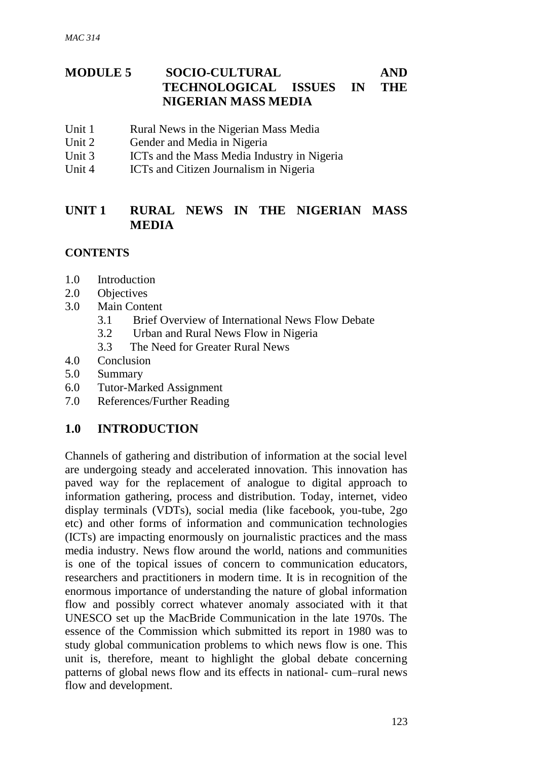# **MODULE 5 SOCIO-CULTURAL AND TECHNOLOGICAL ISSUES IN THE NIGERIAN MASS MEDIA**

- Unit 1 Rural News in the Nigerian Mass Media
- Unit 2 Gender and Media in Nigeria
- Unit 3 ICTs and the Mass Media Industry in Nigeria
- Unit 4 ICTs and Citizen Journalism in Nigeria

# **UNIT 1 RURAL NEWS IN THE NIGERIAN MASS MEDIA**

### **CONTENTS**

- 1.0 Introduction
- 2.0 Objectives
- 3.0 Main Content
	- 3.1 Brief Overview of International News Flow Debate
	- 3.2 Urban and Rural News Flow in Nigeria
	- 3.3 The Need for Greater Rural News
- 4.0 Conclusion
- 5.0 Summary
- 6.0 Tutor-Marked Assignment
- 7.0 References/Further Reading

# **1.0 INTRODUCTION**

Channels of gathering and distribution of information at the social level are undergoing steady and accelerated innovation. This innovation has paved way for the replacement of analogue to digital approach to information gathering, process and distribution. Today, internet, video display terminals (VDTs), social media (like facebook, you-tube, 2go etc) and other forms of information and communication technologies (ICTs) are impacting enormously on journalistic practices and the mass media industry. News flow around the world, nations and communities is one of the topical issues of concern to communication educators, researchers and practitioners in modern time. It is in recognition of the enormous importance of understanding the nature of global information flow and possibly correct whatever anomaly associated with it that UNESCO set up the MacBride Communication in the late 1970s. The essence of the Commission which submitted its report in 1980 was to study global communication problems to which news flow is one. This unit is, therefore, meant to highlight the global debate concerning patterns of global news flow and its effects in national- cum–rural news flow and development.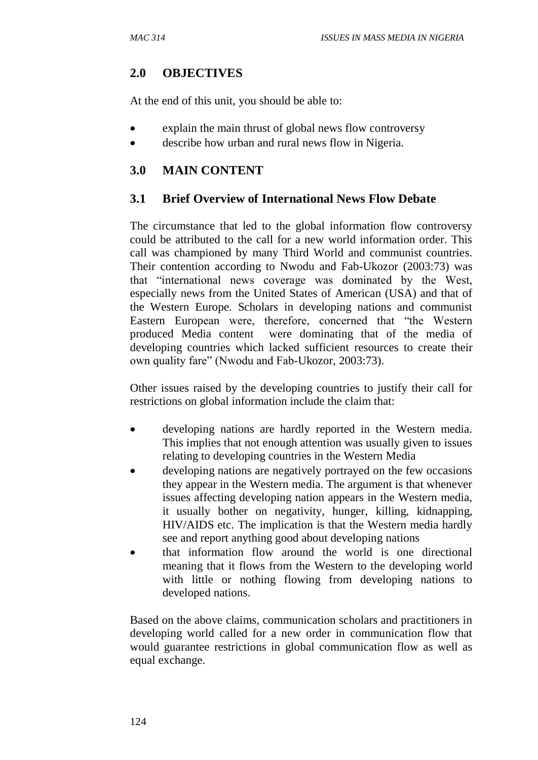# **2.0 OBJECTIVES**

At the end of this unit, you should be able to:

- explain the main thrust of global news flow controversy
- describe how urban and rural news flow in Nigeria.

# **3.0 MAIN CONTENT**

# **3.1 Brief Overview of International News Flow Debate**

The circumstance that led to the global information flow controversy could be attributed to the call for a new world information order. This call was championed by many Third World and communist countries. Their contention according to Nwodu and Fab-Ukozor (2003:73) was that "international news coverage was dominated by the West, especially news from the United States of American (USA) and that of the Western Europe. Scholars in developing nations and communist Eastern European were, therefore, concerned that "the Western produced Media content were dominating that of the media of developing countries which lacked sufficient resources to create their own quality fare" (Nwodu and Fab-Ukozor, 2003:73).

Other issues raised by the developing countries to justify their call for restrictions on global information include the claim that:

- developing nations are hardly reported in the Western media. This implies that not enough attention was usually given to issues relating to developing countries in the Western Media
- developing nations are negatively portrayed on the few occasions they appear in the Western media. The argument is that whenever issues affecting developing nation appears in the Western media, it usually bother on negativity, hunger, killing, kidnapping, HIV/AIDS etc. The implication is that the Western media hardly see and report anything good about developing nations
- that information flow around the world is one directional meaning that it flows from the Western to the developing world with little or nothing flowing from developing nations to developed nations.

Based on the above claims, communication scholars and practitioners in developing world called for a new order in communication flow that would guarantee restrictions in global communication flow as well as equal exchange.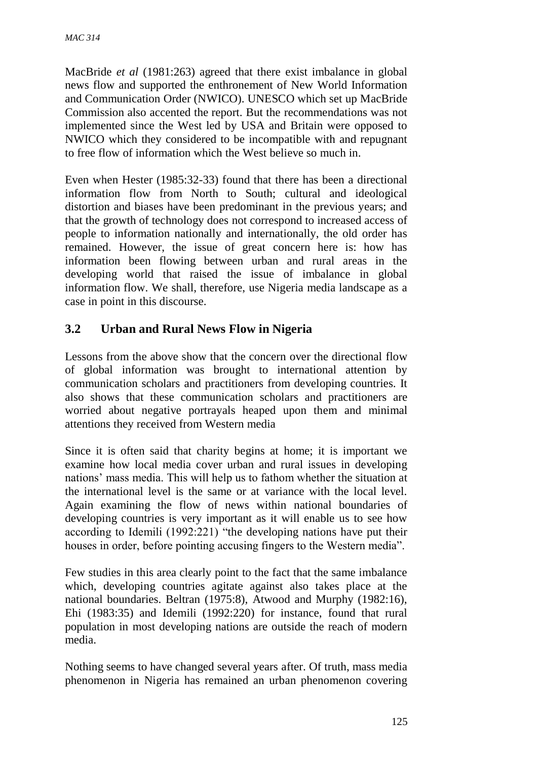MacBride *et al* (1981:263) agreed that there exist imbalance in global news flow and supported the enthronement of New World Information and Communication Order (NWICO). UNESCO which set up MacBride Commission also accented the report. But the recommendations was not implemented since the West led by USA and Britain were opposed to NWICO which they considered to be incompatible with and repugnant to free flow of information which the West believe so much in.

Even when Hester (1985:32-33) found that there has been a directional information flow from North to South; cultural and ideological distortion and biases have been predominant in the previous years; and that the growth of technology does not correspond to increased access of people to information nationally and internationally, the old order has remained. However, the issue of great concern here is: how has information been flowing between urban and rural areas in the developing world that raised the issue of imbalance in global information flow. We shall, therefore, use Nigeria media landscape as a case in point in this discourse.

# **3.2 Urban and Rural News Flow in Nigeria**

Lessons from the above show that the concern over the directional flow of global information was brought to international attention by communication scholars and practitioners from developing countries. It also shows that these communication scholars and practitioners are worried about negative portrayals heaped upon them and minimal attentions they received from Western media

Since it is often said that charity begins at home; it is important we examine how local media cover urban and rural issues in developing nations' mass media. This will help us to fathom whether the situation at the international level is the same or at variance with the local level. Again examining the flow of news within national boundaries of developing countries is very important as it will enable us to see how according to Idemili (1992:221) "the developing nations have put their houses in order, before pointing accusing fingers to the Western media".

Few studies in this area clearly point to the fact that the same imbalance which, developing countries agitate against also takes place at the national boundaries. Beltran (1975:8), Atwood and Murphy (1982:16), Ehi (1983:35) and Idemili (1992:220) for instance, found that rural population in most developing nations are outside the reach of modern media.

Nothing seems to have changed several years after. Of truth, mass media phenomenon in Nigeria has remained an urban phenomenon covering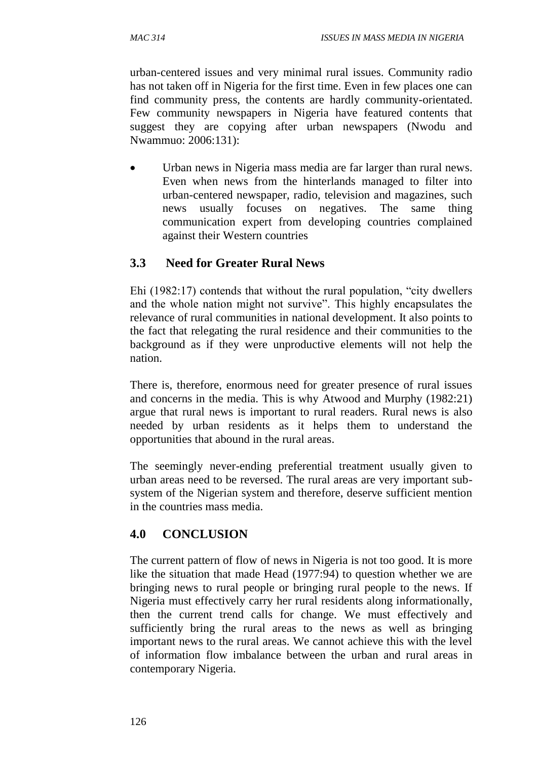urban-centered issues and very minimal rural issues. Community radio has not taken off in Nigeria for the first time. Even in few places one can find community press, the contents are hardly community-orientated. Few community newspapers in Nigeria have featured contents that suggest they are copying after urban newspapers (Nwodu and Nwammuo: 2006:131):

 Urban news in Nigeria mass media are far larger than rural news. Even when news from the hinterlands managed to filter into urban-centered newspaper, radio, television and magazines, such news usually focuses on negatives. The same thing communication expert from developing countries complained against their Western countries

# **3.3 Need for Greater Rural News**

Ehi (1982:17) contends that without the rural population, "city dwellers and the whole nation might not survive". This highly encapsulates the relevance of rural communities in national development. It also points to the fact that relegating the rural residence and their communities to the background as if they were unproductive elements will not help the nation.

There is, therefore, enormous need for greater presence of rural issues and concerns in the media. This is why Atwood and Murphy (1982:21) argue that rural news is important to rural readers. Rural news is also needed by urban residents as it helps them to understand the opportunities that abound in the rural areas.

The seemingly never-ending preferential treatment usually given to urban areas need to be reversed. The rural areas are very important subsystem of the Nigerian system and therefore, deserve sufficient mention in the countries mass media.

# **4.0 CONCLUSION**

The current pattern of flow of news in Nigeria is not too good. It is more like the situation that made Head (1977:94) to question whether we are bringing news to rural people or bringing rural people to the news. If Nigeria must effectively carry her rural residents along informationally, then the current trend calls for change. We must effectively and sufficiently bring the rural areas to the news as well as bringing important news to the rural areas. We cannot achieve this with the level of information flow imbalance between the urban and rural areas in contemporary Nigeria.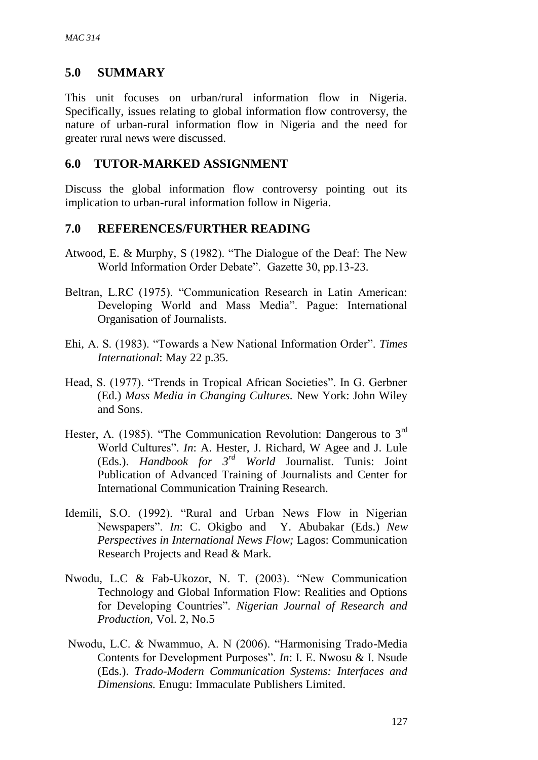### **5.0 SUMMARY**

This unit focuses on urban/rural information flow in Nigeria. Specifically, issues relating to global information flow controversy, the nature of urban-rural information flow in Nigeria and the need for greater rural news were discussed.

### **6.0 TUTOR-MARKED ASSIGNMENT**

Discuss the global information flow controversy pointing out its implication to urban-rural information follow in Nigeria.

### **7.0 REFERENCES/FURTHER READING**

- Atwood, E. & Murphy, S (1982). "The Dialogue of the Deaf: The New World Information Order Debate". Gazette 30, pp.13-23.
- Beltran, L.RC (1975). "Communication Research in Latin American: Developing World and Mass Media". Pague: International Organisation of Journalists.
- Ehi, A. S. (1983). "Towards a New National Information Order". *Times International*: May 22 p.35.
- Head, S. (1977). "Trends in Tropical African Societies". In G. Gerbner (Ed.) *Mass Media in Changing Cultures.* New York: John Wiley and Sons.
- Hester, A. (1985). "The Communication Revolution: Dangerous to 3<sup>rd</sup> World Cultures". *In*: A. Hester, J. Richard, W Agee and J. Lule (Eds.). *Handbook for 3rd World* Journalist. Tunis: Joint Publication of Advanced Training of Journalists and Center for International Communication Training Research.
- Idemili, S.O. (1992). "Rural and Urban News Flow in Nigerian Newspapers". *In*: C. Okigbo and Y. Abubakar (Eds.) *New Perspectives in International News Flow;* Lagos: Communication Research Projects and Read & Mark.
- Nwodu, L.C & Fab-Ukozor, N. T. (2003). "New Communication Technology and Global Information Flow: Realities and Options for Developing Countries". *Nigerian Journal of Research and Production,* Vol. 2, No.5
- Nwodu, L.C. & Nwammuo, A. N (2006). "Harmonising Trado-Media Contents for Development Purposes". *In*: I. E. Nwosu & I. Nsude (Eds.). *Trado-Modern Communication Systems: Interfaces and Dimensions.* Enugu: Immaculate Publishers Limited.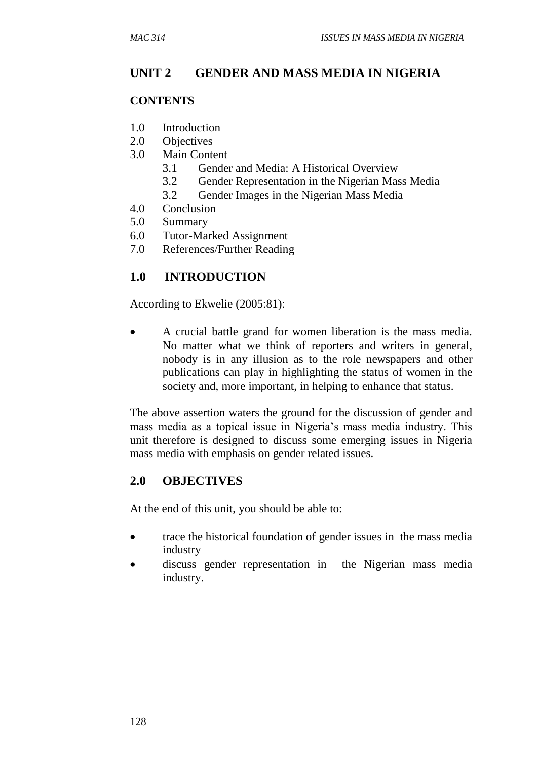### **UNIT 2 GENDER AND MASS MEDIA IN NIGERIA**

#### **CONTENTS**

- 1.0 Introduction
- 2.0 Objectives
- 3.0 Main Content
	- 3.1 Gender and Media: A Historical Overview
	- 3.2 Gender Representation in the Nigerian Mass Media
	- 3.2 Gender Images in the Nigerian Mass Media
- 4.0 Conclusion
- 5.0 Summary
- 6.0 Tutor-Marked Assignment
- 7.0 References/Further Reading

# **1.0 INTRODUCTION**

According to Ekwelie (2005:81):

 A crucial battle grand for women liberation is the mass media. No matter what we think of reporters and writers in general, nobody is in any illusion as to the role newspapers and other publications can play in highlighting the status of women in the society and, more important, in helping to enhance that status.

The above assertion waters the ground for the discussion of gender and mass media as a topical issue in Nigeria's mass media industry. This unit therefore is designed to discuss some emerging issues in Nigeria mass media with emphasis on gender related issues.

### **2.0 OBJECTIVES**

At the end of this unit, you should be able to:

- trace the historical foundation of gender issues in the mass media industry
- discuss gender representation in the Nigerian mass media industry.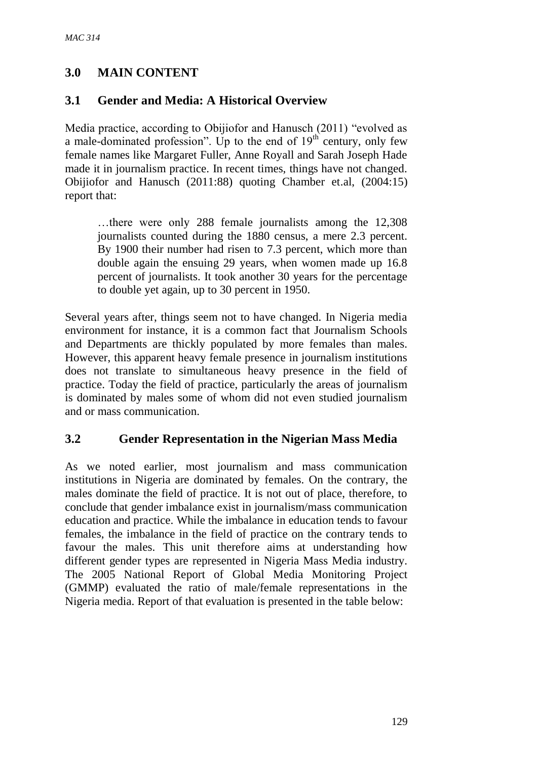## **3.0 MAIN CONTENT**

## **3.1 Gender and Media: A Historical Overview**

Media practice, according to Obijiofor and Hanusch (2011) "evolved as a male-dominated profession". Up to the end of  $19<sup>th</sup>$  century, only few female names like Margaret Fuller, Anne Royall and Sarah Joseph Hade made it in journalism practice. In recent times, things have not changed. Obijiofor and Hanusch (2011:88) quoting Chamber et.al, (2004:15) report that:

…there were only 288 female journalists among the 12,308 journalists counted during the 1880 census, a mere 2.3 percent. By 1900 their number had risen to 7.3 percent, which more than double again the ensuing 29 years, when women made up 16.8 percent of journalists. It took another 30 years for the percentage to double yet again, up to 30 percent in 1950.

Several years after, things seem not to have changed. In Nigeria media environment for instance, it is a common fact that Journalism Schools and Departments are thickly populated by more females than males. However, this apparent heavy female presence in journalism institutions does not translate to simultaneous heavy presence in the field of practice. Today the field of practice, particularly the areas of journalism is dominated by males some of whom did not even studied journalism and or mass communication.

#### **3.2 Gender Representation in the Nigerian Mass Media**

As we noted earlier, most journalism and mass communication institutions in Nigeria are dominated by females. On the contrary, the males dominate the field of practice. It is not out of place, therefore, to conclude that gender imbalance exist in journalism/mass communication education and practice. While the imbalance in education tends to favour females, the imbalance in the field of practice on the contrary tends to favour the males. This unit therefore aims at understanding how different gender types are represented in Nigeria Mass Media industry. The 2005 National Report of Global Media Monitoring Project (GMMP) evaluated the ratio of male/female representations in the Nigeria media. Report of that evaluation is presented in the table below: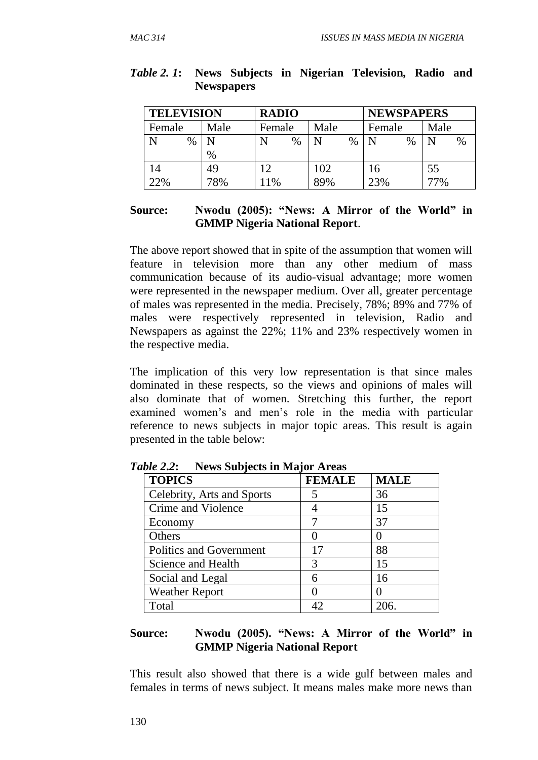| <b>TELEVISION</b> |      | <b>RADIO</b> |           | <b>NEWSPAPERS</b> |           |
|-------------------|------|--------------|-----------|-------------------|-----------|
| Female            | Male | Female       | Male      | Female            | Male      |
| $\%$<br>N         |      | $\%$         | $\%$<br>N | $\%$              | N<br>$\%$ |
|                   | $\%$ |              |           |                   |           |
| 14                | 49   | ۱C           | 102       | l6                | 55        |
| 22%               | 78%  | 1%           | 89%       | 23%               | 77%       |

#### *Table 2. 1***: News Subjects in Nigerian Television, Radio and Newspapers**

#### **Source: Nwodu (2005): "News: A Mirror of the World" in GMMP Nigeria National Report**.

The above report showed that in spite of the assumption that women will feature in television more than any other medium of mass communication because of its audio-visual advantage; more women were represented in the newspaper medium. Over all, greater percentage of males was represented in the media. Precisely, 78%; 89% and 77% of males were respectively represented in television, Radio and Newspapers as against the 22%; 11% and 23% respectively women in the respective media.

The implication of this very low representation is that since males dominated in these respects, so the views and opinions of males will also dominate that of women. Stretching this further, the report examined women's and men's role in the media with particular reference to news subjects in major topic areas. This result is again presented in the table below:

| <b>TOPICS</b>                  | <b>FEMALE</b> | <b>MALE</b> |
|--------------------------------|---------------|-------------|
| Celebrity, Arts and Sports     | 5             | 36          |
| Crime and Violence             |               | 15          |
| Economy                        |               | 37          |
| Others                         |               |             |
| <b>Politics and Government</b> | 17            | 88          |
| Science and Health             | 3             | 15          |
| Social and Legal               | 6             | 16          |
| <b>Weather Report</b>          |               |             |
| Total                          | 42            | 206.        |

*Table 2***.***2***: News Subjects in Major Areas**

#### **Source: Nwodu (2005). "News: A Mirror of the World" in GMMP Nigeria National Report**

This result also showed that there is a wide gulf between males and females in terms of news subject. It means males make more news than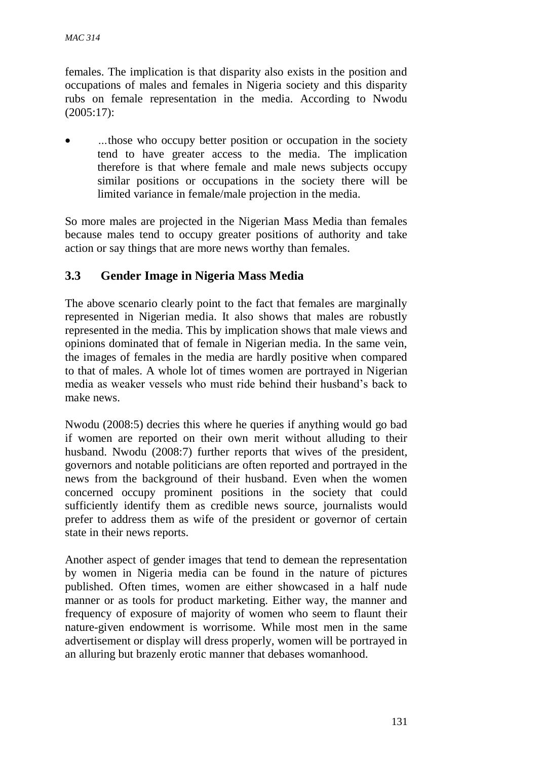females. The implication is that disparity also exists in the position and occupations of males and females in Nigeria society and this disparity rubs on female representation in the media. According to Nwodu (2005:17):

 *…*those who occupy better position or occupation in the society tend to have greater access to the media. The implication therefore is that where female and male news subjects occupy similar positions or occupations in the society there will be limited variance in female/male projection in the media.

So more males are projected in the Nigerian Mass Media than females because males tend to occupy greater positions of authority and take action or say things that are more news worthy than females.

## **3.3 Gender Image in Nigeria Mass Media**

The above scenario clearly point to the fact that females are marginally represented in Nigerian media. It also shows that males are robustly represented in the media. This by implication shows that male views and opinions dominated that of female in Nigerian media. In the same vein, the images of females in the media are hardly positive when compared to that of males. A whole lot of times women are portrayed in Nigerian media as weaker vessels who must ride behind their husband's back to make news.

Nwodu (2008:5) decries this where he queries if anything would go bad if women are reported on their own merit without alluding to their husband. Nwodu (2008:7) further reports that wives of the president, governors and notable politicians are often reported and portrayed in the news from the background of their husband. Even when the women concerned occupy prominent positions in the society that could sufficiently identify them as credible news source, journalists would prefer to address them as wife of the president or governor of certain state in their news reports.

Another aspect of gender images that tend to demean the representation by women in Nigeria media can be found in the nature of pictures published. Often times, women are either showcased in a half nude manner or as tools for product marketing. Either way, the manner and frequency of exposure of majority of women who seem to flaunt their nature-given endowment is worrisome. While most men in the same advertisement or display will dress properly, women will be portrayed in an alluring but brazenly erotic manner that debases womanhood.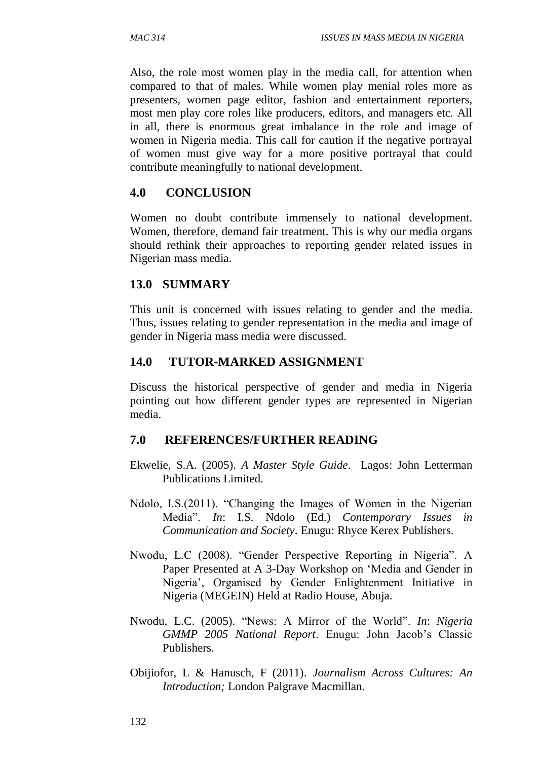Also, the role most women play in the media call, for attention when compared to that of males. While women play menial roles more as presenters, women page editor, fashion and entertainment reporters, most men play core roles like producers, editors, and managers etc. All in all, there is enormous great imbalance in the role and image of women in Nigeria media. This call for caution if the negative portrayal of women must give way for a more positive portrayal that could contribute meaningfully to national development.

#### **4.0 CONCLUSION**

Women no doubt contribute immensely to national development. Women, therefore, demand fair treatment. This is why our media organs should rethink their approaches to reporting gender related issues in Nigerian mass media.

#### **13.0 SUMMARY**

This unit is concerned with issues relating to gender and the media. Thus, issues relating to gender representation in the media and image of gender in Nigeria mass media were discussed.

#### **14.0 TUTOR-MARKED ASSIGNMENT**

Discuss the historical perspective of gender and media in Nigeria pointing out how different gender types are represented in Nigerian media.

#### **7.0 REFERENCES/FURTHER READING**

- Ekwelie, S.A. (2005). *A Master Style Guide*. Lagos: John Letterman Publications Limited.
- Ndolo, I.S.(2011). "Changing the Images of Women in the Nigerian Media". *In*: I.S. Ndolo (Ed.) *Contemporary Issues in Communication and Society*. Enugu: Rhyce Kerex Publishers.
- Nwodu, L.C (2008). "Gender Perspective Reporting in Nigeria". A Paper Presented at A 3-Day Workshop on 'Media and Gender in Nigeria', Organised by Gender Enlightenment Initiative in Nigeria (MEGEIN) Held at Radio House, Abuja.
- Nwodu, L.C. (2005). "News: A Mirror of the World". *In*: *Nigeria GMMP 2005 National Report*. Enugu: John Jacob's Classic Publishers.
- Obijiofor, L & Hanusch, F (2011). *Journalism Across Cultures: An Introduction;* London Palgrave Macmillan.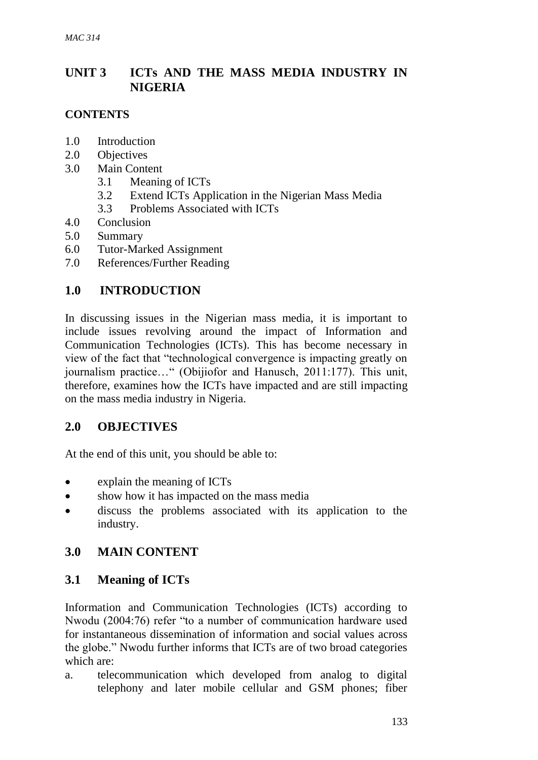# **UNIT 3 ICTs AND THE MASS MEDIA INDUSTRY IN NIGERIA**

#### **CONTENTS**

- 1.0 Introduction
- 2.0 Objectives
- 3.0 Main Content
	- 3.1 Meaning of ICTs
	- 3.2 Extend ICTs Application in the Nigerian Mass Media
	- 3.3 Problems Associated with ICTs
- 4.0 Conclusion
- 5.0 Summary
- 6.0 Tutor-Marked Assignment
- 7.0 References/Further Reading

## **1.0 INTRODUCTION**

In discussing issues in the Nigerian mass media, it is important to include issues revolving around the impact of Information and Communication Technologies (ICTs). This has become necessary in view of the fact that "technological convergence is impacting greatly on journalism practice…" (Obijiofor and Hanusch, 2011:177). This unit, therefore, examines how the ICTs have impacted and are still impacting on the mass media industry in Nigeria.

## **2.0 OBJECTIVES**

At the end of this unit, you should be able to:

- explain the meaning of ICTs
- show how it has impacted on the mass media
- discuss the problems associated with its application to the industry.

## **3.0 MAIN CONTENT**

## **3.1 Meaning of ICTs**

Information and Communication Technologies (ICTs) according to Nwodu (2004:76) refer "to a number of communication hardware used for instantaneous dissemination of information and social values across the globe." Nwodu further informs that ICTs are of two broad categories which are:

a. telecommunication which developed from analog to digital telephony and later mobile cellular and GSM phones; fiber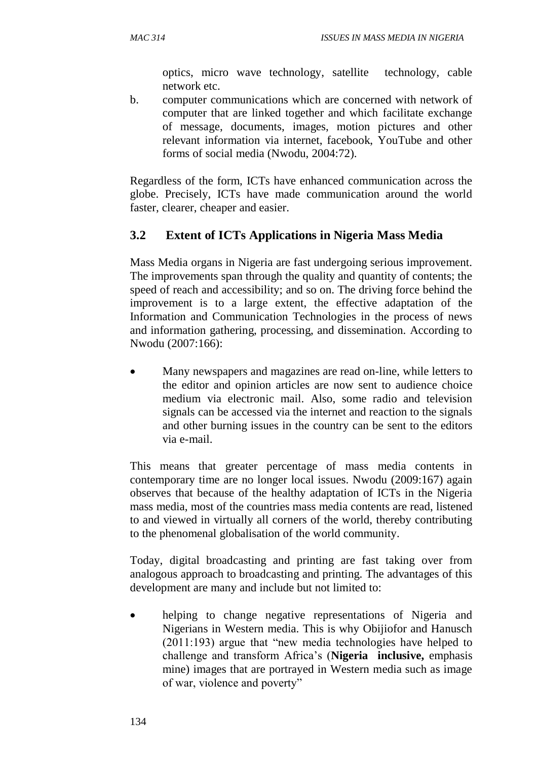optics, micro wave technology, satellite technology, cable network etc.

b. computer communications which are concerned with network of computer that are linked together and which facilitate exchange of message, documents, images, motion pictures and other relevant information via internet, facebook, YouTube and other forms of social media (Nwodu, 2004:72).

Regardless of the form, ICTs have enhanced communication across the globe. Precisely, ICTs have made communication around the world faster, clearer, cheaper and easier.

# **3.2 Extent of ICTs Applications in Nigeria Mass Media**

Mass Media organs in Nigeria are fast undergoing serious improvement. The improvements span through the quality and quantity of contents; the speed of reach and accessibility; and so on. The driving force behind the improvement is to a large extent, the effective adaptation of the Information and Communication Technologies in the process of news and information gathering, processing, and dissemination. According to Nwodu (2007:166):

 Many newspapers and magazines are read on-line, while letters to the editor and opinion articles are now sent to audience choice medium via electronic mail. Also, some radio and television signals can be accessed via the internet and reaction to the signals and other burning issues in the country can be sent to the editors via e-mail.

This means that greater percentage of mass media contents in contemporary time are no longer local issues. Nwodu (2009:167) again observes that because of the healthy adaptation of ICTs in the Nigeria mass media, most of the countries mass media contents are read, listened to and viewed in virtually all corners of the world, thereby contributing to the phenomenal globalisation of the world community.

Today, digital broadcasting and printing are fast taking over from analogous approach to broadcasting and printing. The advantages of this development are many and include but not limited to:

 helping to change negative representations of Nigeria and Nigerians in Western media. This is why Obijiofor and Hanusch (2011:193) argue that "new media technologies have helped to challenge and transform Africa's (**Nigeria inclusive,** emphasis mine) images that are portrayed in Western media such as image of war, violence and poverty"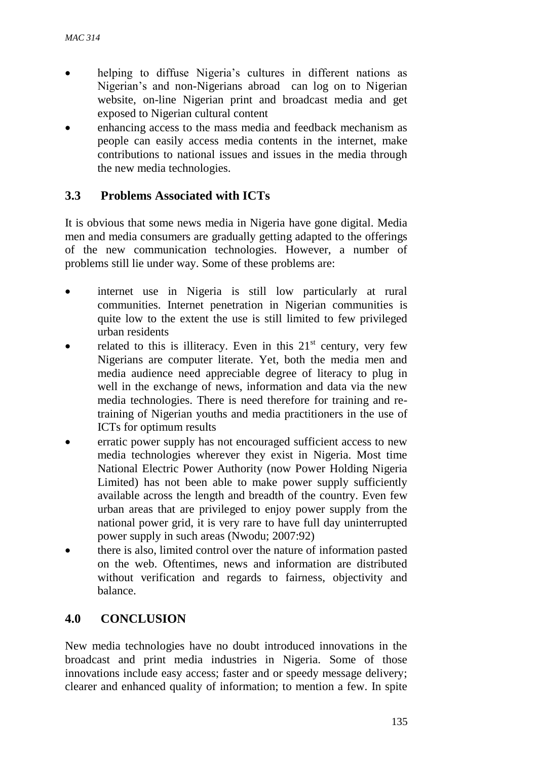- helping to diffuse Nigeria's cultures in different nations as Nigerian's and non-Nigerians abroad can log on to Nigerian website, on-line Nigerian print and broadcast media and get exposed to Nigerian cultural content
- enhancing access to the mass media and feedback mechanism as people can easily access media contents in the internet, make contributions to national issues and issues in the media through the new media technologies.

## **3.3 Problems Associated with ICTs**

It is obvious that some news media in Nigeria have gone digital. Media men and media consumers are gradually getting adapted to the offerings of the new communication technologies. However, a number of problems still lie under way. Some of these problems are:

- internet use in Nigeria is still low particularly at rural communities. Internet penetration in Nigerian communities is quite low to the extent the use is still limited to few privileged urban residents
- related to this is illiteracy. Even in this  $21<sup>st</sup>$  century, very few Nigerians are computer literate. Yet, both the media men and media audience need appreciable degree of literacy to plug in well in the exchange of news, information and data via the new media technologies. There is need therefore for training and retraining of Nigerian youths and media practitioners in the use of ICTs for optimum results
- erratic power supply has not encouraged sufficient access to new media technologies wherever they exist in Nigeria. Most time National Electric Power Authority (now Power Holding Nigeria Limited) has not been able to make power supply sufficiently available across the length and breadth of the country. Even few urban areas that are privileged to enjoy power supply from the national power grid, it is very rare to have full day uninterrupted power supply in such areas (Nwodu; 2007:92)
- there is also, limited control over the nature of information pasted on the web. Oftentimes, news and information are distributed without verification and regards to fairness, objectivity and balance.

## **4.0 CONCLUSION**

New media technologies have no doubt introduced innovations in the broadcast and print media industries in Nigeria. Some of those innovations include easy access; faster and or speedy message delivery; clearer and enhanced quality of information; to mention a few. In spite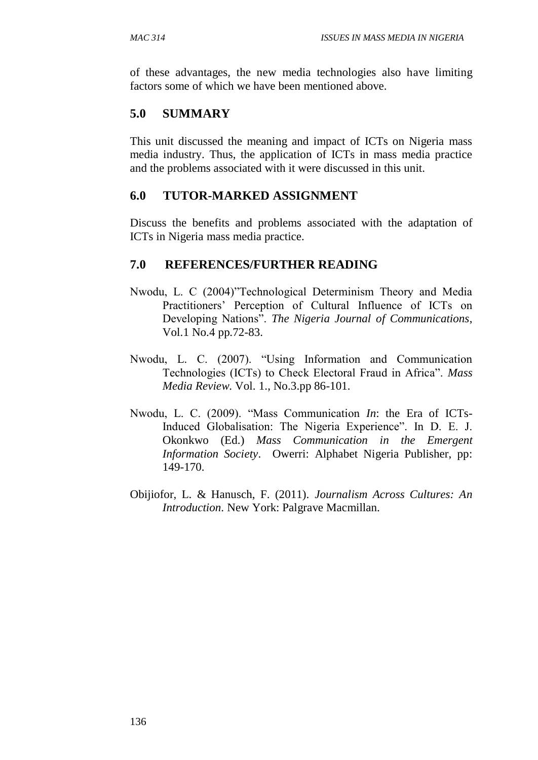of these advantages, the new media technologies also have limiting factors some of which we have been mentioned above.

#### **5.0 SUMMARY**

This unit discussed the meaning and impact of ICTs on Nigeria mass media industry. Thus, the application of ICTs in mass media practice and the problems associated with it were discussed in this unit.

#### **6.0 TUTOR-MARKED ASSIGNMENT**

Discuss the benefits and problems associated with the adaptation of ICTs in Nigeria mass media practice.

#### **7.0 REFERENCES/FURTHER READING**

- Nwodu, L. C (2004)"Technological Determinism Theory and Media Practitioners' Perception of Cultural Influence of ICTs on Developing Nations". *The Nigeria Journal of Communications*, Vol.1 No.4 pp.72-83.
- Nwodu, L. C. (2007). "Using Information and Communication Technologies (ICTs) to Check Electoral Fraud in Africa". *Mass Media Review*. Vol. 1., No.3.pp 86-101.
- Nwodu, L. C. (2009). "Mass Communication *In*: the Era of ICTs-Induced Globalisation: The Nigeria Experience". In D. E. J. Okonkwo (Ed.) *Mass Communication in the Emergent Information Society*. Owerri: Alphabet Nigeria Publisher, pp: 149-170.
- Obijiofor, L. & Hanusch, F. (2011). *Journalism Across Cultures: An Introduction*. New York: Palgrave Macmillan.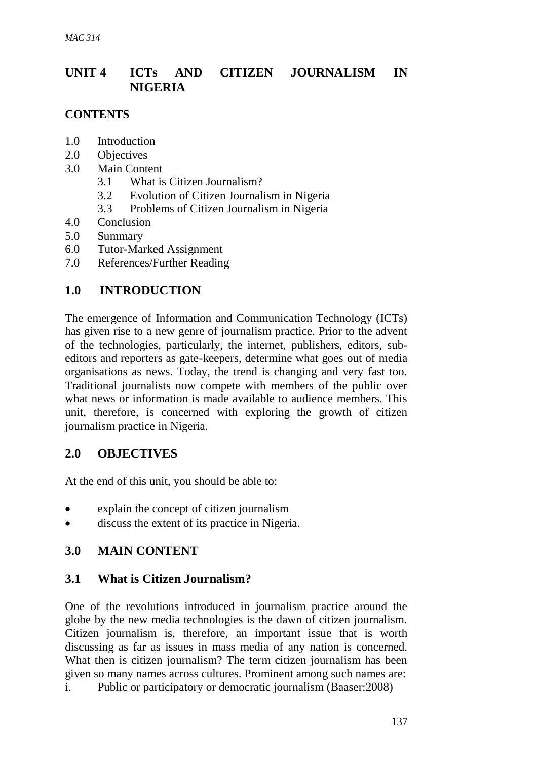# **UNIT 4 ICTs AND CITIZEN JOURNALISM IN NIGERIA**

#### **CONTENTS**

- 1.0 Introduction
- 2.0 Objectives
- 3.0 Main Content
	- 3.1 What is Citizen Journalism?
	- 3.2 Evolution of Citizen Journalism in Nigeria
	- 3.3 Problems of Citizen Journalism in Nigeria
- 4.0 Conclusion
- 5.0 Summary
- 6.0 Tutor-Marked Assignment
- 7.0 References/Further Reading

## **1.0 INTRODUCTION**

The emergence of Information and Communication Technology (ICTs) has given rise to a new genre of journalism practice. Prior to the advent of the technologies, particularly, the internet, publishers, editors, subeditors and reporters as gate-keepers, determine what goes out of media organisations as news. Today, the trend is changing and very fast too. Traditional journalists now compete with members of the public over what news or information is made available to audience members. This unit, therefore, is concerned with exploring the growth of citizen journalism practice in Nigeria.

## **2.0 OBJECTIVES**

At the end of this unit, you should be able to:

- explain the concept of citizen journalism
- discuss the extent of its practice in Nigeria.

## **3.0 MAIN CONTENT**

## **3.1 What is Citizen Journalism?**

One of the revolutions introduced in journalism practice around the globe by the new media technologies is the dawn of citizen journalism. Citizen journalism is, therefore, an important issue that is worth discussing as far as issues in mass media of any nation is concerned. What then is citizen journalism? The term citizen journalism has been given so many names across cultures. Prominent among such names are: i. Public or participatory or democratic journalism (Baaser:2008)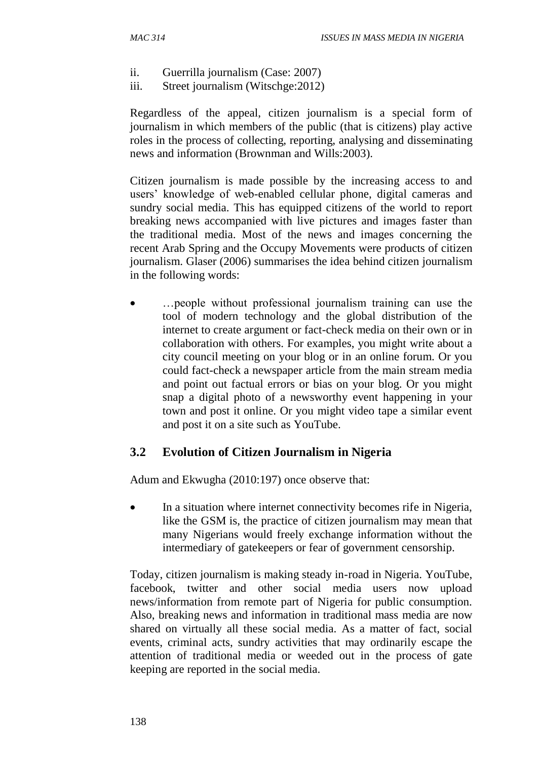- ii. Guerrilla journalism (Case: 2007)
- iii. Street journalism (Witschge:2012)

Regardless of the appeal, citizen journalism is a special form of journalism in which members of the public (that is citizens) play active roles in the process of collecting, reporting, analysing and disseminating news and information (Brownman and Wills:2003).

Citizen journalism is made possible by the increasing access to and users' knowledge of web-enabled cellular phone, digital cameras and sundry social media. This has equipped citizens of the world to report breaking news accompanied with live pictures and images faster than the traditional media. Most of the news and images concerning the recent Arab Spring and the Occupy Movements were products of citizen journalism. Glaser (2006) summarises the idea behind citizen journalism in the following words:

 …people without professional journalism training can use the tool of modern technology and the global distribution of the internet to create argument or fact-check media on their own or in collaboration with others. For examples, you might write about a city council meeting on your blog or in an online forum. Or you could fact-check a newspaper article from the main stream media and point out factual errors or bias on your blog. Or you might snap a digital photo of a newsworthy event happening in your town and post it online. Or you might video tape a similar event and post it on a site such as YouTube.

# **3.2 Evolution of Citizen Journalism in Nigeria**

Adum and Ekwugha (2010:197) once observe that:

 In a situation where internet connectivity becomes rife in Nigeria, like the GSM is, the practice of citizen journalism may mean that many Nigerians would freely exchange information without the intermediary of gatekeepers or fear of government censorship.

Today, citizen journalism is making steady in-road in Nigeria. YouTube, facebook, twitter and other social media users now upload news/information from remote part of Nigeria for public consumption. Also, breaking news and information in traditional mass media are now shared on virtually all these social media. As a matter of fact, social events, criminal acts, sundry activities that may ordinarily escape the attention of traditional media or weeded out in the process of gate keeping are reported in the social media.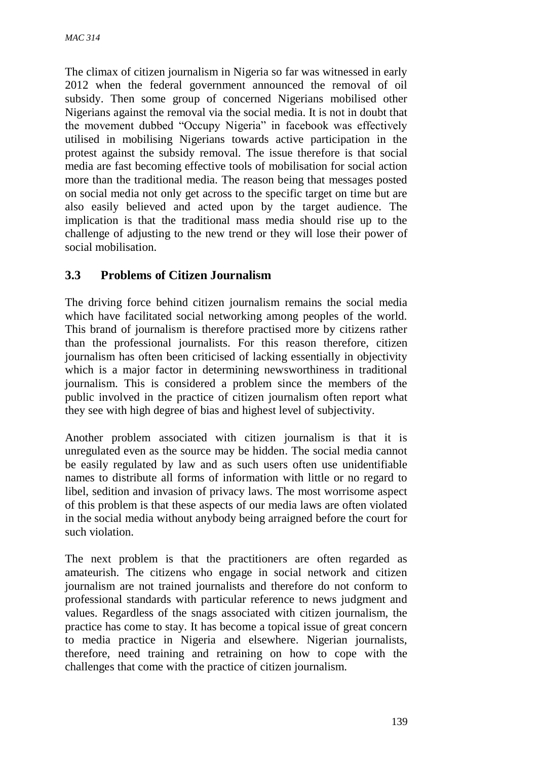The climax of citizen journalism in Nigeria so far was witnessed in early 2012 when the federal government announced the removal of oil subsidy. Then some group of concerned Nigerians mobilised other Nigerians against the removal via the social media. It is not in doubt that the movement dubbed "Occupy Nigeria" in facebook was effectively utilised in mobilising Nigerians towards active participation in the protest against the subsidy removal. The issue therefore is that social media are fast becoming effective tools of mobilisation for social action more than the traditional media. The reason being that messages posted on social media not only get across to the specific target on time but are also easily believed and acted upon by the target audience. The implication is that the traditional mass media should rise up to the challenge of adjusting to the new trend or they will lose their power of social mobilisation.

## **3.3 Problems of Citizen Journalism**

The driving force behind citizen journalism remains the social media which have facilitated social networking among peoples of the world. This brand of journalism is therefore practised more by citizens rather than the professional journalists. For this reason therefore, citizen journalism has often been criticised of lacking essentially in objectivity which is a major factor in determining newsworthiness in traditional journalism. This is considered a problem since the members of the public involved in the practice of citizen journalism often report what they see with high degree of bias and highest level of subjectivity.

Another problem associated with citizen journalism is that it is unregulated even as the source may be hidden. The social media cannot be easily regulated by law and as such users often use unidentifiable names to distribute all forms of information with little or no regard to libel, sedition and invasion of privacy laws. The most worrisome aspect of this problem is that these aspects of our media laws are often violated in the social media without anybody being arraigned before the court for such violation.

The next problem is that the practitioners are often regarded as amateurish. The citizens who engage in social network and citizen journalism are not trained journalists and therefore do not conform to professional standards with particular reference to news judgment and values. Regardless of the snags associated with citizen journalism, the practice has come to stay. It has become a topical issue of great concern to media practice in Nigeria and elsewhere. Nigerian journalists, therefore, need training and retraining on how to cope with the challenges that come with the practice of citizen journalism.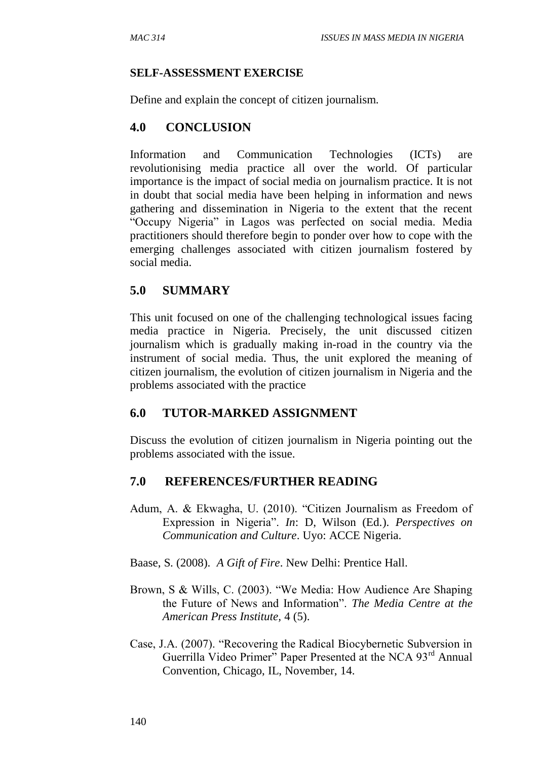#### **SELF-ASSESSMENT EXERCISE**

Define and explain the concept of citizen journalism.

### **4.0 CONCLUSION**

Information and Communication Technologies (ICTs) are revolutionising media practice all over the world. Of particular importance is the impact of social media on journalism practice. It is not in doubt that social media have been helping in information and news gathering and dissemination in Nigeria to the extent that the recent "Occupy Nigeria" in Lagos was perfected on social media. Media practitioners should therefore begin to ponder over how to cope with the emerging challenges associated with citizen journalism fostered by social media.

## **5.0 SUMMARY**

This unit focused on one of the challenging technological issues facing media practice in Nigeria. Precisely, the unit discussed citizen journalism which is gradually making in-road in the country via the instrument of social media. Thus, the unit explored the meaning of citizen journalism, the evolution of citizen journalism in Nigeria and the problems associated with the practice

#### **6.0 TUTOR-MARKED ASSIGNMENT**

Discuss the evolution of citizen journalism in Nigeria pointing out the problems associated with the issue.

## **7.0 REFERENCES/FURTHER READING**

- Adum, A. & Ekwagha, U. (2010). "Citizen Journalism as Freedom of Expression in Nigeria". *In*: D, Wilson (Ed.). *Perspectives on Communication and Culture*. Uyo: ACCE Nigeria.
- Baase, S. (2008). *A Gift of Fire*. New Delhi: Prentice Hall.
- Brown, S & Wills, C. (2003). "We Media: How Audience Are Shaping the Future of News and Information". *The Media Centre at the American Press Institute,* 4 (5).
- Case, J.A. (2007). "Recovering the Radical Biocybernetic Subversion in Guerrilla Video Primer" Paper Presented at the NCA 93<sup>rd</sup> Annual Convention, Chicago, IL, November, 14.